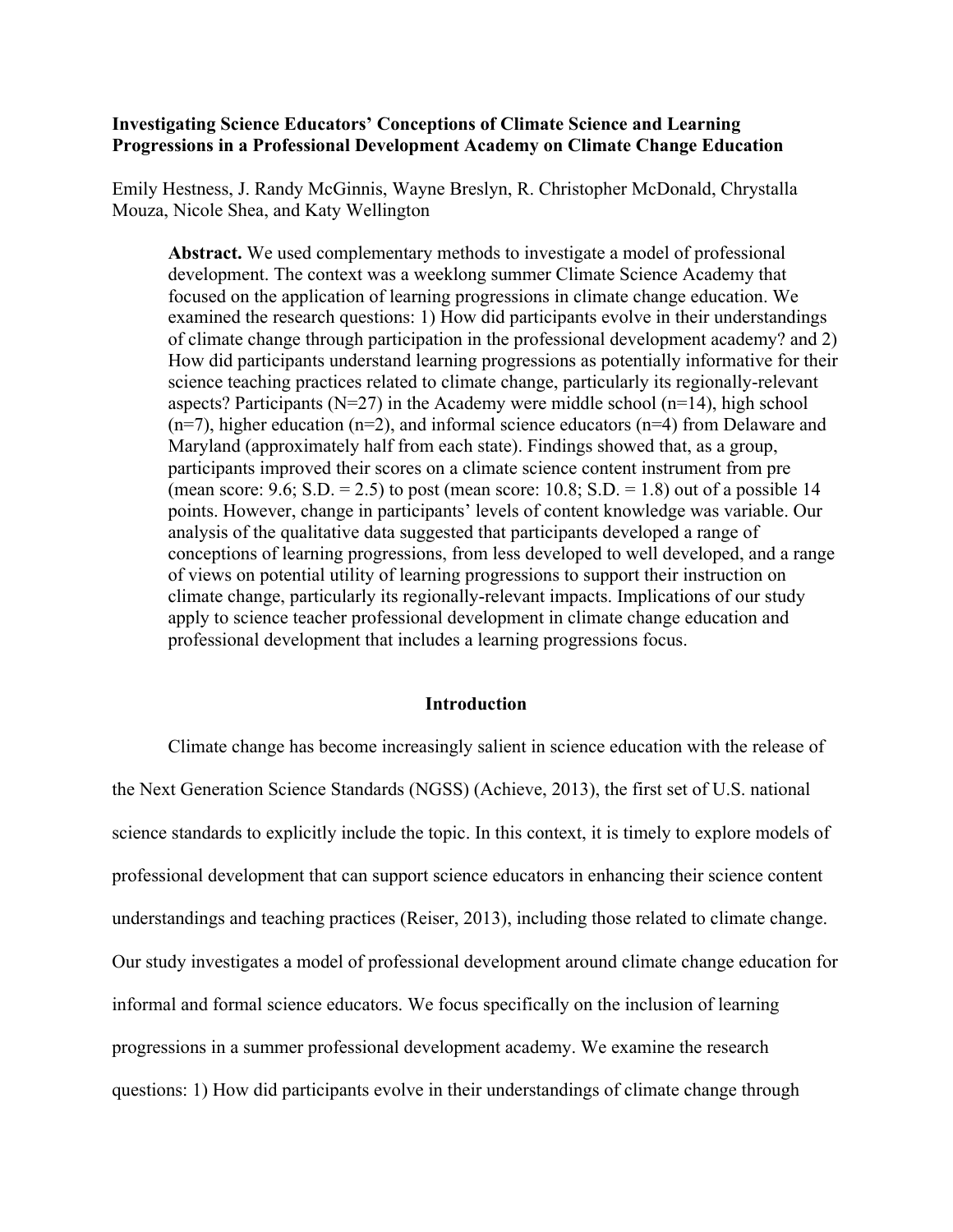#### **Investigating Science Educators' Conceptions of Climate Science and Learning Progressions in a Professional Development Academy on Climate Change Education**

Emily Hestness, J. Randy McGinnis, Wayne Breslyn, R. Christopher McDonald, Chrystalla Mouza, Nicole Shea, and Katy Wellington

**Abstract.** We used complementary methods to investigate a model of professional development. The context was a weeklong summer Climate Science Academy that focused on the application of learning progressions in climate change education. We examined the research questions: 1) How did participants evolve in their understandings of climate change through participation in the professional development academy? and 2) How did participants understand learning progressions as potentially informative for their science teaching practices related to climate change, particularly its regionally-relevant aspects? Participants ( $N=27$ ) in the Academy were middle school ( $n=14$ ), high school  $(n=7)$ , higher education  $(n=2)$ , and informal science educators  $(n=4)$  from Delaware and Maryland (approximately half from each state). Findings showed that, as a group, participants improved their scores on a climate science content instrument from pre (mean score:  $9.6$ ; S.D. =  $2.5$ ) to post (mean score:  $10.8$ ; S.D. =  $1.8$ ) out of a possible 14 points. However, change in participants' levels of content knowledge was variable. Our analysis of the qualitative data suggested that participants developed a range of conceptions of learning progressions, from less developed to well developed, and a range of views on potential utility of learning progressions to support their instruction on climate change, particularly its regionally-relevant impacts. Implications of our study apply to science teacher professional development in climate change education and professional development that includes a learning progressions focus.

#### **Introduction**

Climate change has become increasingly salient in science education with the release of the Next Generation Science Standards (NGSS) (Achieve, 2013), the first set of U.S. national science standards to explicitly include the topic. In this context, it is timely to explore models of professional development that can support science educators in enhancing their science content understandings and teaching practices (Reiser, 2013), including those related to climate change. Our study investigates a model of professional development around climate change education for informal and formal science educators. We focus specifically on the inclusion of learning progressions in a summer professional development academy. We examine the research questions: 1) How did participants evolve in their understandings of climate change through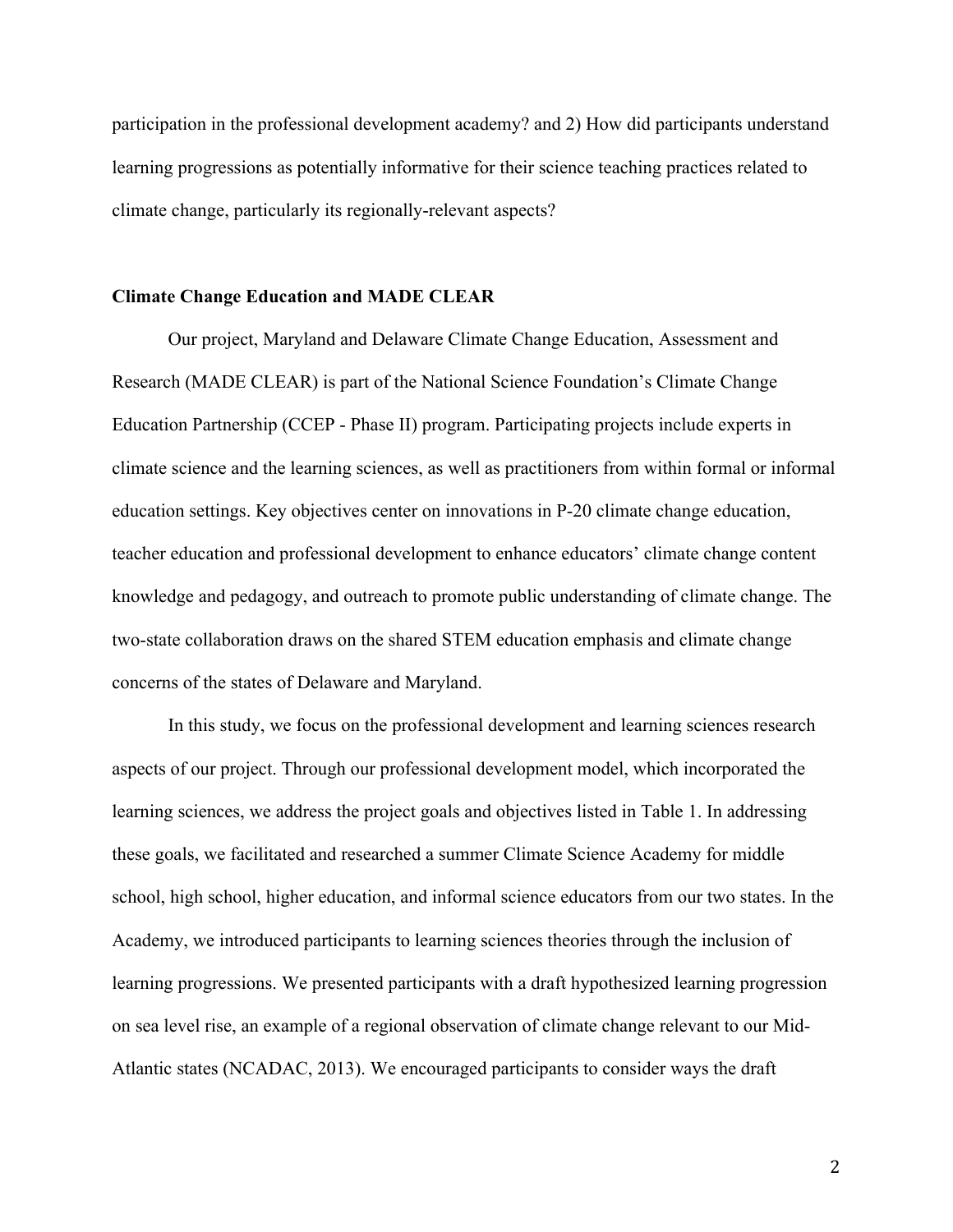participation in the professional development academy? and 2) How did participants understand learning progressions as potentially informative for their science teaching practices related to climate change, particularly its regionally-relevant aspects?

#### **Climate Change Education and MADE CLEAR**

Our project, Maryland and Delaware Climate Change Education, Assessment and Research (MADE CLEAR) is part of the National Science Foundation's Climate Change Education Partnership (CCEP - Phase II) program. Participating projects include experts in climate science and the learning sciences, as well as practitioners from within formal or informal education settings. Key objectives center on innovations in P-20 climate change education, teacher education and professional development to enhance educators' climate change content knowledge and pedagogy, and outreach to promote public understanding of climate change. The two-state collaboration draws on the shared STEM education emphasis and climate change concerns of the states of Delaware and Maryland.

In this study, we focus on the professional development and learning sciences research aspects of our project. Through our professional development model, which incorporated the learning sciences, we address the project goals and objectives listed in Table 1. In addressing these goals, we facilitated and researched a summer Climate Science Academy for middle school, high school, higher education, and informal science educators from our two states. In the Academy, we introduced participants to learning sciences theories through the inclusion of learning progressions. We presented participants with a draft hypothesized learning progression on sea level rise, an example of a regional observation of climate change relevant to our Mid-Atlantic states (NCADAC, 2013). We encouraged participants to consider ways the draft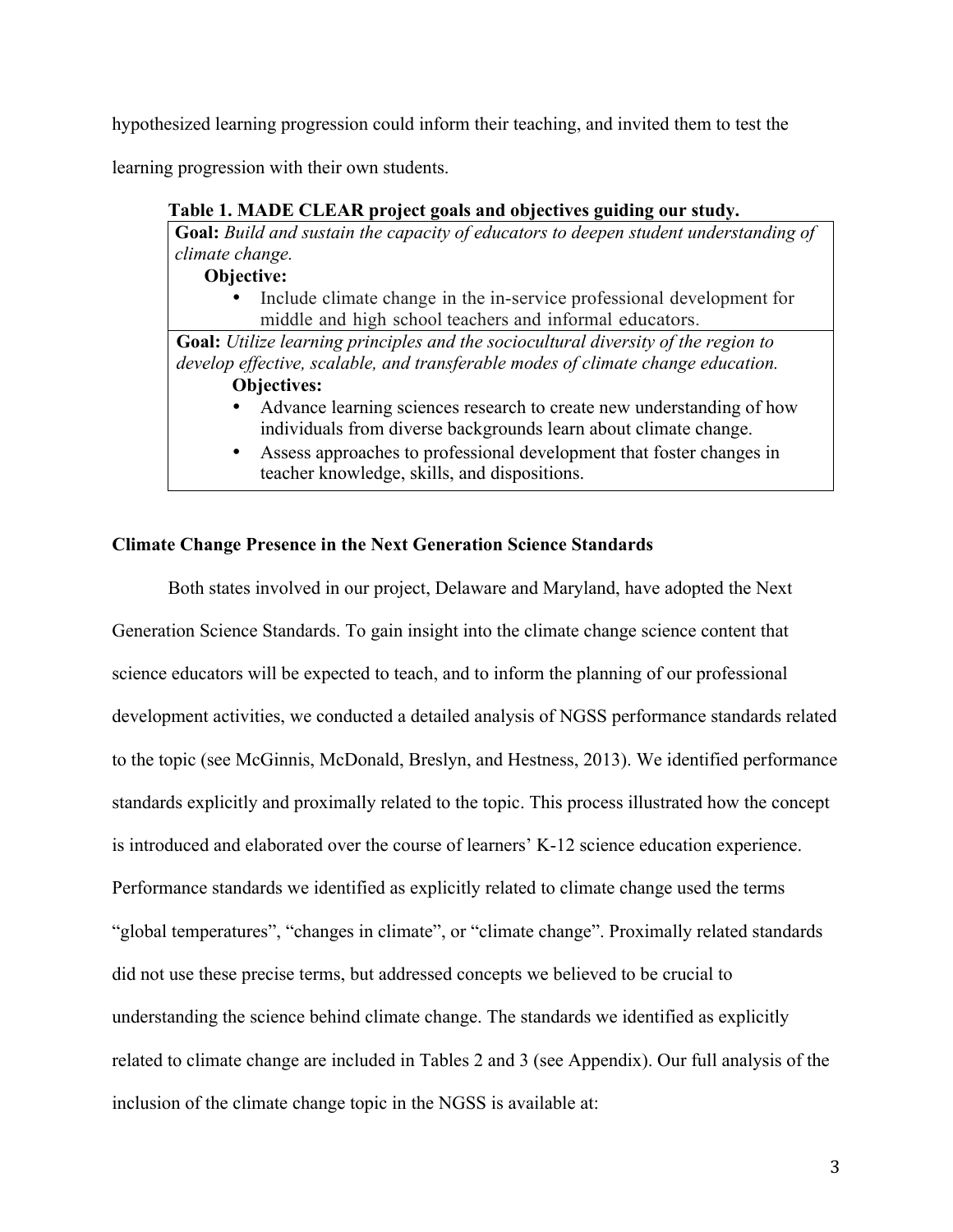hypothesized learning progression could inform their teaching, and invited them to test the

learning progression with their own students.

# **Table 1. MADE CLEAR project goals and objectives guiding our study.**

**Goal:** *Build and sustain the capacity of educators to deepen student understanding of climate change.*

**Objective:**

• Include climate change in the in-service professional development for middle and high school teachers and informal educators.

**Goal:** *Utilize learning principles and the sociocultural diversity of the region to develop effective, scalable, and transferable modes of climate change education.* **Objectives:** 

- Advance learning sciences research to create new understanding of how individuals from diverse backgrounds learn about climate change.
- Assess approaches to professional development that foster changes in teacher knowledge, skills, and dispositions.

## **Climate Change Presence in the Next Generation Science Standards**

Both states involved in our project, Delaware and Maryland, have adopted the Next Generation Science Standards. To gain insight into the climate change science content that science educators will be expected to teach, and to inform the planning of our professional development activities, we conducted a detailed analysis of NGSS performance standards related to the topic (see McGinnis, McDonald, Breslyn, and Hestness, 2013). We identified performance standards explicitly and proximally related to the topic. This process illustrated how the concept is introduced and elaborated over the course of learners' K-12 science education experience. Performance standards we identified as explicitly related to climate change used the terms "global temperatures", "changes in climate", or "climate change". Proximally related standards did not use these precise terms, but addressed concepts we believed to be crucial to understanding the science behind climate change. The standards we identified as explicitly related to climate change are included in Tables 2 and 3 (see Appendix). Our full analysis of the inclusion of the climate change topic in the NGSS is available at: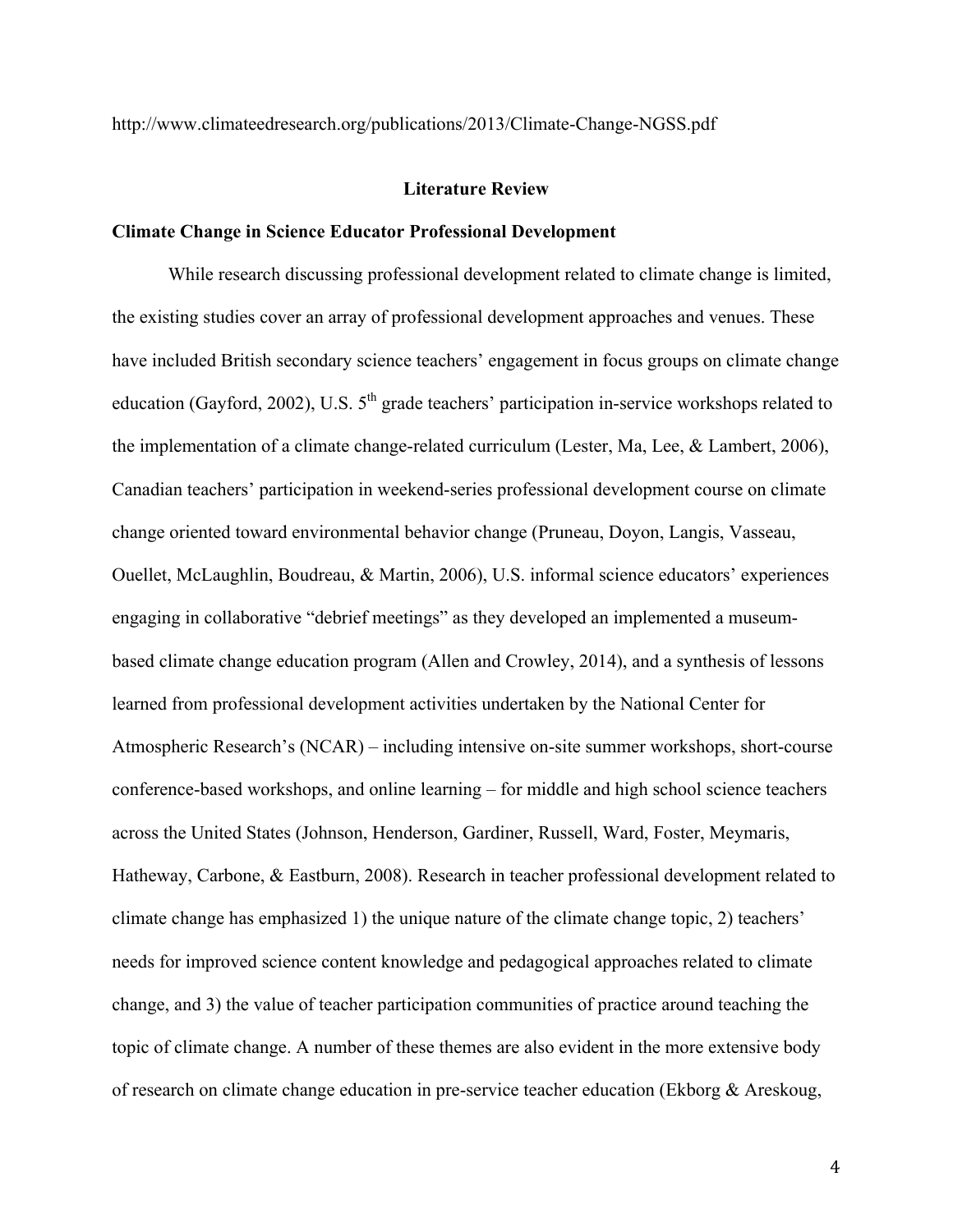http://www.climateedresearch.org/publications/2013/Climate-Change-NGSS.pdf

#### **Literature Review**

### **Climate Change in Science Educator Professional Development**

While research discussing professional development related to climate change is limited, the existing studies cover an array of professional development approaches and venues. These have included British secondary science teachers' engagement in focus groups on climate change education (Gayford, 2002), U.S.  $5<sup>th</sup>$  grade teachers' participation in-service workshops related to the implementation of a climate change-related curriculum (Lester, Ma, Lee, & Lambert, 2006), Canadian teachers' participation in weekend-series professional development course on climate change oriented toward environmental behavior change (Pruneau, Doyon, Langis, Vasseau, Ouellet, McLaughlin, Boudreau, & Martin, 2006), U.S. informal science educators' experiences engaging in collaborative "debrief meetings" as they developed an implemented a museumbased climate change education program (Allen and Crowley, 2014), and a synthesis of lessons learned from professional development activities undertaken by the National Center for Atmospheric Research's (NCAR) – including intensive on-site summer workshops, short-course conference-based workshops, and online learning – for middle and high school science teachers across the United States (Johnson, Henderson, Gardiner, Russell, Ward, Foster, Meymaris, Hatheway, Carbone, & Eastburn, 2008). Research in teacher professional development related to climate change has emphasized 1) the unique nature of the climate change topic, 2) teachers' needs for improved science content knowledge and pedagogical approaches related to climate change, and 3) the value of teacher participation communities of practice around teaching the topic of climate change. A number of these themes are also evident in the more extensive body of research on climate change education in pre-service teacher education (Ekborg & Areskoug,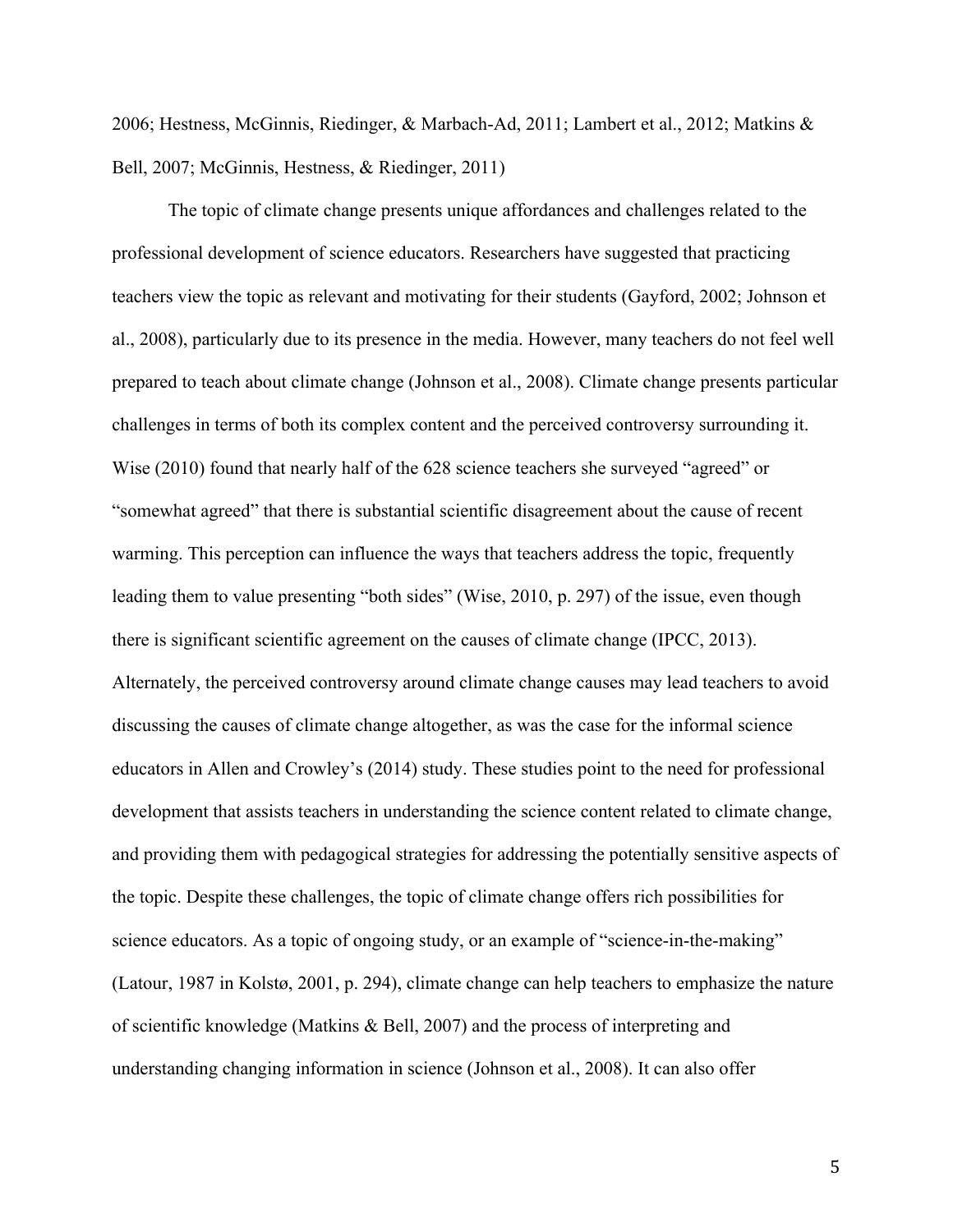2006; Hestness, McGinnis, Riedinger, & Marbach-Ad, 2011; Lambert et al., 2012; Matkins & Bell, 2007; McGinnis, Hestness, & Riedinger, 2011)

The topic of climate change presents unique affordances and challenges related to the professional development of science educators. Researchers have suggested that practicing teachers view the topic as relevant and motivating for their students (Gayford, 2002; Johnson et al., 2008), particularly due to its presence in the media. However, many teachers do not feel well prepared to teach about climate change (Johnson et al., 2008). Climate change presents particular challenges in terms of both its complex content and the perceived controversy surrounding it. Wise (2010) found that nearly half of the 628 science teachers she surveyed "agreed" or "somewhat agreed" that there is substantial scientific disagreement about the cause of recent warming. This perception can influence the ways that teachers address the topic, frequently leading them to value presenting "both sides" (Wise, 2010, p. 297) of the issue, even though there is significant scientific agreement on the causes of climate change (IPCC, 2013). Alternately, the perceived controversy around climate change causes may lead teachers to avoid discussing the causes of climate change altogether, as was the case for the informal science educators in Allen and Crowley's (2014) study. These studies point to the need for professional development that assists teachers in understanding the science content related to climate change, and providing them with pedagogical strategies for addressing the potentially sensitive aspects of the topic. Despite these challenges, the topic of climate change offers rich possibilities for science educators. As a topic of ongoing study, or an example of "science-in-the-making" (Latour, 1987 in Kolstø, 2001, p. 294), climate change can help teachers to emphasize the nature of scientific knowledge (Matkins & Bell, 2007) and the process of interpreting and understanding changing information in science (Johnson et al., 2008). It can also offer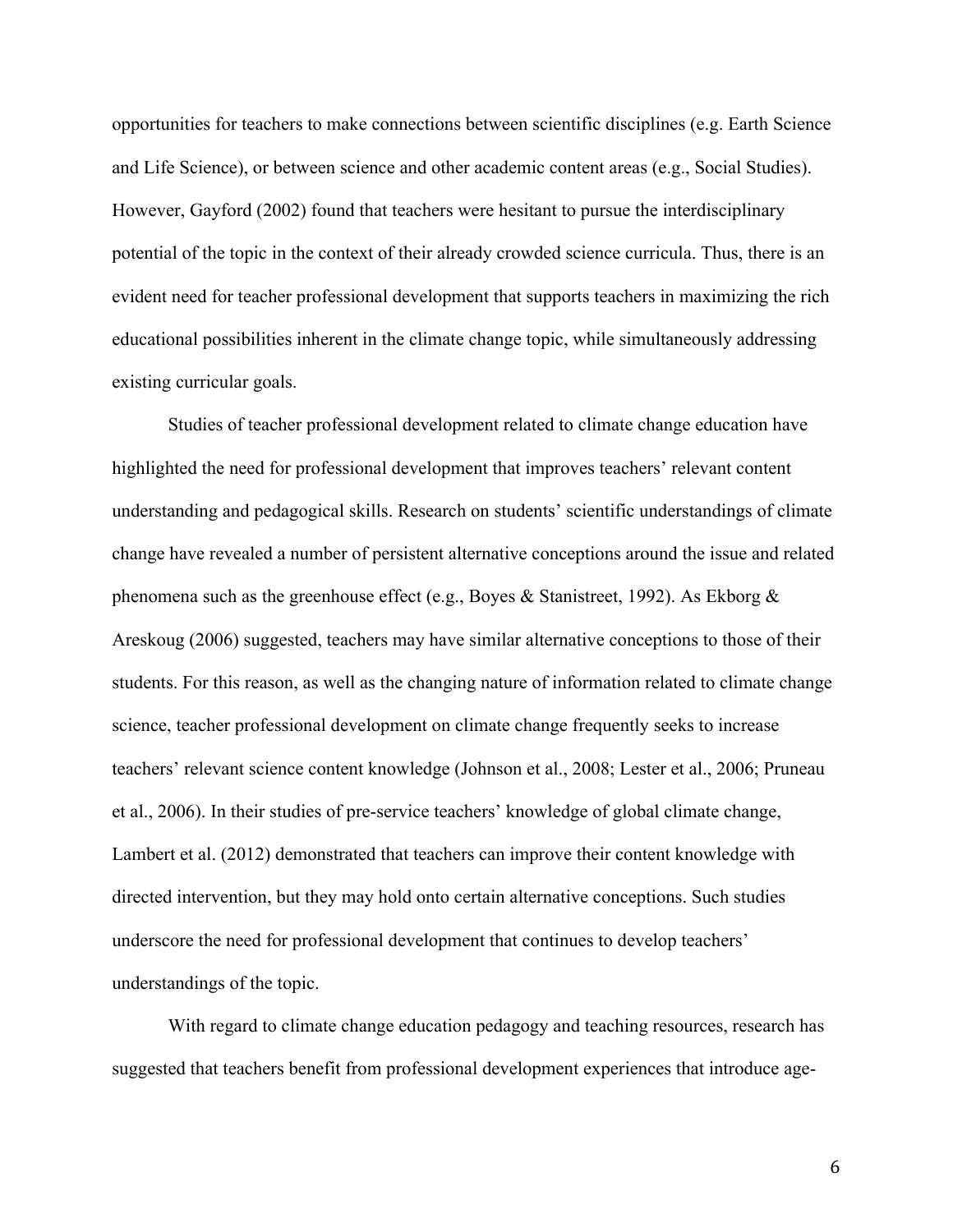opportunities for teachers to make connections between scientific disciplines (e.g. Earth Science and Life Science), or between science and other academic content areas (e.g., Social Studies). However, Gayford (2002) found that teachers were hesitant to pursue the interdisciplinary potential of the topic in the context of their already crowded science curricula. Thus, there is an evident need for teacher professional development that supports teachers in maximizing the rich educational possibilities inherent in the climate change topic, while simultaneously addressing existing curricular goals.

Studies of teacher professional development related to climate change education have highlighted the need for professional development that improves teachers' relevant content understanding and pedagogical skills. Research on students' scientific understandings of climate change have revealed a number of persistent alternative conceptions around the issue and related phenomena such as the greenhouse effect (e.g., Boyes & Stanistreet, 1992). As Ekborg & Areskoug (2006) suggested, teachers may have similar alternative conceptions to those of their students. For this reason, as well as the changing nature of information related to climate change science, teacher professional development on climate change frequently seeks to increase teachers' relevant science content knowledge (Johnson et al., 2008; Lester et al., 2006; Pruneau et al., 2006). In their studies of pre-service teachers' knowledge of global climate change, Lambert et al. (2012) demonstrated that teachers can improve their content knowledge with directed intervention, but they may hold onto certain alternative conceptions. Such studies underscore the need for professional development that continues to develop teachers' understandings of the topic.

With regard to climate change education pedagogy and teaching resources, research has suggested that teachers benefit from professional development experiences that introduce age-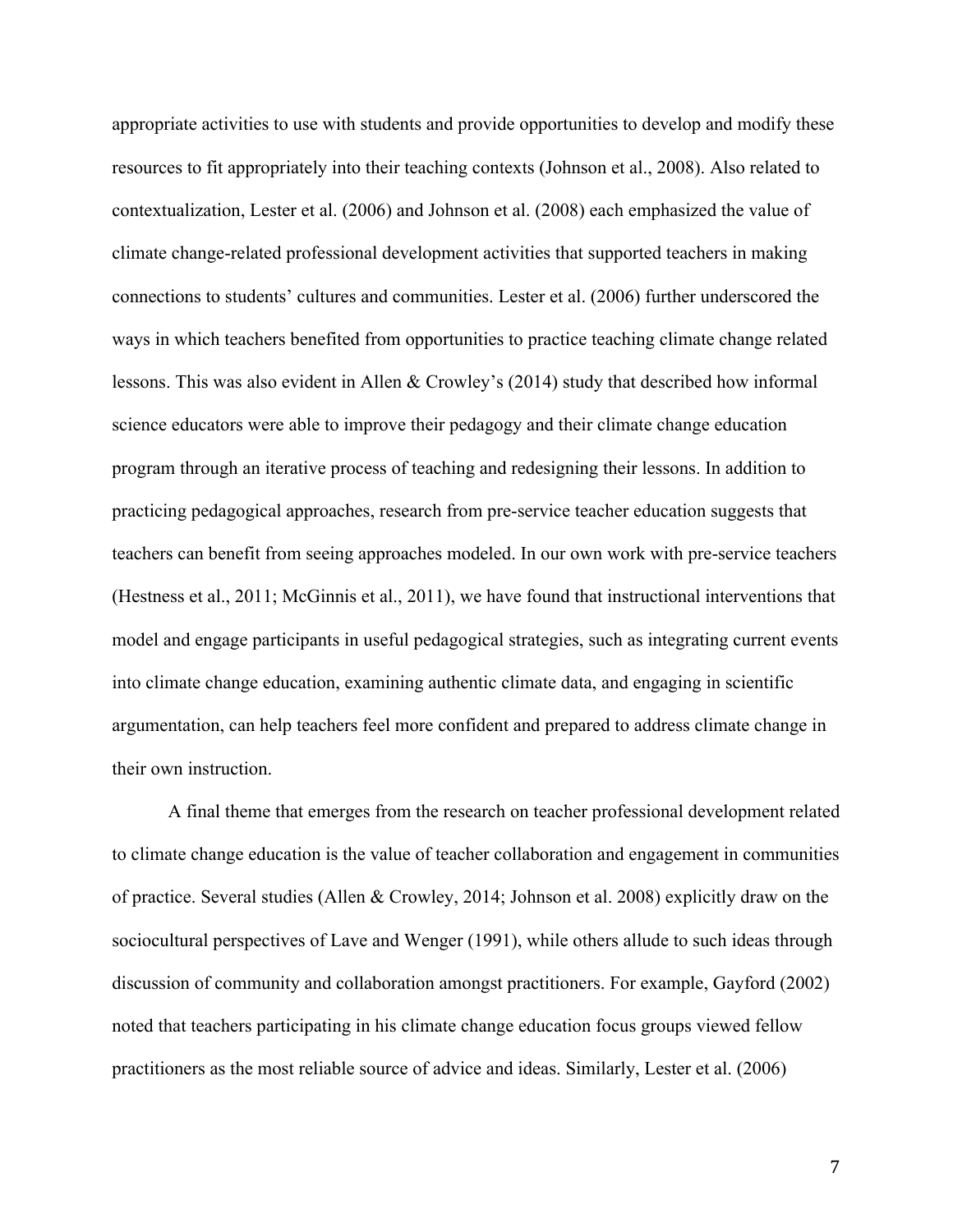appropriate activities to use with students and provide opportunities to develop and modify these resources to fit appropriately into their teaching contexts (Johnson et al., 2008). Also related to contextualization, Lester et al. (2006) and Johnson et al. (2008) each emphasized the value of climate change-related professional development activities that supported teachers in making connections to students' cultures and communities. Lester et al. (2006) further underscored the ways in which teachers benefited from opportunities to practice teaching climate change related lessons. This was also evident in Allen & Crowley's (2014) study that described how informal science educators were able to improve their pedagogy and their climate change education program through an iterative process of teaching and redesigning their lessons. In addition to practicing pedagogical approaches, research from pre-service teacher education suggests that teachers can benefit from seeing approaches modeled. In our own work with pre-service teachers (Hestness et al., 2011; McGinnis et al., 2011), we have found that instructional interventions that model and engage participants in useful pedagogical strategies, such as integrating current events into climate change education, examining authentic climate data, and engaging in scientific argumentation, can help teachers feel more confident and prepared to address climate change in their own instruction.

A final theme that emerges from the research on teacher professional development related to climate change education is the value of teacher collaboration and engagement in communities of practice. Several studies (Allen & Crowley, 2014; Johnson et al. 2008) explicitly draw on the sociocultural perspectives of Lave and Wenger (1991), while others allude to such ideas through discussion of community and collaboration amongst practitioners. For example, Gayford (2002) noted that teachers participating in his climate change education focus groups viewed fellow practitioners as the most reliable source of advice and ideas. Similarly, Lester et al. (2006)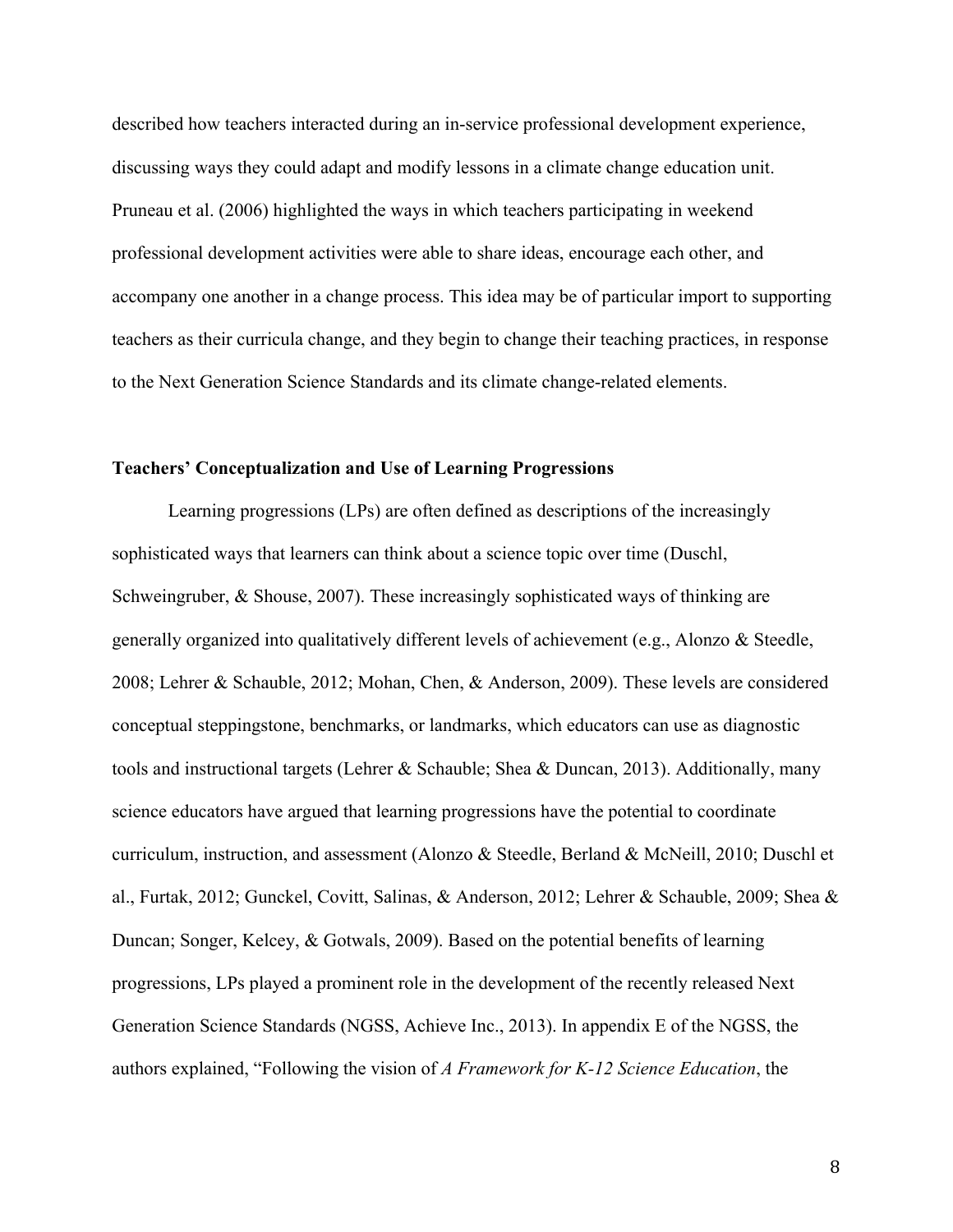described how teachers interacted during an in-service professional development experience, discussing ways they could adapt and modify lessons in a climate change education unit. Pruneau et al. (2006) highlighted the ways in which teachers participating in weekend professional development activities were able to share ideas, encourage each other, and accompany one another in a change process. This idea may be of particular import to supporting teachers as their curricula change, and they begin to change their teaching practices, in response to the Next Generation Science Standards and its climate change-related elements.

#### **Teachers' Conceptualization and Use of Learning Progressions**

Learning progressions (LPs) are often defined as descriptions of the increasingly sophisticated ways that learners can think about a science topic over time (Duschl, Schweingruber, & Shouse, 2007). These increasingly sophisticated ways of thinking are generally organized into qualitatively different levels of achievement (e.g., Alonzo & Steedle, 2008; Lehrer & Schauble, 2012; Mohan, Chen, & Anderson, 2009). These levels are considered conceptual steppingstone, benchmarks, or landmarks, which educators can use as diagnostic tools and instructional targets (Lehrer & Schauble; Shea & Duncan, 2013). Additionally, many science educators have argued that learning progressions have the potential to coordinate curriculum, instruction, and assessment (Alonzo & Steedle, Berland & McNeill, 2010; Duschl et al., Furtak, 2012; Gunckel, Covitt, Salinas, & Anderson, 2012; Lehrer & Schauble, 2009; Shea & Duncan; Songer, Kelcey, & Gotwals, 2009). Based on the potential benefits of learning progressions, LPs played a prominent role in the development of the recently released Next Generation Science Standards (NGSS, Achieve Inc., 2013). In appendix E of the NGSS, the authors explained, "Following the vision of *A Framework for K-12 Science Education*, the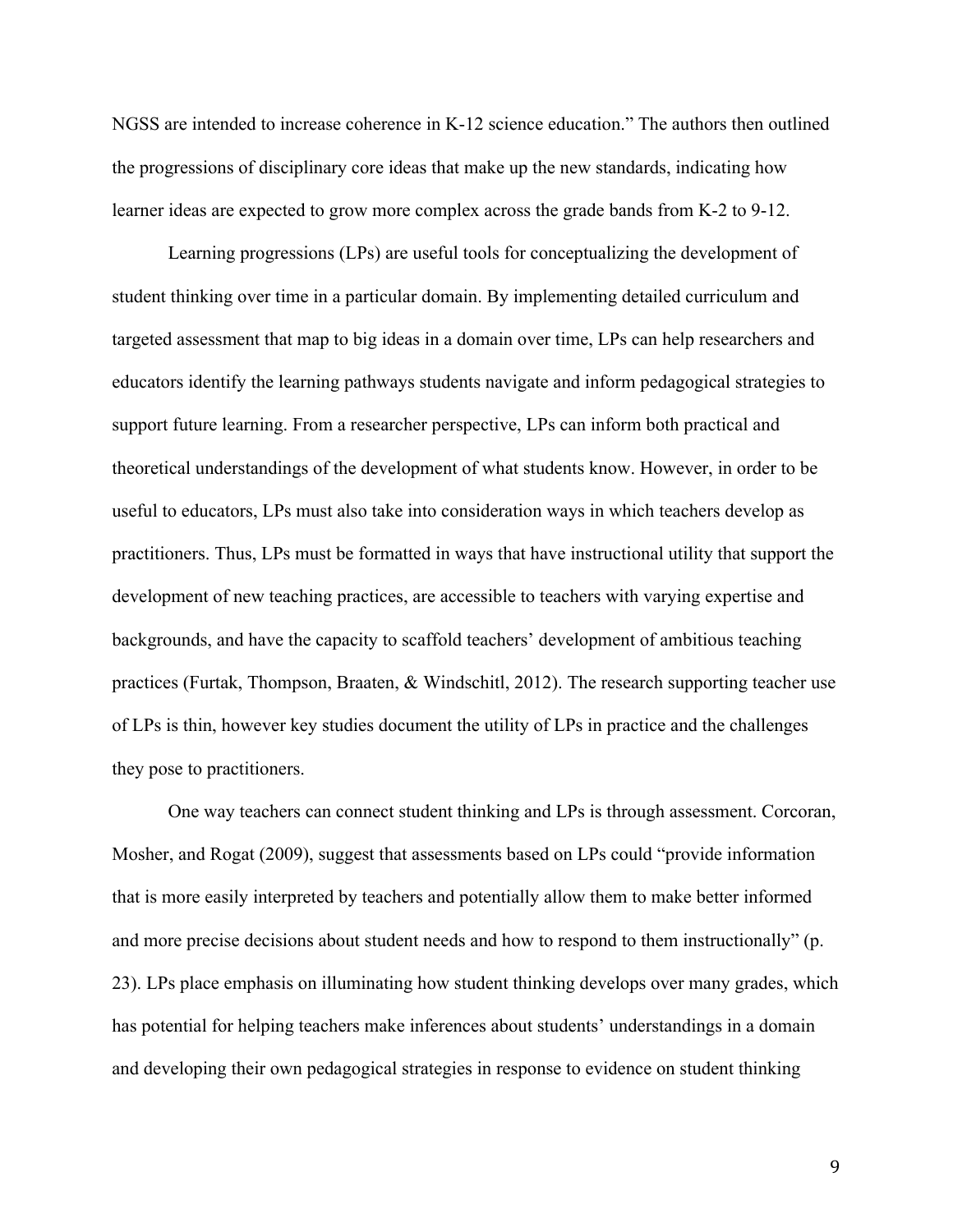NGSS are intended to increase coherence in K-12 science education." The authors then outlined the progressions of disciplinary core ideas that make up the new standards, indicating how learner ideas are expected to grow more complex across the grade bands from K-2 to 9-12.

Learning progressions (LPs) are useful tools for conceptualizing the development of student thinking over time in a particular domain. By implementing detailed curriculum and targeted assessment that map to big ideas in a domain over time, LPs can help researchers and educators identify the learning pathways students navigate and inform pedagogical strategies to support future learning. From a researcher perspective, LPs can inform both practical and theoretical understandings of the development of what students know. However, in order to be useful to educators, LPs must also take into consideration ways in which teachers develop as practitioners. Thus, LPs must be formatted in ways that have instructional utility that support the development of new teaching practices, are accessible to teachers with varying expertise and backgrounds, and have the capacity to scaffold teachers' development of ambitious teaching practices (Furtak, Thompson, Braaten, & Windschitl, 2012). The research supporting teacher use of LPs is thin, however key studies document the utility of LPs in practice and the challenges they pose to practitioners.

One way teachers can connect student thinking and LPs is through assessment. Corcoran, Mosher, and Rogat (2009), suggest that assessments based on LPs could "provide information that is more easily interpreted by teachers and potentially allow them to make better informed and more precise decisions about student needs and how to respond to them instructionally" (p. 23). LPs place emphasis on illuminating how student thinking develops over many grades, which has potential for helping teachers make inferences about students' understandings in a domain and developing their own pedagogical strategies in response to evidence on student thinking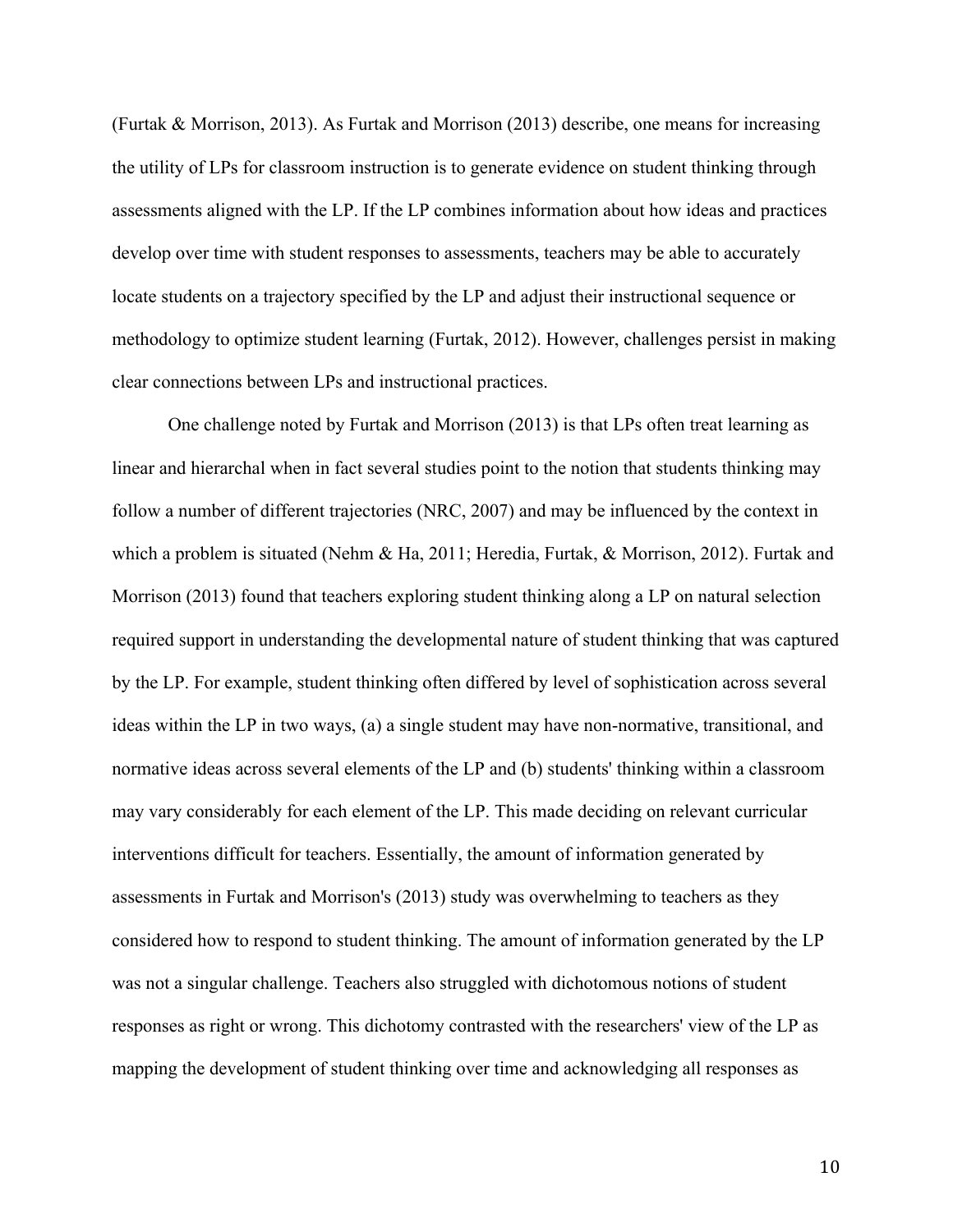(Furtak & Morrison, 2013). As Furtak and Morrison (2013) describe, one means for increasing the utility of LPs for classroom instruction is to generate evidence on student thinking through assessments aligned with the LP. If the LP combines information about how ideas and practices develop over time with student responses to assessments, teachers may be able to accurately locate students on a trajectory specified by the LP and adjust their instructional sequence or methodology to optimize student learning (Furtak, 2012). However, challenges persist in making clear connections between LPs and instructional practices.

One challenge noted by Furtak and Morrison (2013) is that LPs often treat learning as linear and hierarchal when in fact several studies point to the notion that students thinking may follow a number of different trajectories (NRC, 2007) and may be influenced by the context in which a problem is situated (Nehm & Ha, 2011; Heredia, Furtak, & Morrison, 2012). Furtak and Morrison (2013) found that teachers exploring student thinking along a LP on natural selection required support in understanding the developmental nature of student thinking that was captured by the LP. For example, student thinking often differed by level of sophistication across several ideas within the LP in two ways, (a) a single student may have non-normative, transitional, and normative ideas across several elements of the LP and (b) students' thinking within a classroom may vary considerably for each element of the LP. This made deciding on relevant curricular interventions difficult for teachers. Essentially, the amount of information generated by assessments in Furtak and Morrison's (2013) study was overwhelming to teachers as they considered how to respond to student thinking. The amount of information generated by the LP was not a singular challenge. Teachers also struggled with dichotomous notions of student responses as right or wrong. This dichotomy contrasted with the researchers' view of the LP as mapping the development of student thinking over time and acknowledging all responses as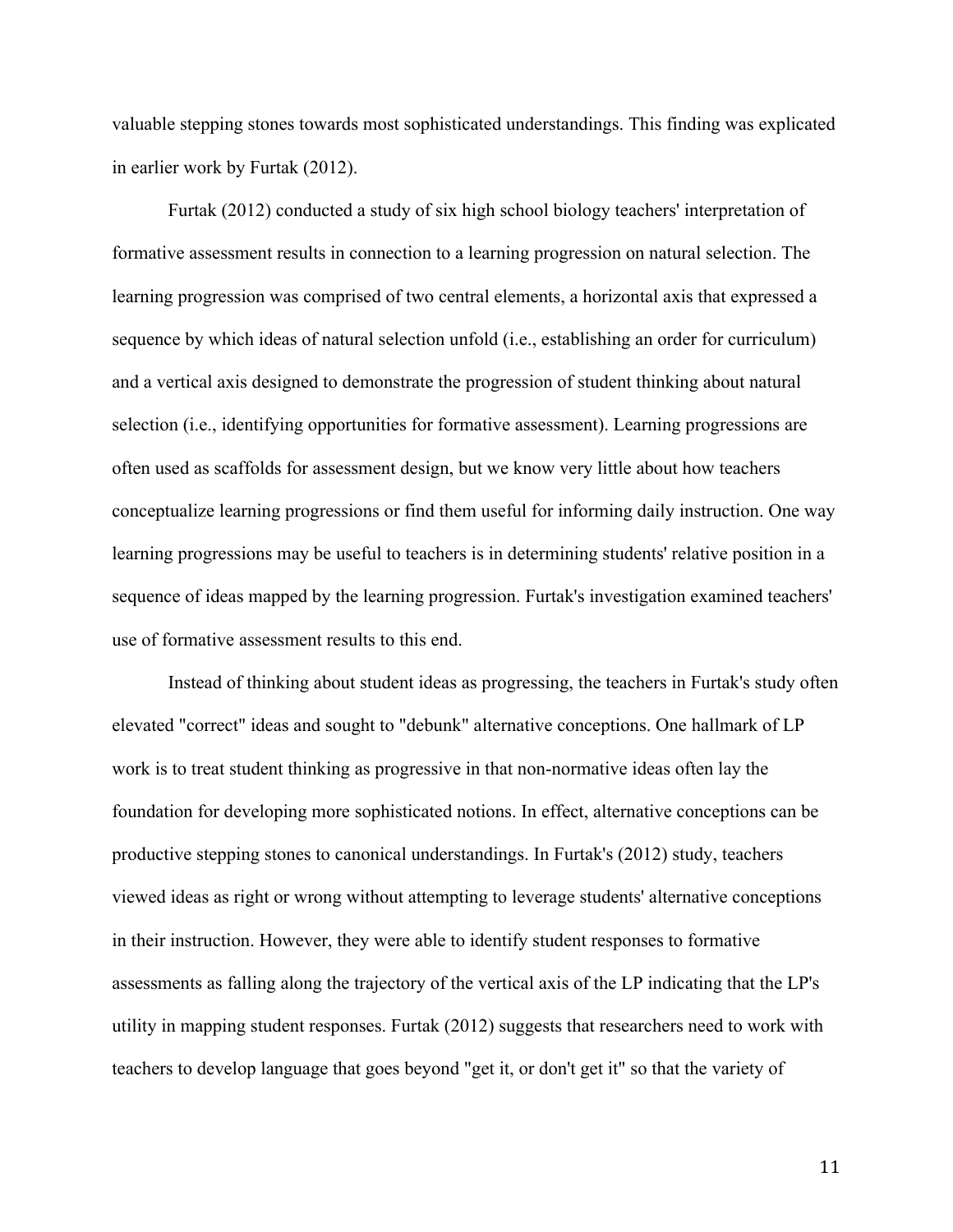valuable stepping stones towards most sophisticated understandings. This finding was explicated in earlier work by Furtak (2012).

Furtak (2012) conducted a study of six high school biology teachers' interpretation of formative assessment results in connection to a learning progression on natural selection. The learning progression was comprised of two central elements, a horizontal axis that expressed a sequence by which ideas of natural selection unfold (i.e., establishing an order for curriculum) and a vertical axis designed to demonstrate the progression of student thinking about natural selection (i.e., identifying opportunities for formative assessment). Learning progressions are often used as scaffolds for assessment design, but we know very little about how teachers conceptualize learning progressions or find them useful for informing daily instruction. One way learning progressions may be useful to teachers is in determining students' relative position in a sequence of ideas mapped by the learning progression. Furtak's investigation examined teachers' use of formative assessment results to this end.

Instead of thinking about student ideas as progressing, the teachers in Furtak's study often elevated "correct" ideas and sought to "debunk" alternative conceptions. One hallmark of LP work is to treat student thinking as progressive in that non-normative ideas often lay the foundation for developing more sophisticated notions. In effect, alternative conceptions can be productive stepping stones to canonical understandings. In Furtak's (2012) study, teachers viewed ideas as right or wrong without attempting to leverage students' alternative conceptions in their instruction. However, they were able to identify student responses to formative assessments as falling along the trajectory of the vertical axis of the LP indicating that the LP's utility in mapping student responses. Furtak (2012) suggests that researchers need to work with teachers to develop language that goes beyond "get it, or don't get it" so that the variety of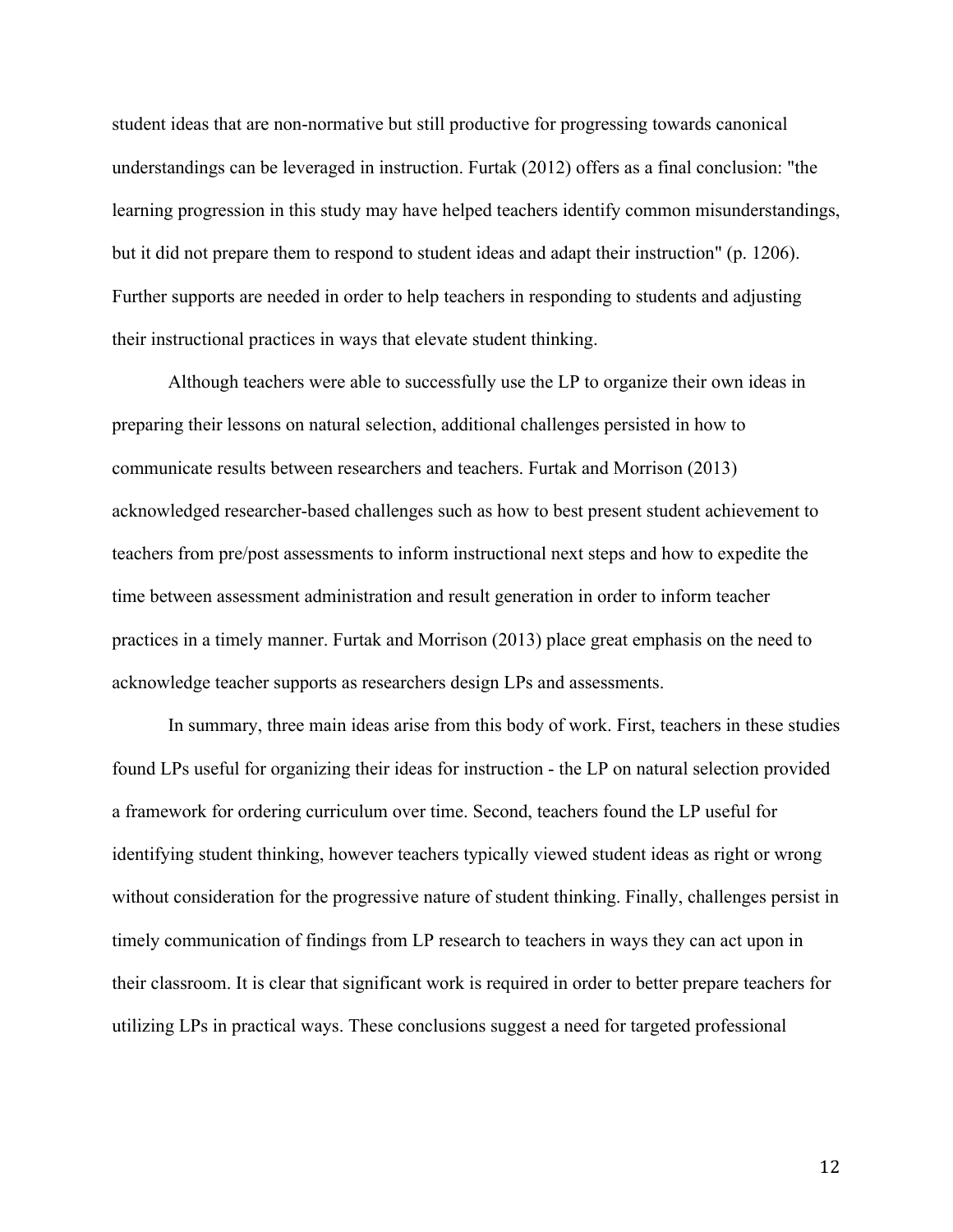student ideas that are non-normative but still productive for progressing towards canonical understandings can be leveraged in instruction. Furtak (2012) offers as a final conclusion: "the learning progression in this study may have helped teachers identify common misunderstandings, but it did not prepare them to respond to student ideas and adapt their instruction" (p. 1206). Further supports are needed in order to help teachers in responding to students and adjusting their instructional practices in ways that elevate student thinking.

Although teachers were able to successfully use the LP to organize their own ideas in preparing their lessons on natural selection, additional challenges persisted in how to communicate results between researchers and teachers. Furtak and Morrison (2013) acknowledged researcher-based challenges such as how to best present student achievement to teachers from pre/post assessments to inform instructional next steps and how to expedite the time between assessment administration and result generation in order to inform teacher practices in a timely manner. Furtak and Morrison (2013) place great emphasis on the need to acknowledge teacher supports as researchers design LPs and assessments.

In summary, three main ideas arise from this body of work. First, teachers in these studies found LPs useful for organizing their ideas for instruction - the LP on natural selection provided a framework for ordering curriculum over time. Second, teachers found the LP useful for identifying student thinking, however teachers typically viewed student ideas as right or wrong without consideration for the progressive nature of student thinking. Finally, challenges persist in timely communication of findings from LP research to teachers in ways they can act upon in their classroom. It is clear that significant work is required in order to better prepare teachers for utilizing LPs in practical ways. These conclusions suggest a need for targeted professional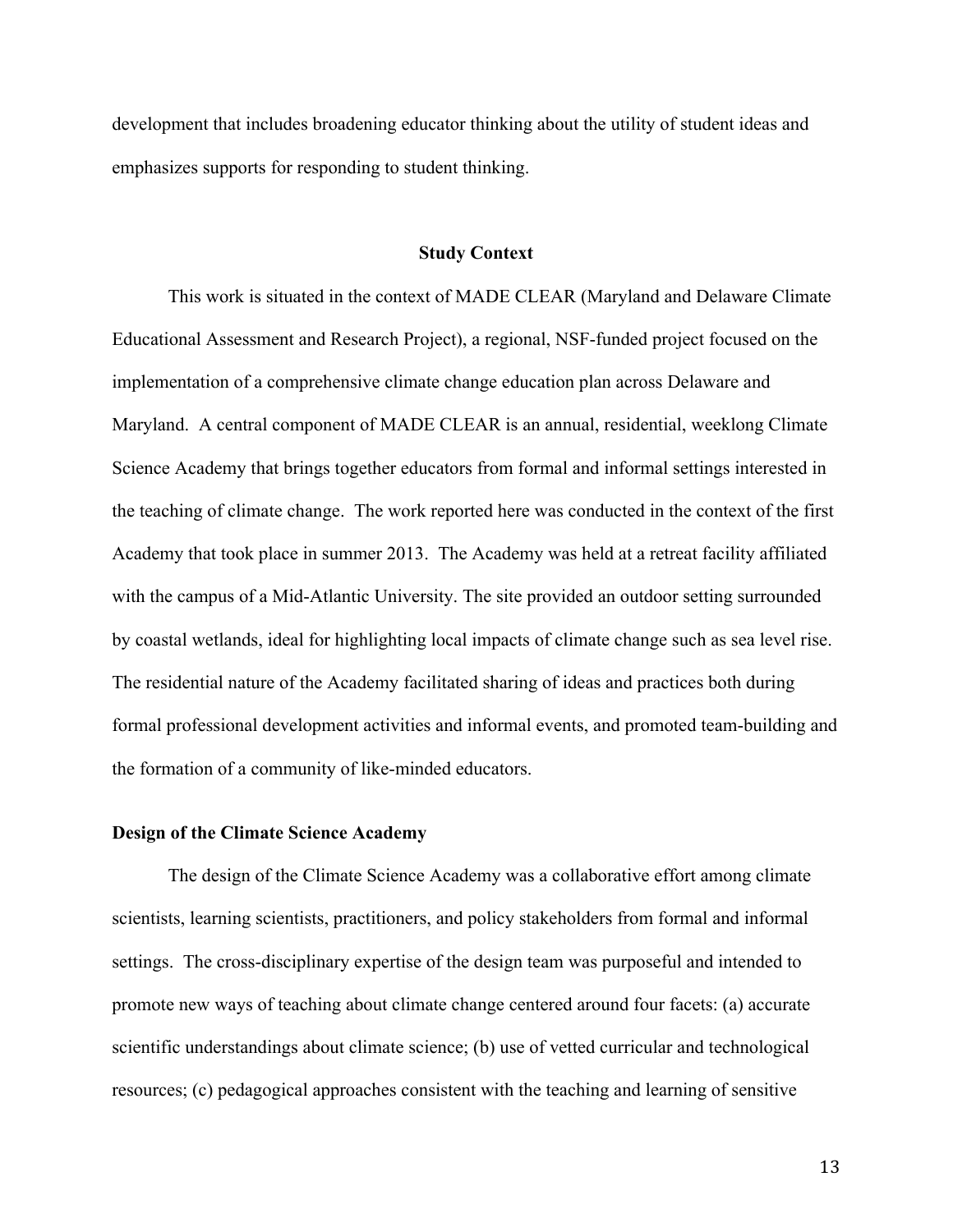development that includes broadening educator thinking about the utility of student ideas and emphasizes supports for responding to student thinking.

#### **Study Context**

This work is situated in the context of MADE CLEAR (Maryland and Delaware Climate Educational Assessment and Research Project), a regional, NSF-funded project focused on the implementation of a comprehensive climate change education plan across Delaware and Maryland. A central component of MADE CLEAR is an annual, residential, weeklong Climate Science Academy that brings together educators from formal and informal settings interested in the teaching of climate change. The work reported here was conducted in the context of the first Academy that took place in summer 2013. The Academy was held at a retreat facility affiliated with the campus of a Mid-Atlantic University. The site provided an outdoor setting surrounded by coastal wetlands, ideal for highlighting local impacts of climate change such as sea level rise. The residential nature of the Academy facilitated sharing of ideas and practices both during formal professional development activities and informal events, and promoted team-building and the formation of a community of like-minded educators.

## **Design of the Climate Science Academy**

The design of the Climate Science Academy was a collaborative effort among climate scientists, learning scientists, practitioners, and policy stakeholders from formal and informal settings. The cross-disciplinary expertise of the design team was purposeful and intended to promote new ways of teaching about climate change centered around four facets: (a) accurate scientific understandings about climate science; (b) use of vetted curricular and technological resources; (c) pedagogical approaches consistent with the teaching and learning of sensitive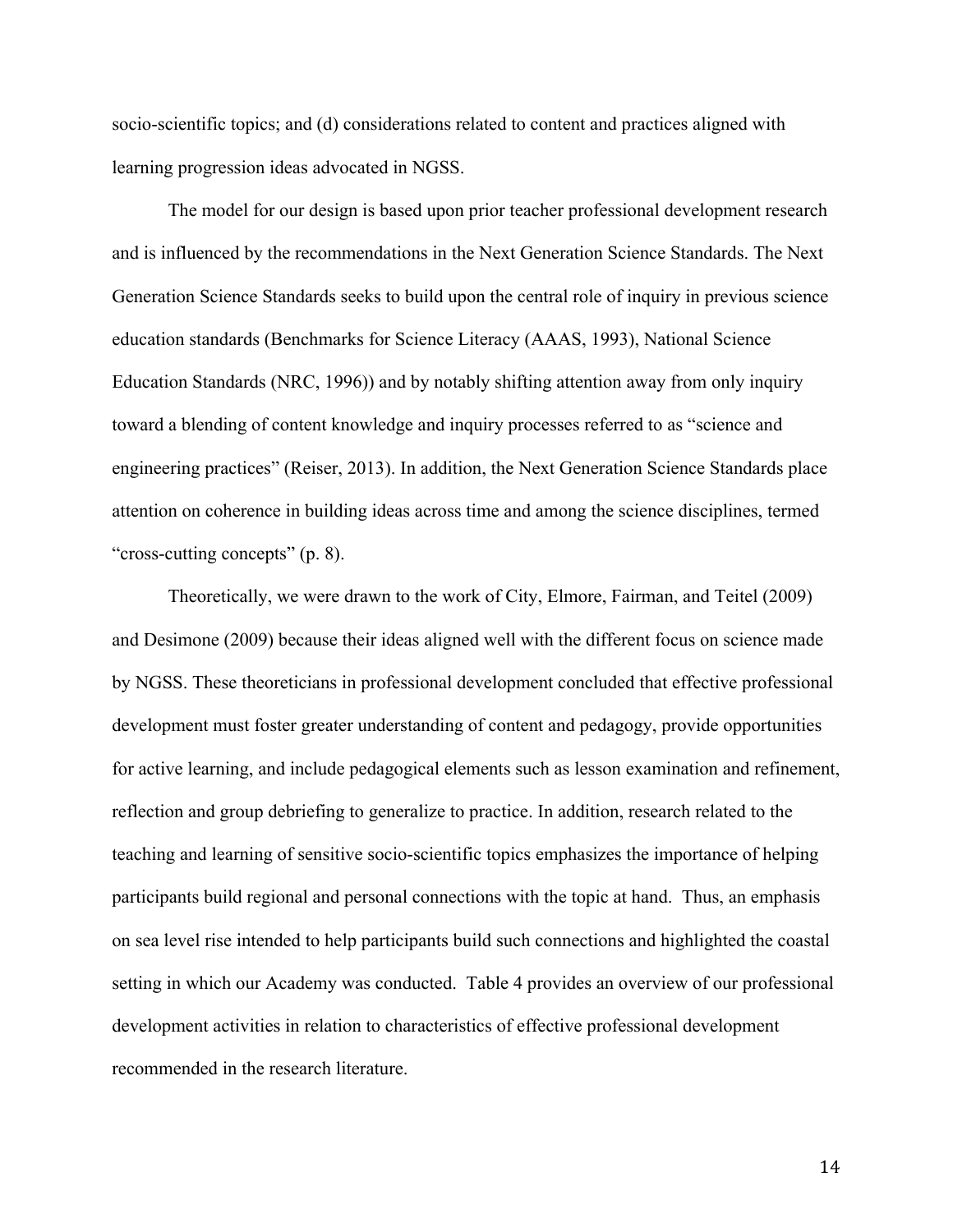socio-scientific topics; and (d) considerations related to content and practices aligned with learning progression ideas advocated in NGSS.

The model for our design is based upon prior teacher professional development research and is influenced by the recommendations in the Next Generation Science Standards. The Next Generation Science Standards seeks to build upon the central role of inquiry in previous science education standards (Benchmarks for Science Literacy (AAAS, 1993), National Science Education Standards (NRC, 1996)) and by notably shifting attention away from only inquiry toward a blending of content knowledge and inquiry processes referred to as "science and engineering practices" (Reiser, 2013). In addition, the Next Generation Science Standards place attention on coherence in building ideas across time and among the science disciplines, termed "cross-cutting concepts" (p. 8).

Theoretically, we were drawn to the work of City, Elmore, Fairman, and Teitel (2009) and Desimone (2009) because their ideas aligned well with the different focus on science made by NGSS. These theoreticians in professional development concluded that effective professional development must foster greater understanding of content and pedagogy, provide opportunities for active learning, and include pedagogical elements such as lesson examination and refinement, reflection and group debriefing to generalize to practice. In addition, research related to the teaching and learning of sensitive socio-scientific topics emphasizes the importance of helping participants build regional and personal connections with the topic at hand. Thus, an emphasis on sea level rise intended to help participants build such connections and highlighted the coastal setting in which our Academy was conducted. Table 4 provides an overview of our professional development activities in relation to characteristics of effective professional development recommended in the research literature.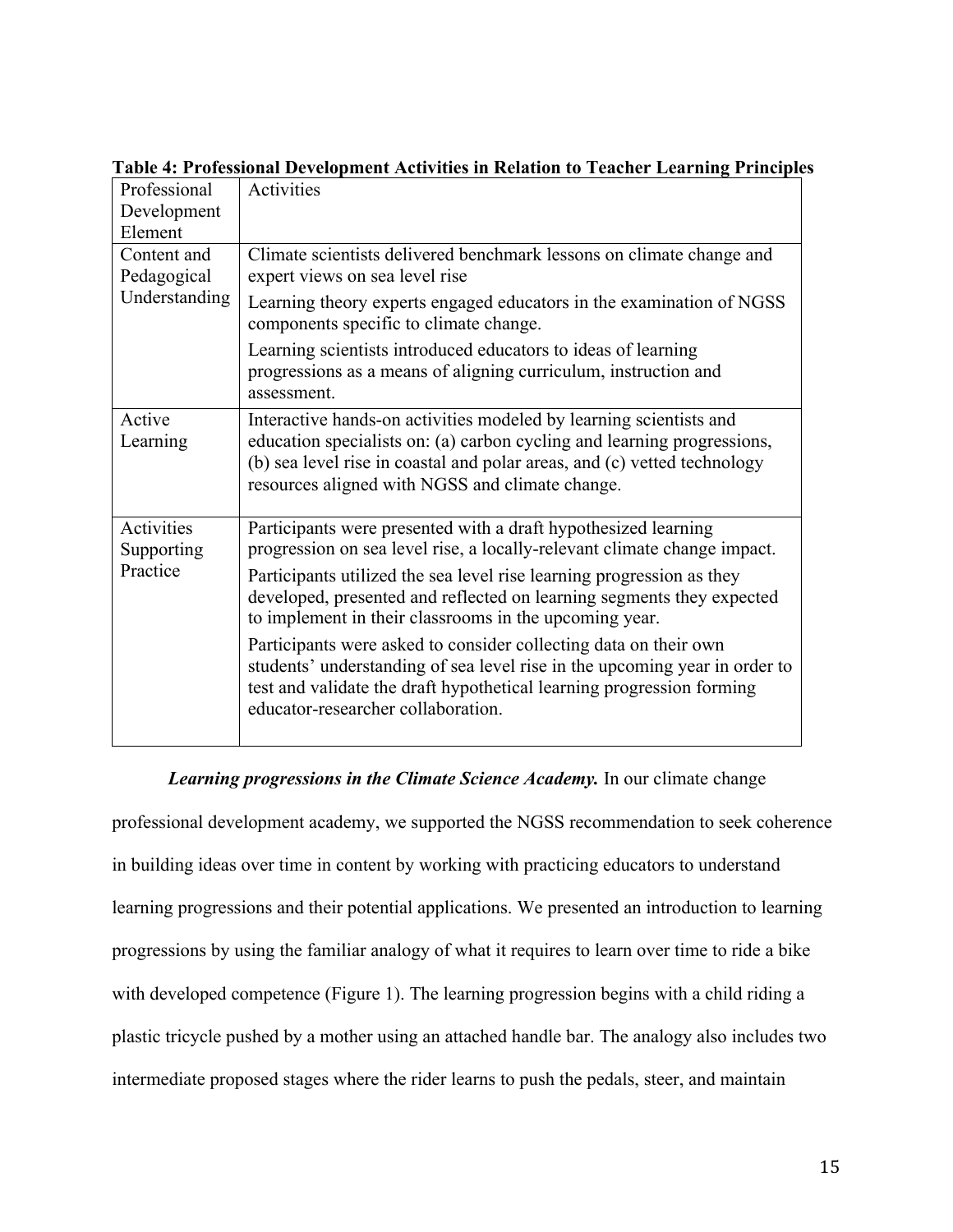| Professional      | Activities                                                                                                                      |
|-------------------|---------------------------------------------------------------------------------------------------------------------------------|
| Development       |                                                                                                                                 |
| Element           |                                                                                                                                 |
| Content and       | Climate scientists delivered benchmark lessons on climate change and                                                            |
| Pedagogical       | expert views on sea level rise                                                                                                  |
| Understanding     | Learning theory experts engaged educators in the examination of NGSS<br>components specific to climate change.                  |
|                   | Learning scientists introduced educators to ideas of learning                                                                   |
|                   | progressions as a means of aligning curriculum, instruction and<br>assessment.                                                  |
| Active            | Interactive hands-on activities modeled by learning scientists and                                                              |
| Learning          | education specialists on: (a) carbon cycling and learning progressions,                                                         |
|                   | (b) sea level rise in coastal and polar areas, and (c) vetted technology                                                        |
|                   | resources aligned with NGSS and climate change.                                                                                 |
| <b>Activities</b> | Participants were presented with a draft hypothesized learning                                                                  |
| Supporting        | progression on sea level rise, a locally-relevant climate change impact.                                                        |
| Practice          | Participants utilized the sea level rise learning progression as they                                                           |
|                   | developed, presented and reflected on learning segments they expected<br>to implement in their classrooms in the upcoming year. |
|                   | Participants were asked to consider collecting data on their own                                                                |
|                   | students' understanding of sea level rise in the upcoming year in order to                                                      |
|                   | test and validate the draft hypothetical learning progression forming<br>educator-researcher collaboration.                     |
|                   |                                                                                                                                 |

**Table 4: Professional Development Activities in Relation to Teacher Learning Principles**

*Learning progressions in the Climate Science Academy.* In our climate change

professional development academy, we supported the NGSS recommendation to seek coherence in building ideas over time in content by working with practicing educators to understand learning progressions and their potential applications. We presented an introduction to learning progressions by using the familiar analogy of what it requires to learn over time to ride a bike with developed competence (Figure 1). The learning progression begins with a child riding a plastic tricycle pushed by a mother using an attached handle bar. The analogy also includes two intermediate proposed stages where the rider learns to push the pedals, steer, and maintain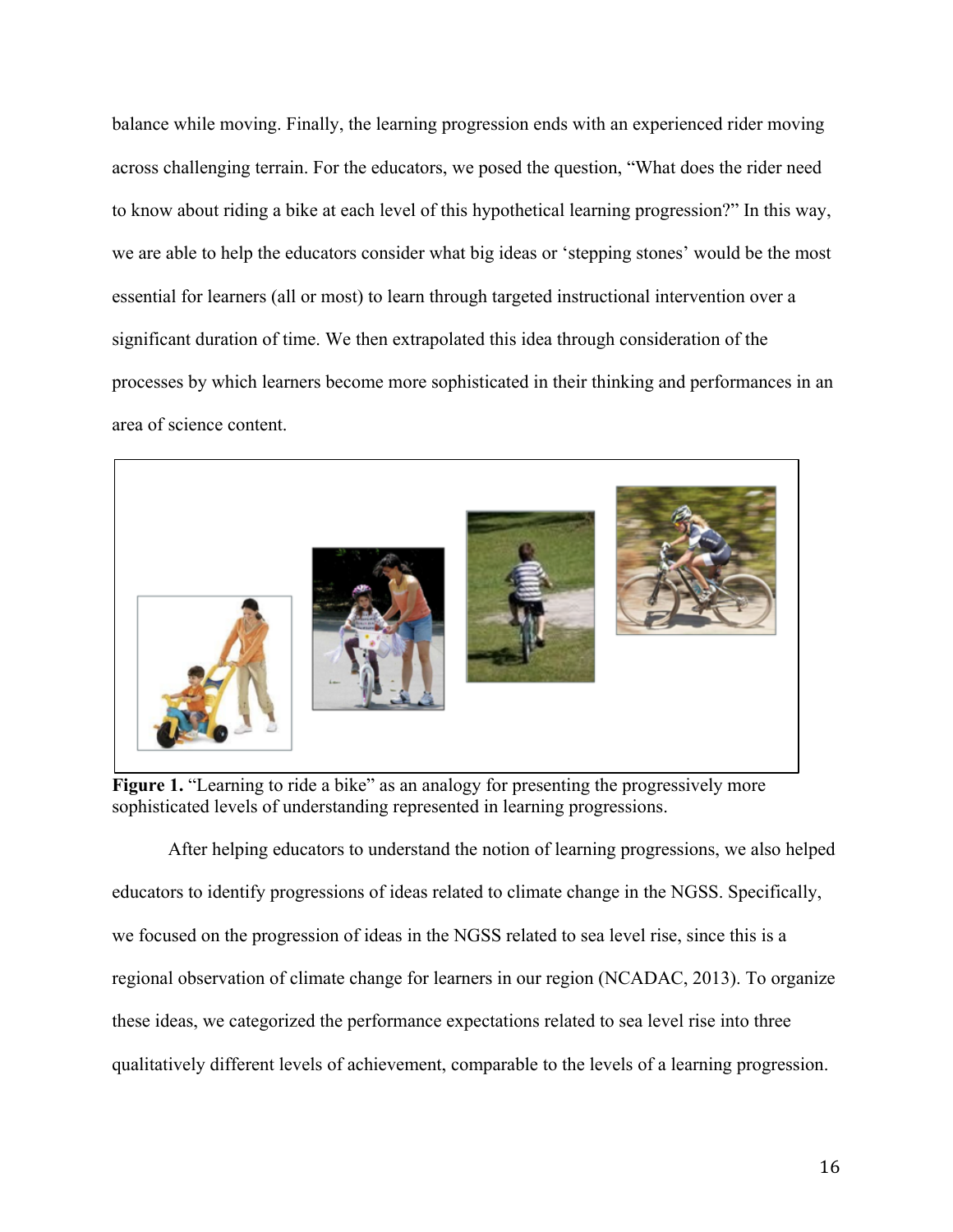balance while moving. Finally, the learning progression ends with an experienced rider moving across challenging terrain. For the educators, we posed the question, "What does the rider need to know about riding a bike at each level of this hypothetical learning progression?" In this way, we are able to help the educators consider what big ideas or 'stepping stones' would be the most essential for learners (all or most) to learn through targeted instructional intervention over a significant duration of time. We then extrapolated this idea through consideration of the processes by which learners become more sophisticated in their thinking and performances in an area of science content.



**Figure 1.** "Learning to ride a bike" as an analogy for presenting the progressively more sophisticated levels of understanding represented in learning progressions.

After helping educators to understand the notion of learning progressions, we also helped educators to identify progressions of ideas related to climate change in the NGSS. Specifically, we focused on the progression of ideas in the NGSS related to sea level rise, since this is a regional observation of climate change for learners in our region (NCADAC, 2013). To organize these ideas, we categorized the performance expectations related to sea level rise into three qualitatively different levels of achievement, comparable to the levels of a learning progression.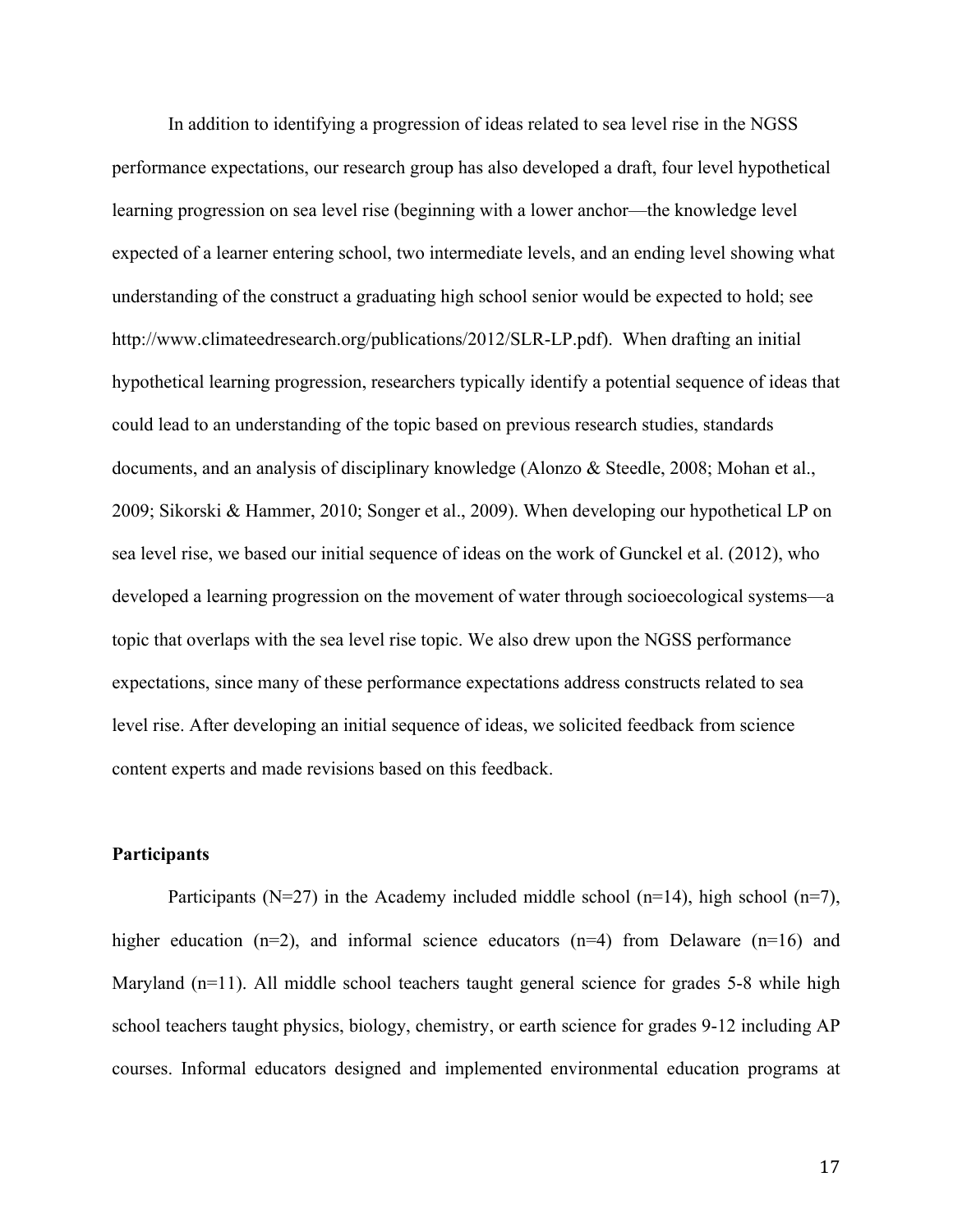In addition to identifying a progression of ideas related to sea level rise in the NGSS performance expectations, our research group has also developed a draft, four level hypothetical learning progression on sea level rise (beginning with a lower anchor—the knowledge level expected of a learner entering school, two intermediate levels, and an ending level showing what understanding of the construct a graduating high school senior would be expected to hold; see http://www.climateedresearch.org/publications/2012/SLR-LP.pdf). When drafting an initial hypothetical learning progression, researchers typically identify a potential sequence of ideas that could lead to an understanding of the topic based on previous research studies, standards documents, and an analysis of disciplinary knowledge (Alonzo & Steedle, 2008; Mohan et al., 2009; Sikorski & Hammer, 2010; Songer et al., 2009). When developing our hypothetical LP on sea level rise, we based our initial sequence of ideas on the work of Gunckel et al. (2012), who developed a learning progression on the movement of water through socioecological systems—a topic that overlaps with the sea level rise topic. We also drew upon the NGSS performance expectations, since many of these performance expectations address constructs related to sea level rise. After developing an initial sequence of ideas, we solicited feedback from science content experts and made revisions based on this feedback.

## **Participants**

Participants ( $N=27$ ) in the Academy included middle school ( $n=14$ ), high school ( $n=7$ ), higher education (n=2), and informal science educators (n=4) from Delaware (n=16) and Maryland (n=11). All middle school teachers taught general science for grades 5-8 while high school teachers taught physics, biology, chemistry, or earth science for grades 9-12 including AP courses. Informal educators designed and implemented environmental education programs at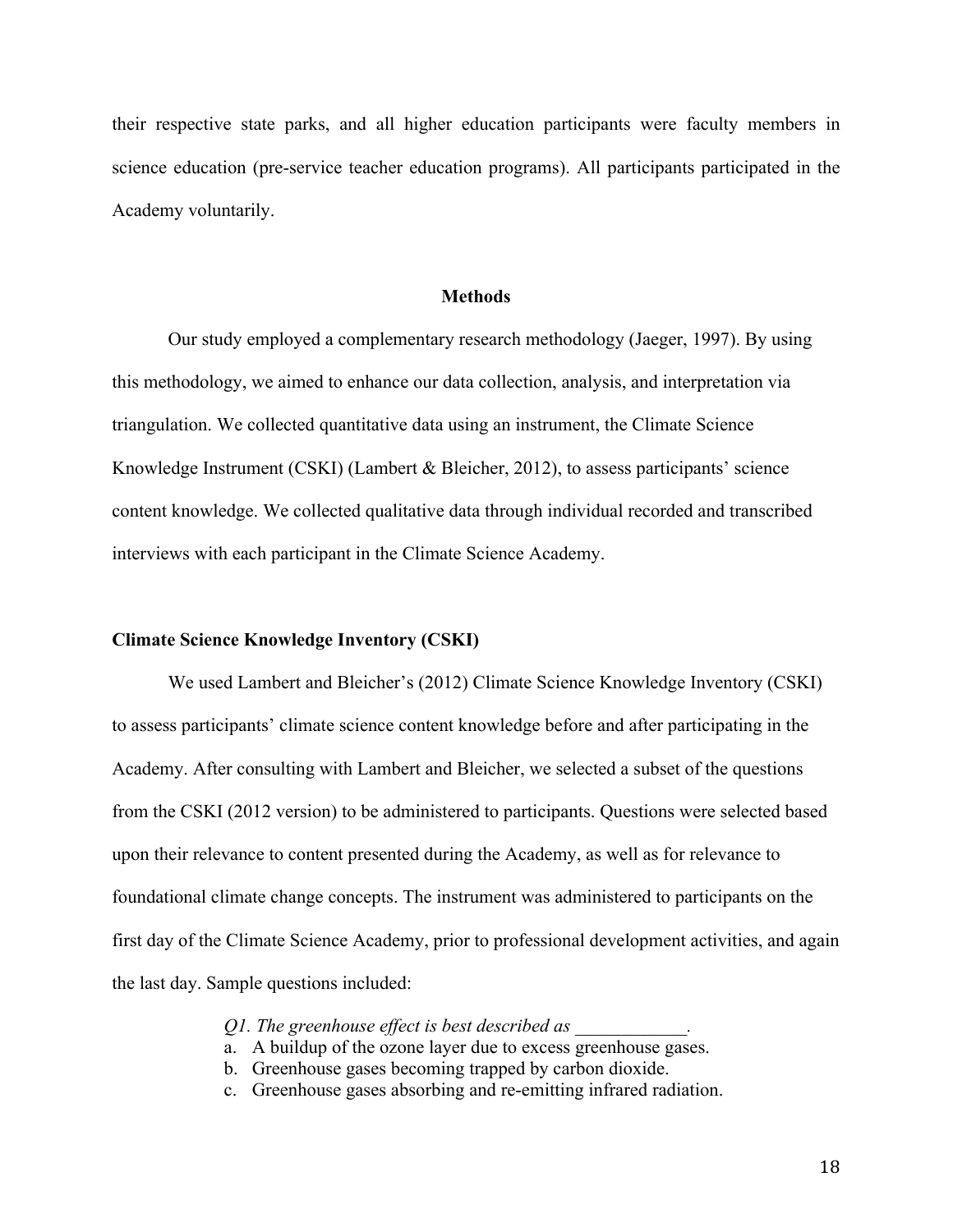their respective state parks, and all higher education participants were faculty members in science education (pre-service teacher education programs). All participants participated in the Academy voluntarily.

#### **Methods**

Our study employed a complementary research methodology (Jaeger, 1997). By using this methodology, we aimed to enhance our data collection, analysis, and interpretation via triangulation. We collected quantitative data using an instrument, the Climate Science Knowledge Instrument (CSKI) (Lambert & Bleicher, 2012), to assess participants' science content knowledge. We collected qualitative data through individual recorded and transcribed interviews with each participant in the Climate Science Academy.

#### **Climate Science Knowledge Inventory (CSKI)**

We used Lambert and Bleicher's (2012) Climate Science Knowledge Inventory (CSKI) to assess participants' climate science content knowledge before and after participating in the Academy. After consulting with Lambert and Bleicher, we selected a subset of the questions from the CSKI (2012 version) to be administered to participants. Questions were selected based upon their relevance to content presented during the Academy, as well as for relevance to foundational climate change concepts. The instrument was administered to participants on the first day of the Climate Science Academy, prior to professional development activities, and again the last day. Sample questions included:

*Q1. The greenhouse effect is best described as \_\_\_\_\_\_\_\_\_\_\_\_.*

- a. A buildup of the ozone layer due to excess greenhouse gases.
- b. Greenhouse gases becoming trapped by carbon dioxide.
- c. Greenhouse gases absorbing and re-emitting infrared radiation.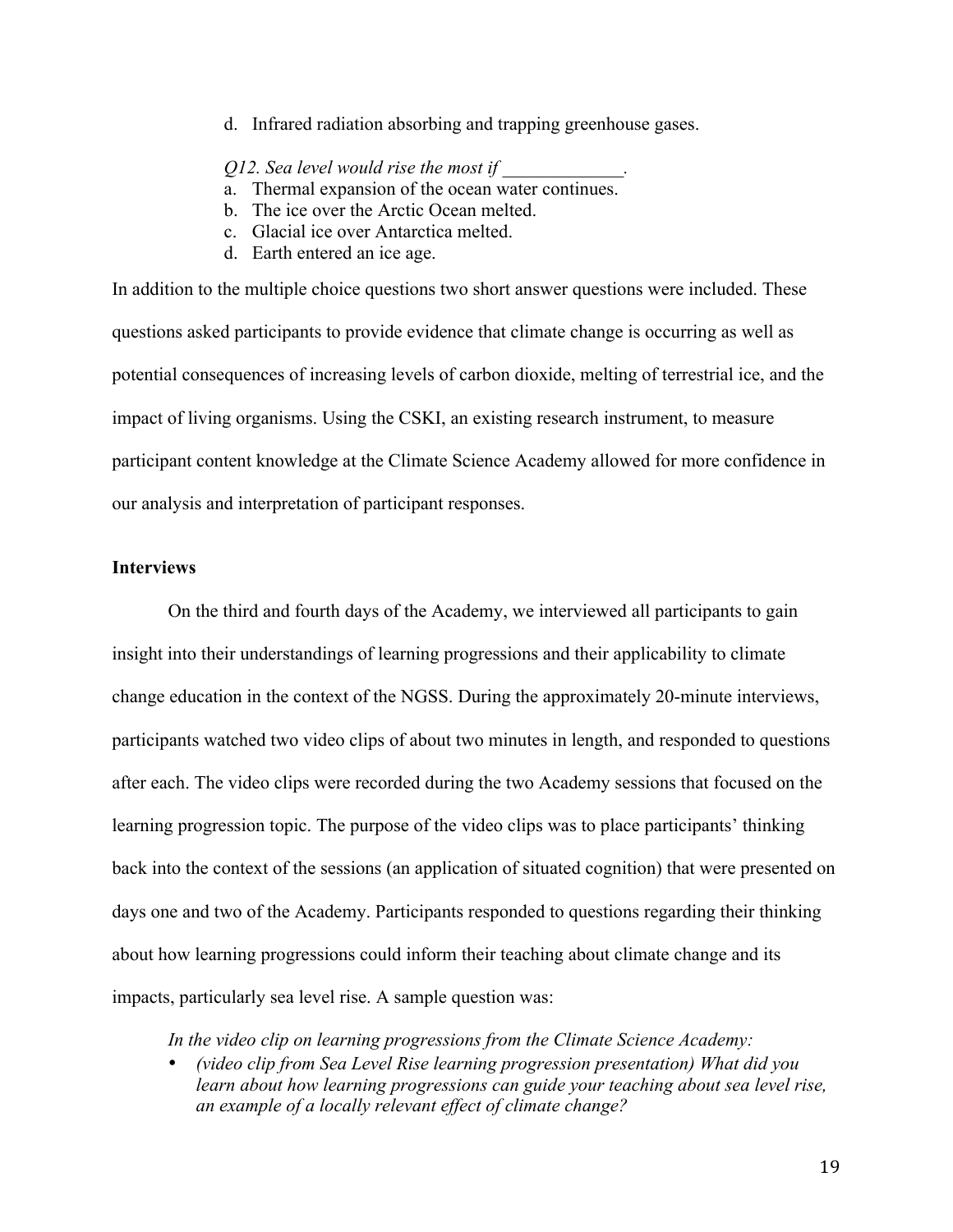d. Infrared radiation absorbing and trapping greenhouse gases.

#### *Q12. Sea level would rise the most if \_\_\_\_\_\_\_\_\_\_\_\_\_.*

- a. Thermal expansion of the ocean water continues.
- b. The ice over the Arctic Ocean melted.
- c. Glacial ice over Antarctica melted.
- d. Earth entered an ice age.

In addition to the multiple choice questions two short answer questions were included. These questions asked participants to provide evidence that climate change is occurring as well as potential consequences of increasing levels of carbon dioxide, melting of terrestrial ice, and the impact of living organisms. Using the CSKI, an existing research instrument, to measure participant content knowledge at the Climate Science Academy allowed for more confidence in our analysis and interpretation of participant responses.

# **Interviews**

On the third and fourth days of the Academy, we interviewed all participants to gain insight into their understandings of learning progressions and their applicability to climate change education in the context of the NGSS. During the approximately 20-minute interviews, participants watched two video clips of about two minutes in length, and responded to questions after each. The video clips were recorded during the two Academy sessions that focused on the learning progression topic. The purpose of the video clips was to place participants' thinking back into the context of the sessions (an application of situated cognition) that were presented on days one and two of the Academy. Participants responded to questions regarding their thinking about how learning progressions could inform their teaching about climate change and its impacts, particularly sea level rise. A sample question was:

*In the video clip on learning progressions from the Climate Science Academy:* 

• *(video clip from Sea Level Rise learning progression presentation) What did you*  learn about how learning progressions can guide your teaching about sea level rise, *an example of a locally relevant effect of climate change?*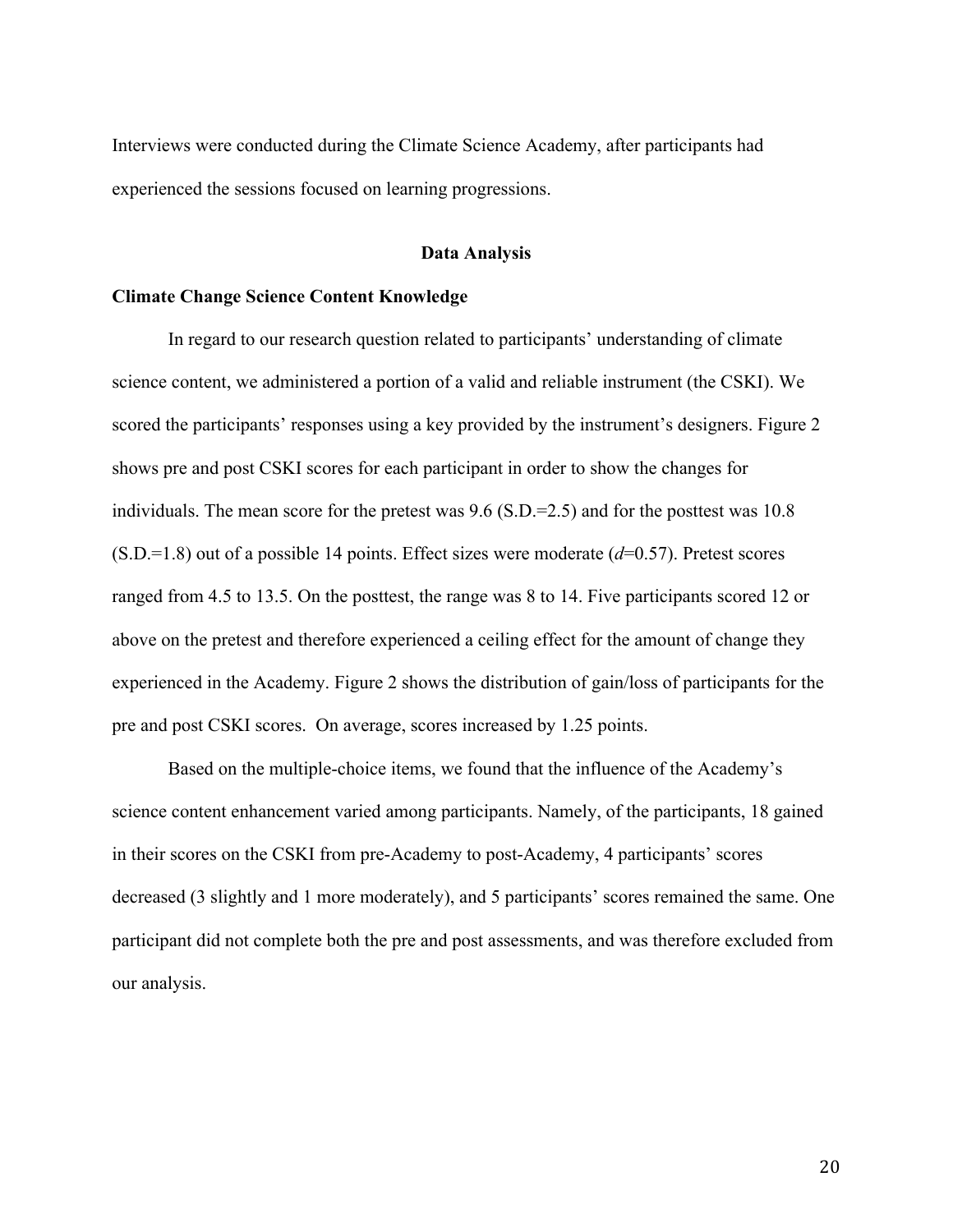Interviews were conducted during the Climate Science Academy, after participants had experienced the sessions focused on learning progressions.

# **Data Analysis**

#### **Climate Change Science Content Knowledge**

In regard to our research question related to participants' understanding of climate science content, we administered a portion of a valid and reliable instrument (the CSKI). We scored the participants' responses using a key provided by the instrument's designers. Figure 2 shows pre and post CSKI scores for each participant in order to show the changes for individuals. The mean score for the pretest was 9.6 (S.D.=2.5) and for the posttest was 10.8 (S.D.=1.8) out of a possible 14 points. Effect sizes were moderate (*d*=0.57). Pretest scores ranged from 4.5 to 13.5. On the posttest, the range was 8 to 14. Five participants scored 12 or above on the pretest and therefore experienced a ceiling effect for the amount of change they experienced in the Academy. Figure 2 shows the distribution of gain/loss of participants for the pre and post CSKI scores. On average, scores increased by 1.25 points.

Based on the multiple-choice items, we found that the influence of the Academy's science content enhancement varied among participants. Namely, of the participants, 18 gained in their scores on the CSKI from pre-Academy to post-Academy, 4 participants' scores decreased (3 slightly and 1 more moderately), and 5 participants' scores remained the same. One participant did not complete both the pre and post assessments, and was therefore excluded from our analysis.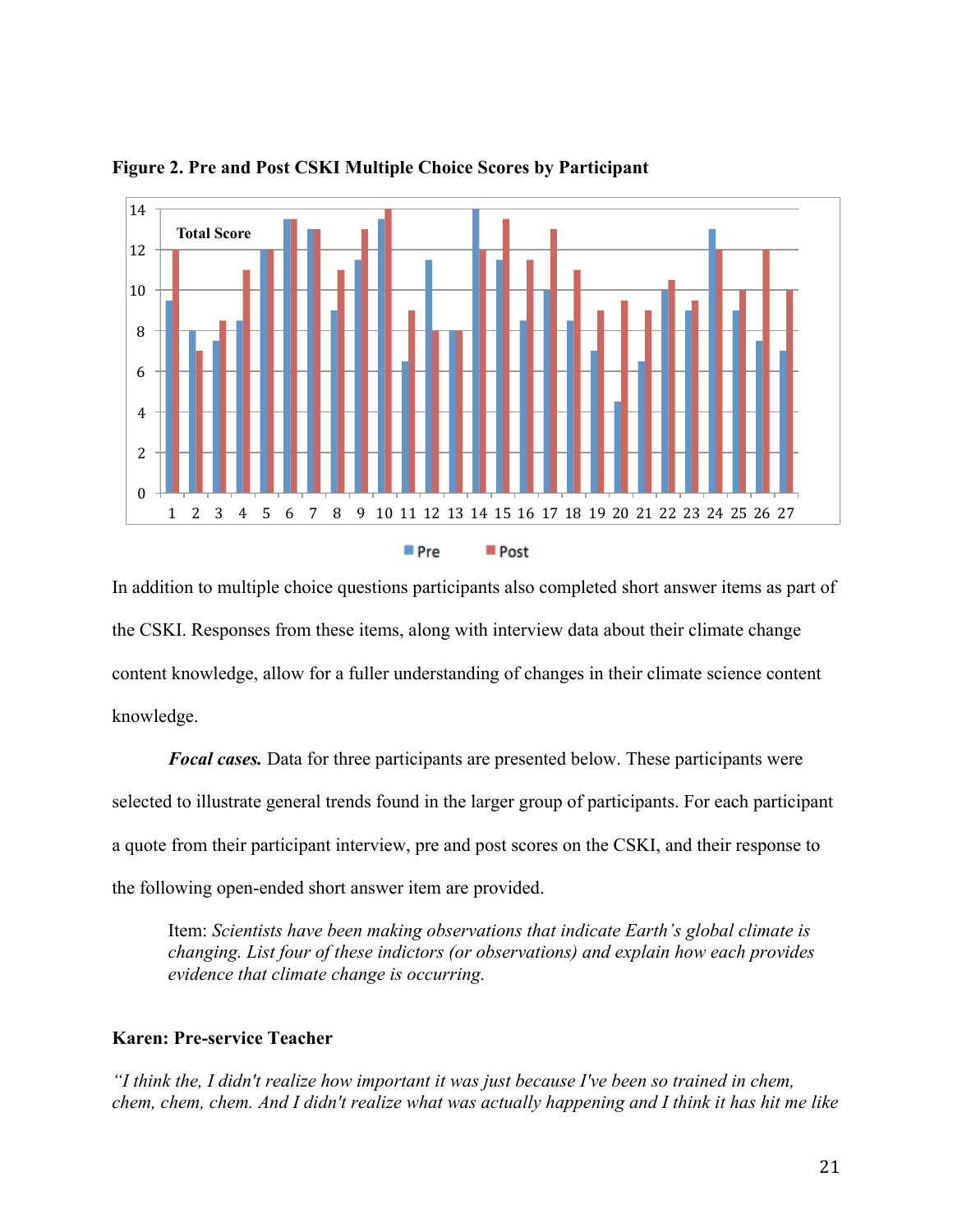

**Figure 2. Pre and Post CSKI Multiple Choice Scores by Participant**

In addition to multiple choice questions participants also completed short answer items as part of the CSKI. Responses from these items, along with interview data about their climate change content knowledge, allow for a fuller understanding of changes in their climate science content knowledge.

*Focal cases.* Data for three participants are presented below. These participants were selected to illustrate general trends found in the larger group of participants. For each participant a quote from their participant interview, pre and post scores on the CSKI, and their response to the following open-ended short answer item are provided.

Item: *Scientists have been making observations that indicate Earth's global climate is changing. List four of these indictors (or observations) and explain how each provides evidence that climate change is occurring.* 

# **Karen: Pre-service Teacher**

*"I think the, I didn't realize how important it was just because I've been so trained in chem, chem, chem, chem. And I didn't realize what was actually happening and I think it has hit me like*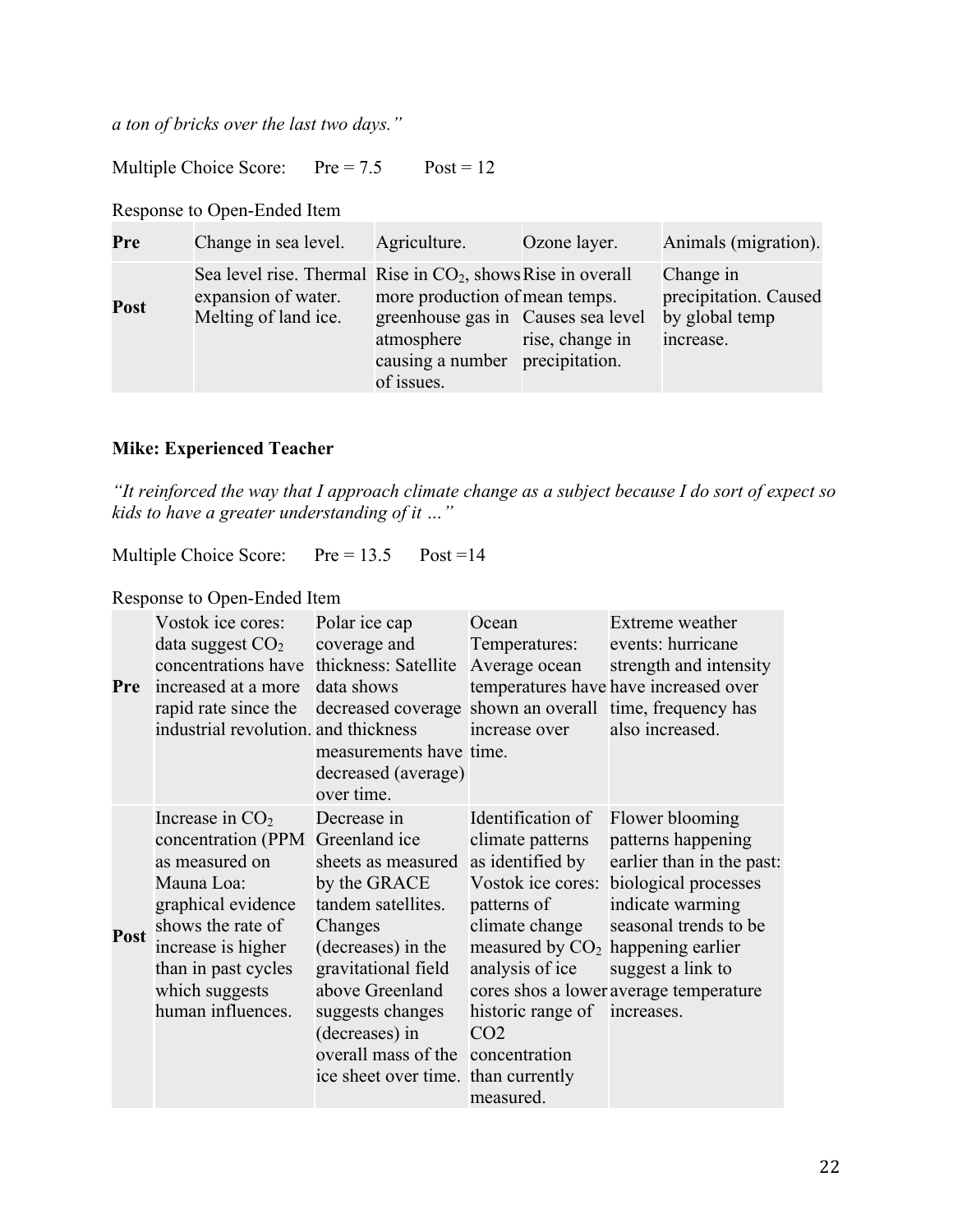*a ton of bricks over the last two days."* 

Multiple Choice Score: Pre = 7.5 Post = 12

# Response to Open-Ended Item

| Pre  | Change in sea level.                                                                                         | Agriculture.                                                                                                                        | Ozone layer.    | Animals (migration).                                              |
|------|--------------------------------------------------------------------------------------------------------------|-------------------------------------------------------------------------------------------------------------------------------------|-----------------|-------------------------------------------------------------------|
| Post | Sea level rise. Thermal Rise in $CO2$ , shows Rise in overall<br>expansion of water.<br>Melting of land ice. | more production of mean temps.<br>greenhouse gas in Causes sea level<br>atmosphere<br>causing a number precipitation.<br>of issues. | rise, change in | Change in<br>precipitation. Caused<br>by global temp<br>increase. |

# **Mike: Experienced Teacher**

*"It reinforced the way that I approach climate change as a subject because I do sort of expect so kids to have a greater understanding of it …"*

Multiple Choice Score: Pre = 13.5 Post = 14

### Response to Open-Ended Item

| Pre         | Vostok ice cores:<br>data suggest $CO2$<br>concentrations have<br>increased at a more<br>rapid rate since the<br>industrial revolution. and thickness                                                                | Polar ice cap<br>coverage and<br>thickness: Satellite<br>data shows<br>decreased coverage shown an overall time, frequency has<br>measurements have time.<br>decreased (average)<br>over time.                                                                       | Ocean<br>Temperatures:<br>Average ocean<br>increase over                                                                                                                                                                                  | Extreme weather<br>events: hurricane<br>strength and intensity<br>temperatures have have increased over<br>also increased.                                                                             |
|-------------|----------------------------------------------------------------------------------------------------------------------------------------------------------------------------------------------------------------------|----------------------------------------------------------------------------------------------------------------------------------------------------------------------------------------------------------------------------------------------------------------------|-------------------------------------------------------------------------------------------------------------------------------------------------------------------------------------------------------------------------------------------|--------------------------------------------------------------------------------------------------------------------------------------------------------------------------------------------------------|
| <b>Post</b> | Increase in $CO2$<br>concentration (PPM Greenland ice<br>as measured on<br>Mauna Loa:<br>graphical evidence<br>shows the rate of<br>increase is higher<br>than in past cycles<br>which suggests<br>human influences. | Decrease in<br>sheets as measured<br>by the GRACE<br>tandem satellites.<br>Changes<br>(decreases) in the<br>gravitational field<br>above Greenland<br>suggests changes<br>(decreases) in<br>overall mass of the concentration<br>ice sheet over time. than currently | Identification of<br>climate patterns<br>as identified by<br>Vostok ice cores:<br>patterns of<br>climate change<br>measured by $CO2$ happening earlier<br>analysis of ice<br>historic range of increases.<br>CO <sub>2</sub><br>measured. | Flower blooming<br>patterns happening<br>earlier than in the past:<br>biological processes<br>indicate warming<br>seasonal trends to be<br>suggest a link to<br>cores shos a lower average temperature |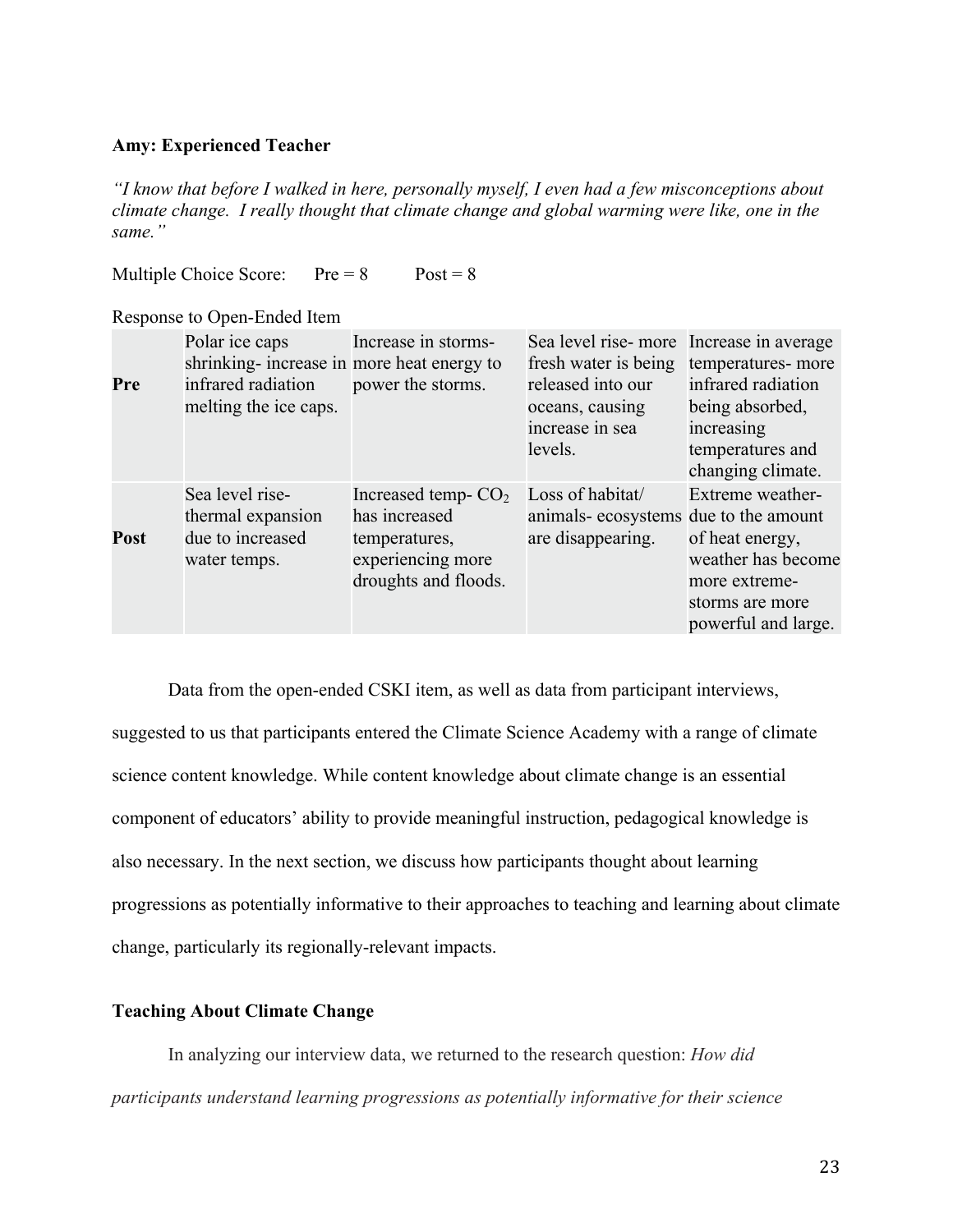#### **Amy: Experienced Teacher**

*"I know that before I walked in here, personally myself, I even had a few misconceptions about climate change. I really thought that climate change and global warming were like, one in the same."* 

Multiple Choice Score:  $Pre = 8$   $Post = 8$ 

Response to Open-Ended Item

| Pre  | Polar ice caps<br>shrinking- increase in more heat energy to<br>infrared radiation<br>melting the ice caps. | Increase in storms-<br>power the storms.                                                             | Sea level rise-more<br>fresh water is being<br>released into our<br>oceans, causing<br>increase in sea<br>levels. | Increase in average<br>temperatures- more<br>infrared radiation<br>being absorbed,<br>increasing<br>temperatures and<br>changing climate. |
|------|-------------------------------------------------------------------------------------------------------------|------------------------------------------------------------------------------------------------------|-------------------------------------------------------------------------------------------------------------------|-------------------------------------------------------------------------------------------------------------------------------------------|
| Post | Sea level rise-<br>thermal expansion<br>due to increased<br>water temps.                                    | Increased temp- $CO2$<br>has increased<br>temperatures,<br>experiencing more<br>droughts and floods. | Loss of habitat/<br>animals- ecosystems due to the amount<br>are disappearing.                                    | Extreme weather-<br>of heat energy,<br>weather has become<br>more extreme-<br>storms are more<br>powerful and large.                      |

Data from the open-ended CSKI item, as well as data from participant interviews,

suggested to us that participants entered the Climate Science Academy with a range of climate science content knowledge. While content knowledge about climate change is an essential component of educators' ability to provide meaningful instruction, pedagogical knowledge is also necessary. In the next section, we discuss how participants thought about learning progressions as potentially informative to their approaches to teaching and learning about climate change, particularly its regionally-relevant impacts.

## **Teaching About Climate Change**

In analyzing our interview data, we returned to the research question: *How did participants understand learning progressions as potentially informative for their science*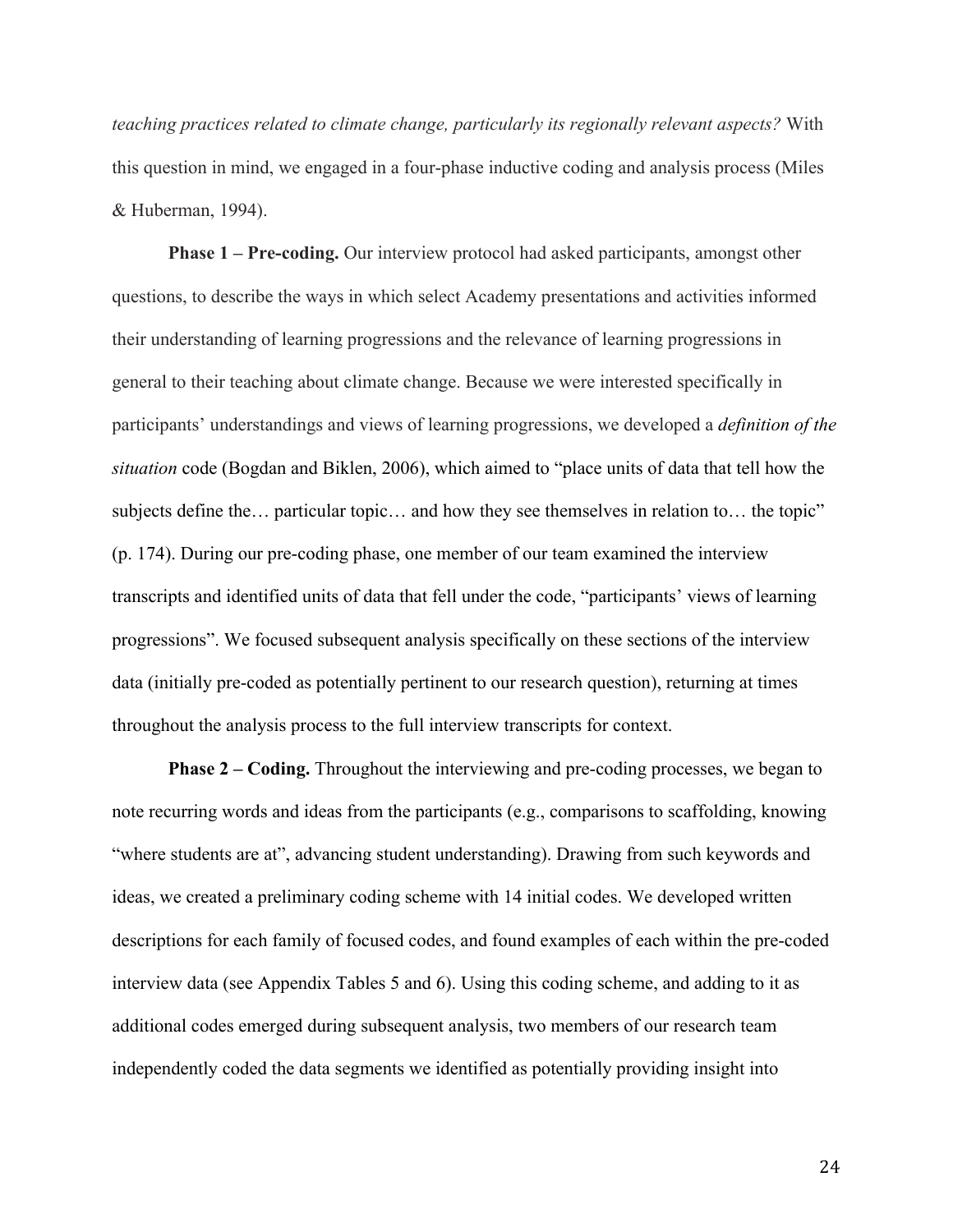*teaching practices related to climate change, particularly its regionally relevant aspects?* With this question in mind, we engaged in a four-phase inductive coding and analysis process (Miles & Huberman, 1994).

**Phase 1 – Pre-coding.** Our interview protocol had asked participants, amongst other questions, to describe the ways in which select Academy presentations and activities informed their understanding of learning progressions and the relevance of learning progressions in general to their teaching about climate change. Because we were interested specifically in participants' understandings and views of learning progressions, we developed a *definition of the situation* code (Bogdan and Biklen, 2006), which aimed to "place units of data that tell how the subjects define the… particular topic… and how they see themselves in relation to… the topic" (p. 174). During our pre-coding phase, one member of our team examined the interview transcripts and identified units of data that fell under the code, "participants' views of learning progressions". We focused subsequent analysis specifically on these sections of the interview data (initially pre-coded as potentially pertinent to our research question), returning at times throughout the analysis process to the full interview transcripts for context.

**Phase 2 – Coding.** Throughout the interviewing and pre-coding processes, we began to note recurring words and ideas from the participants (e.g., comparisons to scaffolding, knowing "where students are at", advancing student understanding). Drawing from such keywords and ideas, we created a preliminary coding scheme with 14 initial codes. We developed written descriptions for each family of focused codes, and found examples of each within the pre-coded interview data (see Appendix Tables 5 and 6). Using this coding scheme, and adding to it as additional codes emerged during subsequent analysis, two members of our research team independently coded the data segments we identified as potentially providing insight into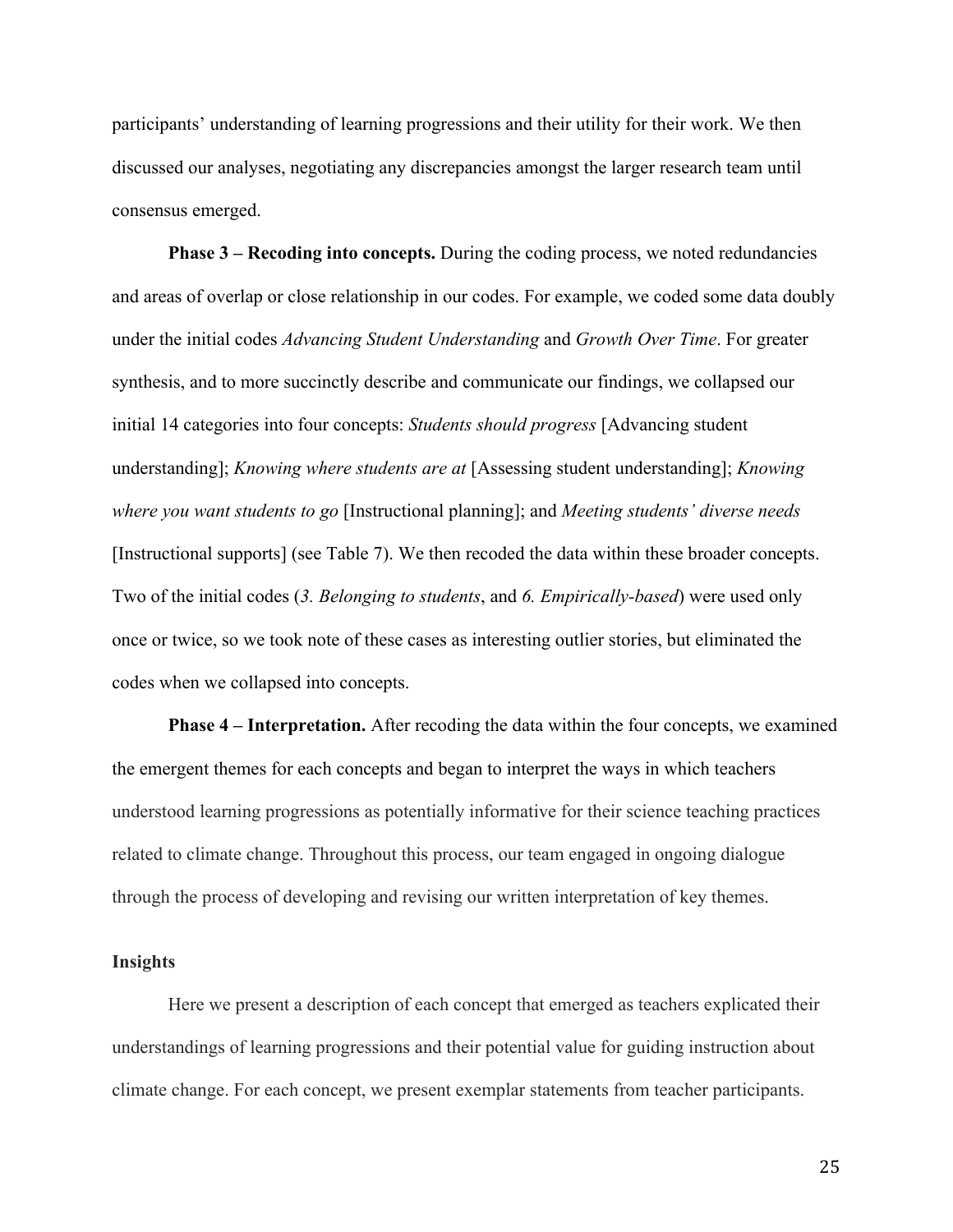participants' understanding of learning progressions and their utility for their work. We then discussed our analyses, negotiating any discrepancies amongst the larger research team until consensus emerged.

**Phase 3 – Recoding into concepts.** During the coding process, we noted redundancies and areas of overlap or close relationship in our codes. For example, we coded some data doubly under the initial codes *Advancing Student Understanding* and *Growth Over Time*. For greater synthesis, and to more succinctly describe and communicate our findings, we collapsed our initial 14 categories into four concepts: *Students should progress* [Advancing student understanding]; *Knowing where students are at* [Assessing student understanding]; *Knowing where you want students to go* [Instructional planning]; and *Meeting students' diverse needs* [Instructional supports] (see Table 7). We then recoded the data within these broader concepts. Two of the initial codes (*3. Belonging to students*, and *6. Empirically-based*) were used only once or twice, so we took note of these cases as interesting outlier stories, but eliminated the codes when we collapsed into concepts.

**Phase 4 – Interpretation.** After recoding the data within the four concepts, we examined the emergent themes for each concepts and began to interpret the ways in which teachers understood learning progressions as potentially informative for their science teaching practices related to climate change. Throughout this process, our team engaged in ongoing dialogue through the process of developing and revising our written interpretation of key themes.

#### **Insights**

Here we present a description of each concept that emerged as teachers explicated their understandings of learning progressions and their potential value for guiding instruction about climate change. For each concept, we present exemplar statements from teacher participants.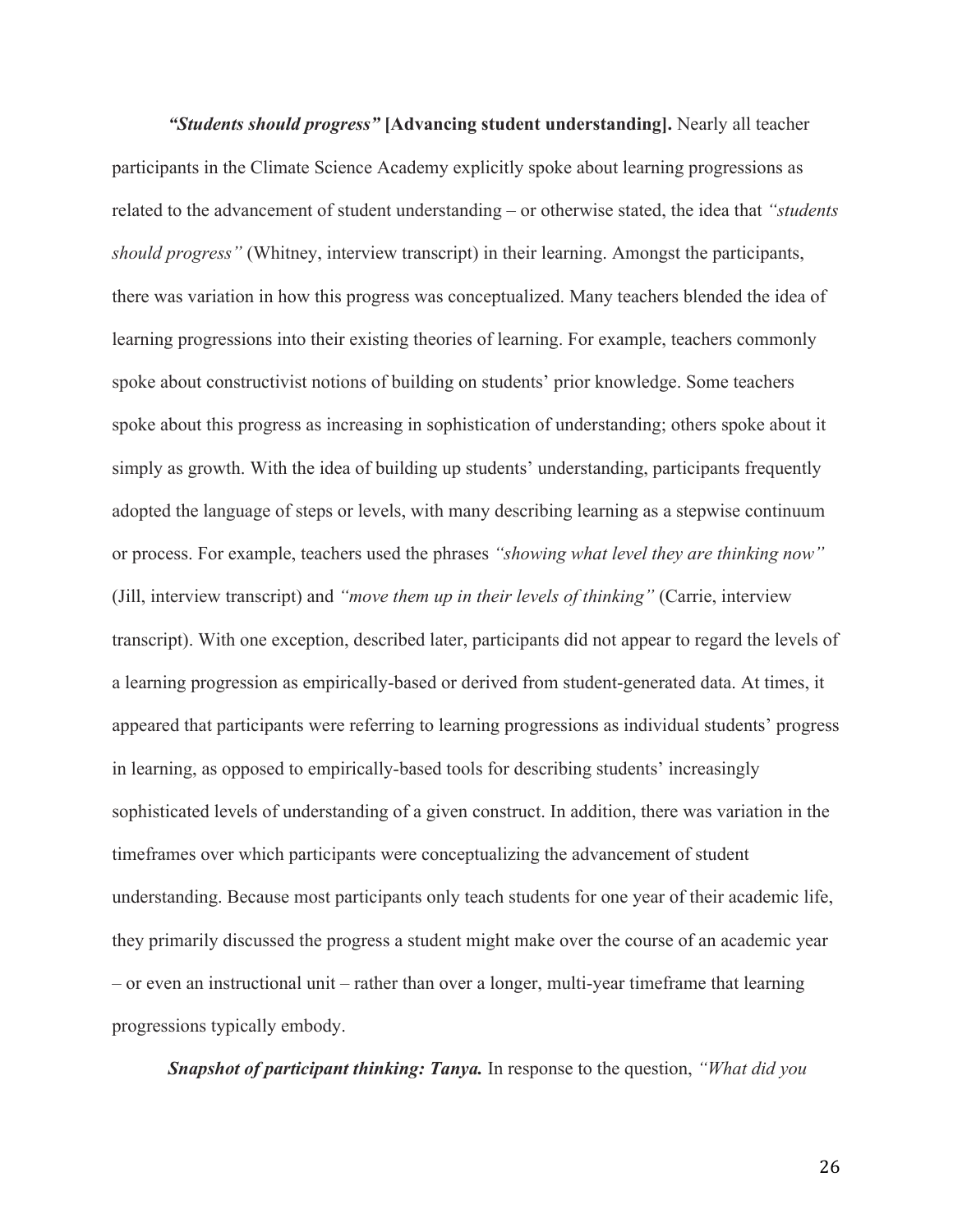*"Students should progress"* **[Advancing student understanding].** Nearly all teacher participants in the Climate Science Academy explicitly spoke about learning progressions as related to the advancement of student understanding – or otherwise stated, the idea that *"students should progress"* (Whitney, interview transcript) in their learning. Amongst the participants, there was variation in how this progress was conceptualized. Many teachers blended the idea of learning progressions into their existing theories of learning. For example, teachers commonly spoke about constructivist notions of building on students' prior knowledge. Some teachers spoke about this progress as increasing in sophistication of understanding; others spoke about it simply as growth. With the idea of building up students' understanding, participants frequently adopted the language of steps or levels, with many describing learning as a stepwise continuum or process. For example, teachers used the phrases *"showing what level they are thinking now"* (Jill, interview transcript) and *"move them up in their levels of thinking"* (Carrie, interview transcript). With one exception, described later, participants did not appear to regard the levels of a learning progression as empirically-based or derived from student-generated data. At times, it appeared that participants were referring to learning progressions as individual students' progress in learning, as opposed to empirically-based tools for describing students' increasingly sophisticated levels of understanding of a given construct. In addition, there was variation in the timeframes over which participants were conceptualizing the advancement of student understanding. Because most participants only teach students for one year of their academic life, they primarily discussed the progress a student might make over the course of an academic year – or even an instructional unit – rather than over a longer, multi-year timeframe that learning progressions typically embody.

*Snapshot of participant thinking: Tanya.* In response to the question, *"What did you*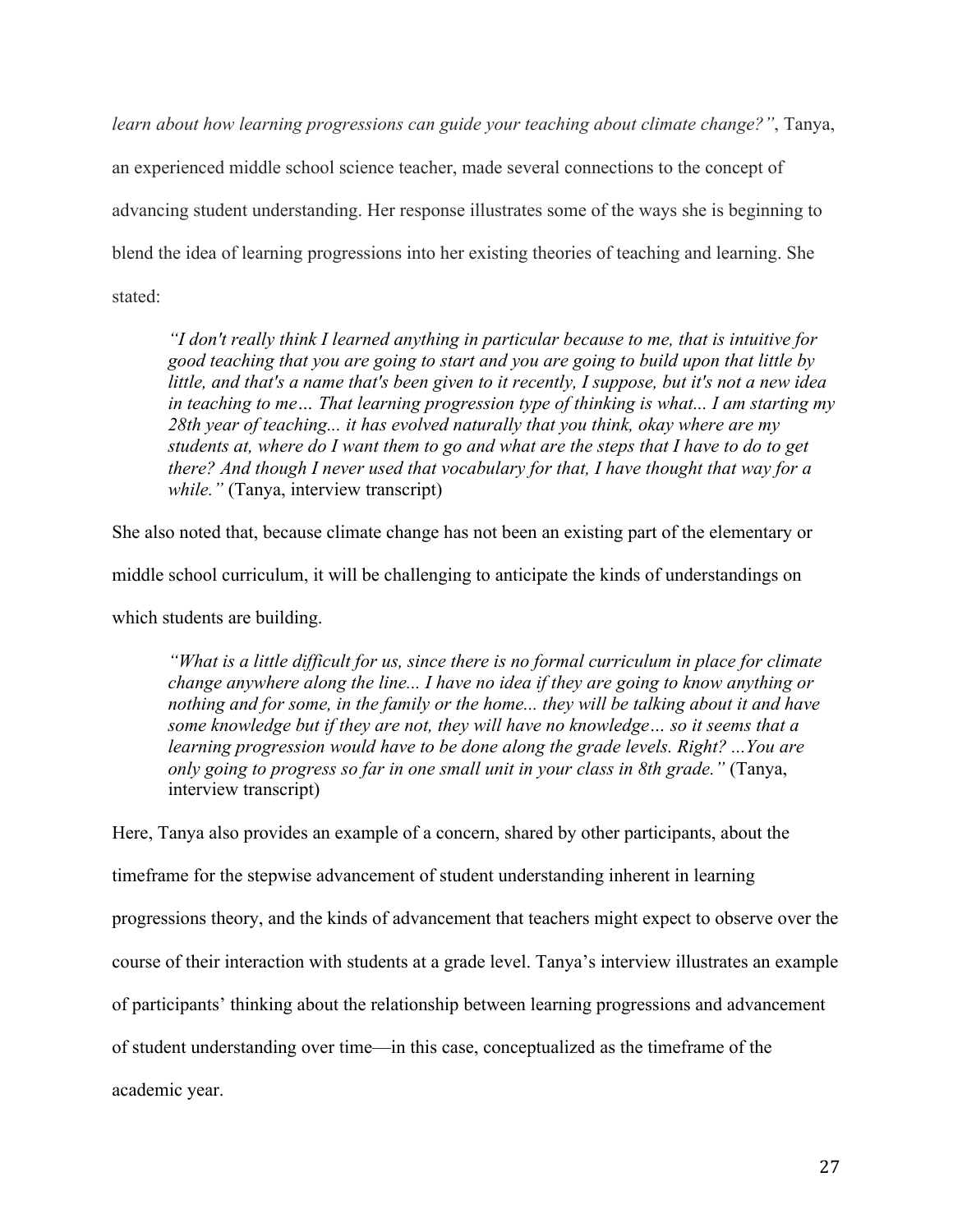*learn about how learning progressions can guide your teaching about climate change?"*, Tanya,

an experienced middle school science teacher, made several connections to the concept of advancing student understanding. Her response illustrates some of the ways she is beginning to blend the idea of learning progressions into her existing theories of teaching and learning. She stated:

*"I don't really think I learned anything in particular because to me, that is intuitive for good teaching that you are going to start and you are going to build upon that little by little, and that's a name that's been given to it recently, I suppose, but it's not a new idea in teaching to me… That learning progression type of thinking is what... I am starting my 28th year of teaching... it has evolved naturally that you think, okay where are my students at, where do I want them to go and what are the steps that I have to do to get there? And though I never used that vocabulary for that, I have thought that way for a while."* (Tanya, interview transcript)

She also noted that, because climate change has not been an existing part of the elementary or middle school curriculum, it will be challenging to anticipate the kinds of understandings on

which students are building.

*"What is a little difficult for us, since there is no formal curriculum in place for climate change anywhere along the line... I have no idea if they are going to know anything or nothing and for some, in the family or the home... they will be talking about it and have some knowledge but if they are not, they will have no knowledge… so it seems that a learning progression would have to be done along the grade levels. Right? ...You are only going to progress so far in one small unit in your class in 8th grade."* (Tanya, interview transcript)

Here, Tanya also provides an example of a concern, shared by other participants, about the timeframe for the stepwise advancement of student understanding inherent in learning progressions theory, and the kinds of advancement that teachers might expect to observe over the course of their interaction with students at a grade level. Tanya's interview illustrates an example of participants' thinking about the relationship between learning progressions and advancement of student understanding over time—in this case, conceptualized as the timeframe of the academic year.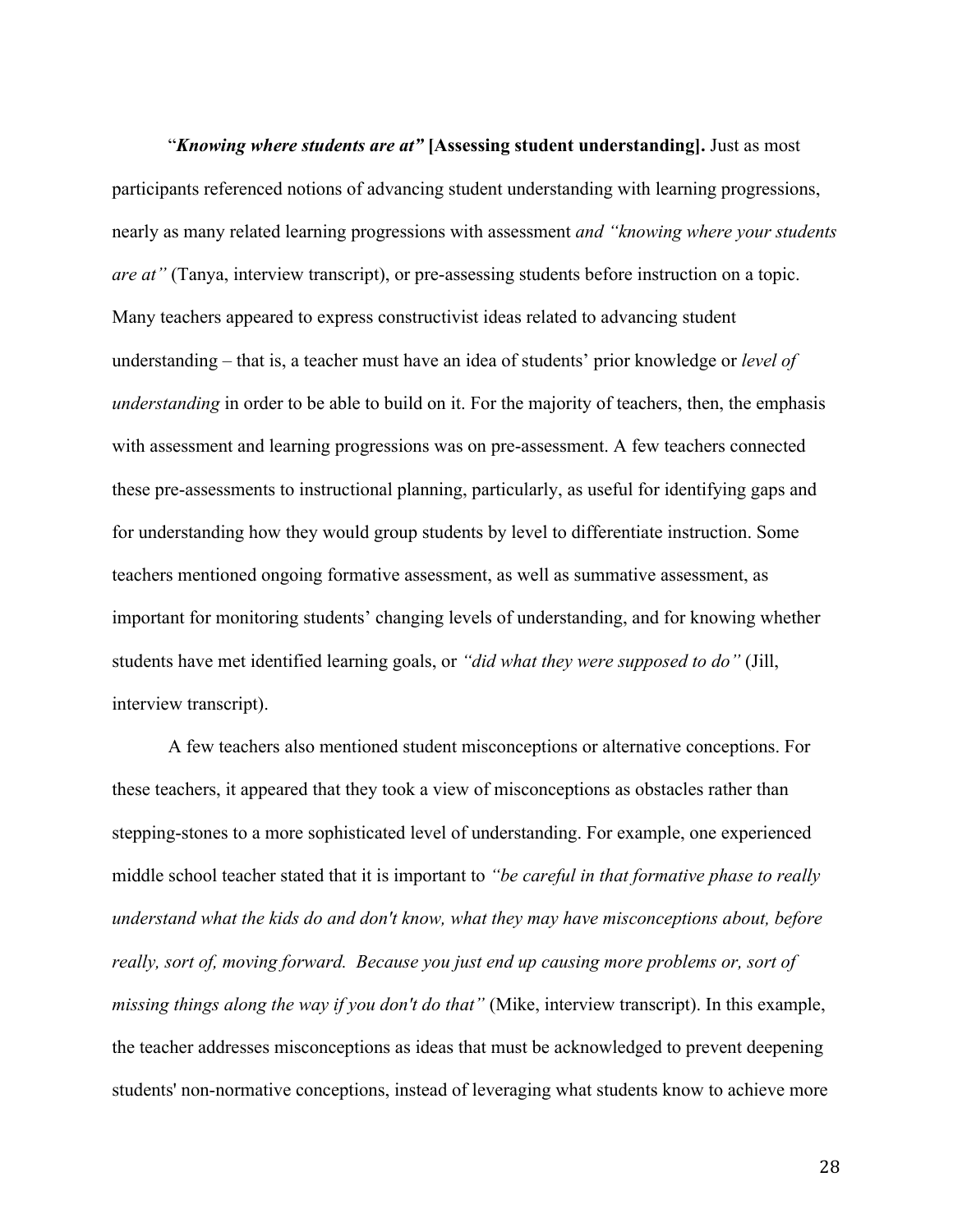"*Knowing where students are at"* **[Assessing student understanding].** Just as most participants referenced notions of advancing student understanding with learning progressions, nearly as many related learning progressions with assessment *and "knowing where your students are at"* (Tanya, interview transcript), or pre-assessing students before instruction on a topic. Many teachers appeared to express constructivist ideas related to advancing student understanding – that is, a teacher must have an idea of students' prior knowledge or *level of understanding* in order to be able to build on it. For the majority of teachers, then, the emphasis with assessment and learning progressions was on pre-assessment. A few teachers connected these pre-assessments to instructional planning, particularly, as useful for identifying gaps and for understanding how they would group students by level to differentiate instruction. Some teachers mentioned ongoing formative assessment, as well as summative assessment, as important for monitoring students' changing levels of understanding, and for knowing whether students have met identified learning goals, or *"did what they were supposed to do"* (Jill, interview transcript).

A few teachers also mentioned student misconceptions or alternative conceptions. For these teachers, it appeared that they took a view of misconceptions as obstacles rather than stepping-stones to a more sophisticated level of understanding. For example, one experienced middle school teacher stated that it is important to *"be careful in that formative phase to really understand what the kids do and don't know, what they may have misconceptions about, before really, sort of, moving forward. Because you just end up causing more problems or, sort of missing things along the way if you don't do that"* (Mike, interview transcript). In this example, the teacher addresses misconceptions as ideas that must be acknowledged to prevent deepening students' non-normative conceptions, instead of leveraging what students know to achieve more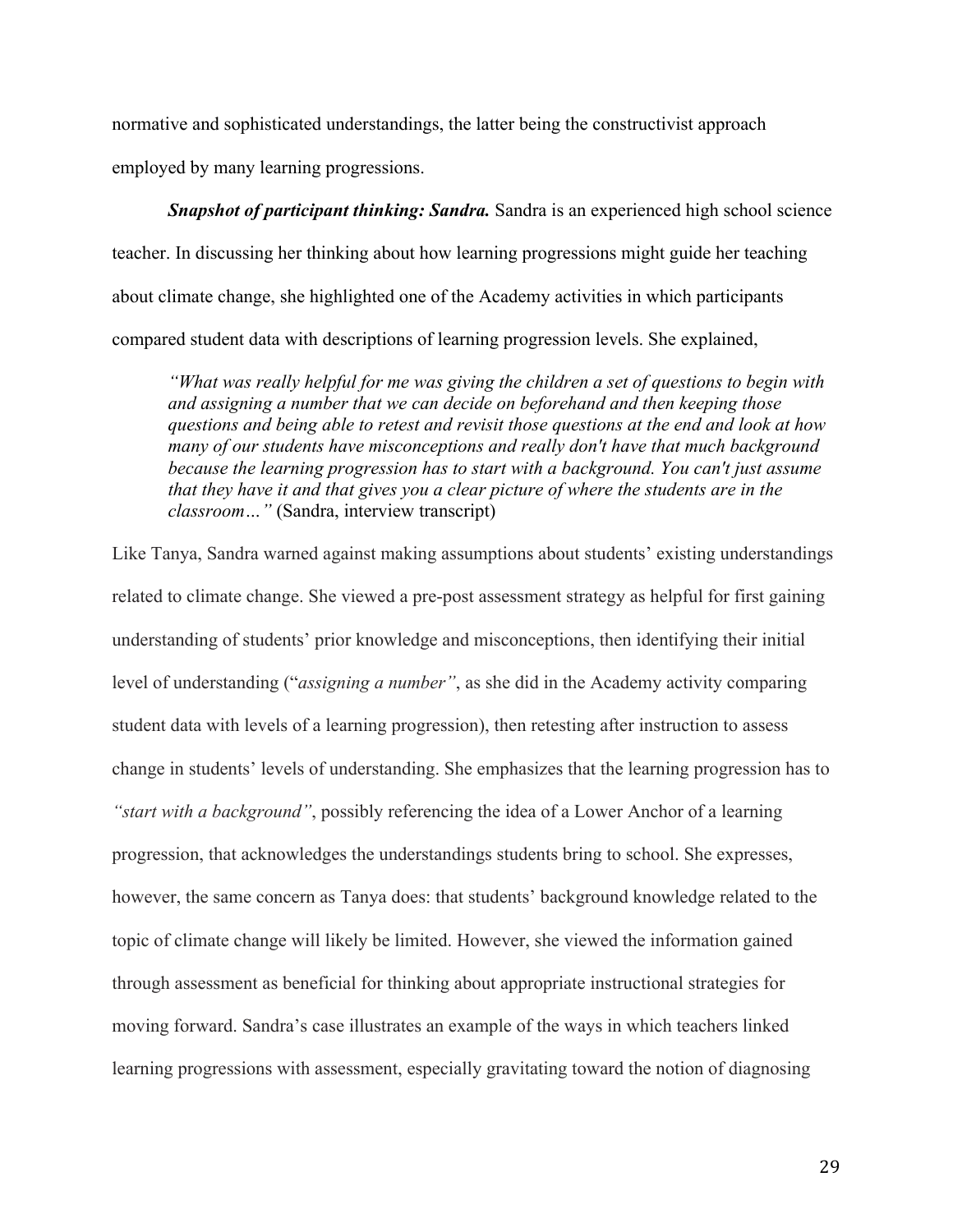normative and sophisticated understandings, the latter being the constructivist approach employed by many learning progressions.

*Snapshot of participant thinking: Sandra.* Sandra is an experienced high school science teacher. In discussing her thinking about how learning progressions might guide her teaching about climate change, she highlighted one of the Academy activities in which participants compared student data with descriptions of learning progression levels. She explained,

*"What was really helpful for me was giving the children a set of questions to begin with and assigning a number that we can decide on beforehand and then keeping those questions and being able to retest and revisit those questions at the end and look at how many of our students have misconceptions and really don't have that much background because the learning progression has to start with a background. You can't just assume that they have it and that gives you a clear picture of where the students are in the classroom…"* (Sandra, interview transcript)

Like Tanya, Sandra warned against making assumptions about students' existing understandings related to climate change. She viewed a pre-post assessment strategy as helpful for first gaining understanding of students' prior knowledge and misconceptions, then identifying their initial level of understanding ("*assigning a number"*, as she did in the Academy activity comparing student data with levels of a learning progression), then retesting after instruction to assess change in students' levels of understanding. She emphasizes that the learning progression has to *"start with a background"*, possibly referencing the idea of a Lower Anchor of a learning progression, that acknowledges the understandings students bring to school. She expresses, however, the same concern as Tanya does: that students' background knowledge related to the topic of climate change will likely be limited. However, she viewed the information gained through assessment as beneficial for thinking about appropriate instructional strategies for moving forward. Sandra's case illustrates an example of the ways in which teachers linked learning progressions with assessment, especially gravitating toward the notion of diagnosing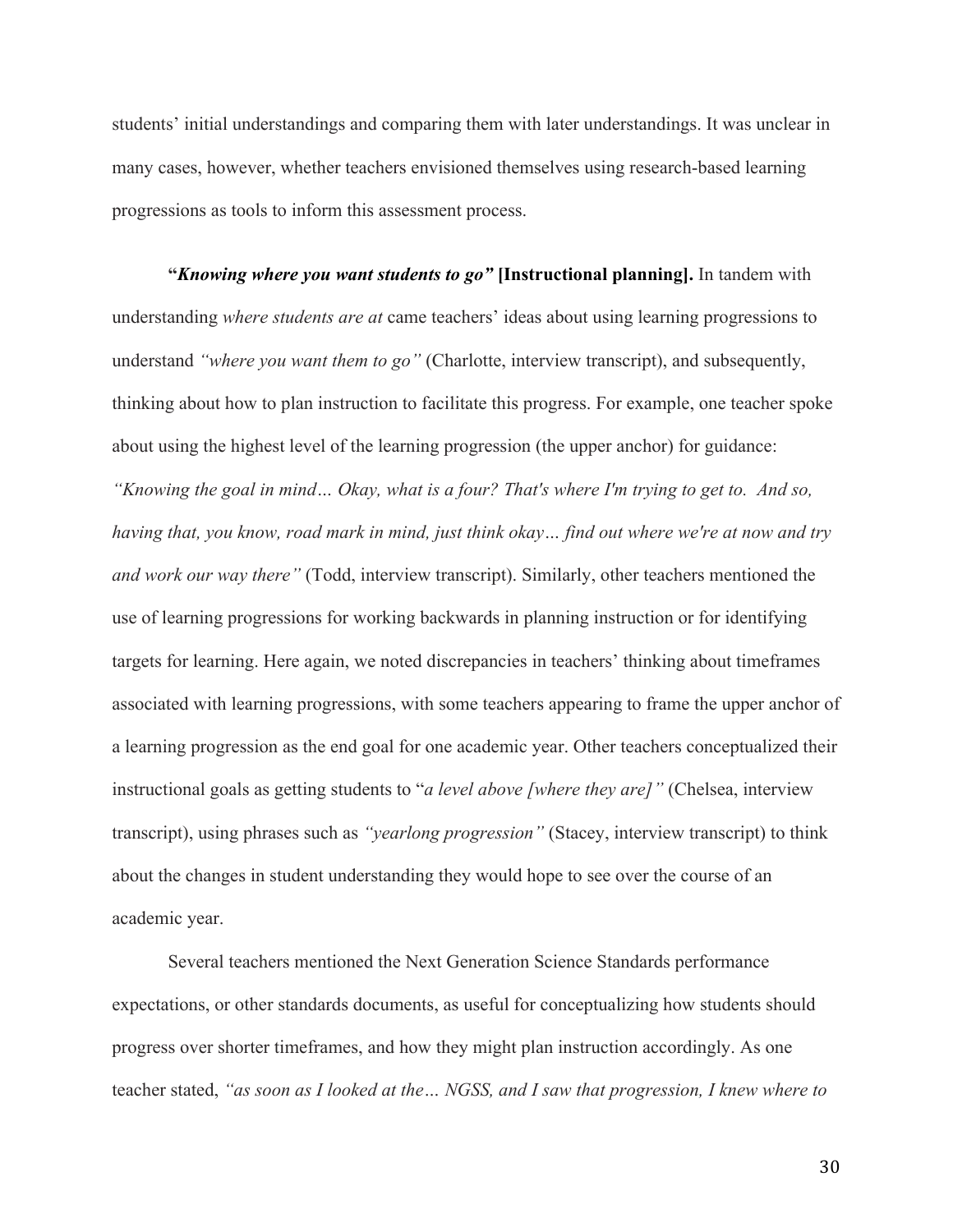students' initial understandings and comparing them with later understandings. It was unclear in many cases, however, whether teachers envisioned themselves using research-based learning progressions as tools to inform this assessment process.

**"***Knowing where you want students to go"* **[Instructional planning].** In tandem with understanding *where students are at* came teachers' ideas about using learning progressions to understand *"where you want them to go"* (Charlotte, interview transcript), and subsequently, thinking about how to plan instruction to facilitate this progress. For example, one teacher spoke about using the highest level of the learning progression (the upper anchor) for guidance: *"Knowing the goal in mind… Okay, what is a four? That's where I'm trying to get to. And so, having that, you know, road mark in mind, just think okay… find out where we're at now and try and work our way there"* (Todd, interview transcript). Similarly, other teachers mentioned the use of learning progressions for working backwards in planning instruction or for identifying targets for learning. Here again, we noted discrepancies in teachers' thinking about timeframes associated with learning progressions, with some teachers appearing to frame the upper anchor of a learning progression as the end goal for one academic year. Other teachers conceptualized their instructional goals as getting students to "*a level above [where they are]"* (Chelsea, interview transcript), using phrases such as *"yearlong progression"* (Stacey, interview transcript) to think about the changes in student understanding they would hope to see over the course of an academic year.

Several teachers mentioned the Next Generation Science Standards performance expectations, or other standards documents, as useful for conceptualizing how students should progress over shorter timeframes, and how they might plan instruction accordingly. As one teacher stated, *"as soon as I looked at the… NGSS, and I saw that progression, I knew where to*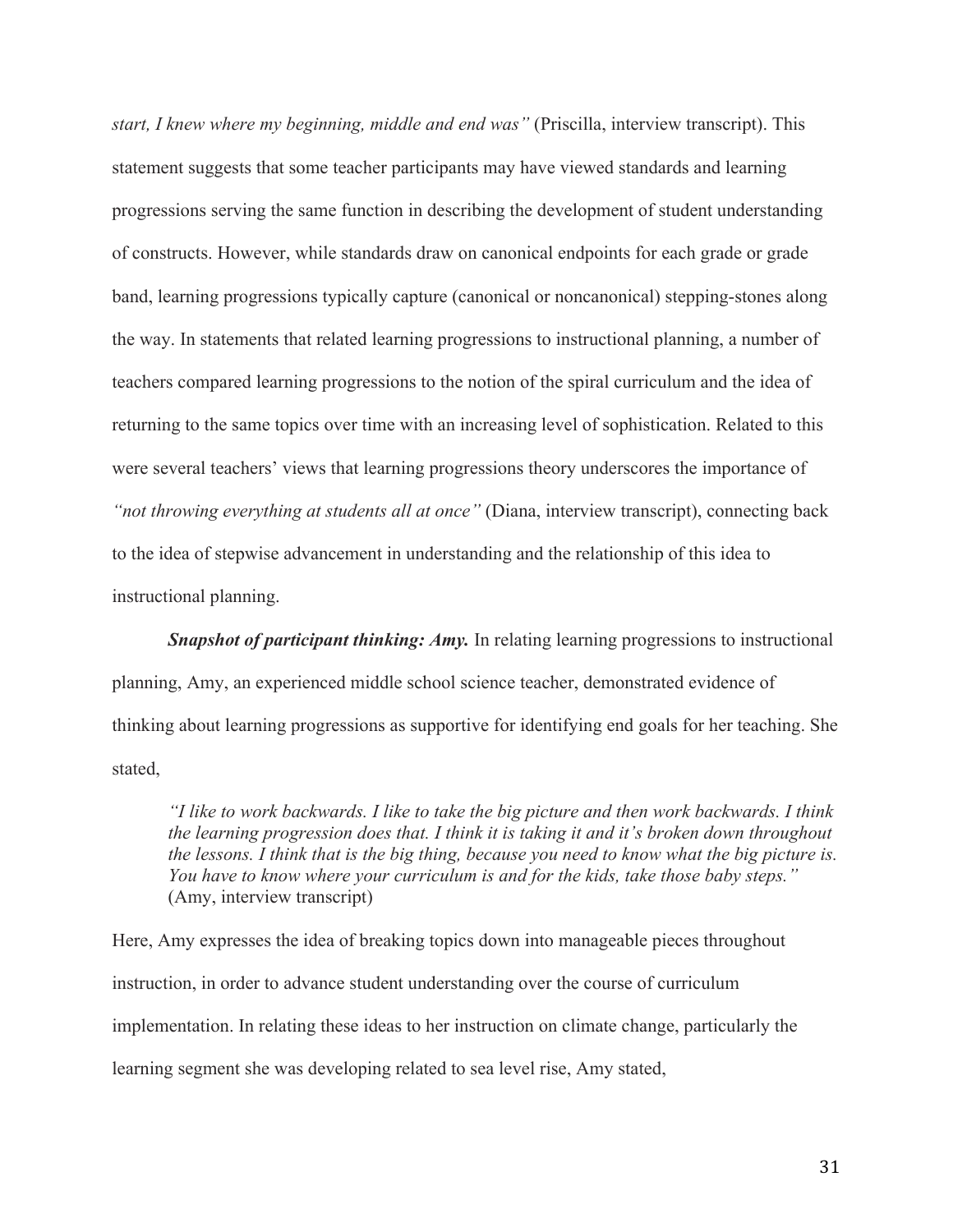*start, I knew where my beginning, middle and end was"* (Priscilla, interview transcript). This statement suggests that some teacher participants may have viewed standards and learning progressions serving the same function in describing the development of student understanding of constructs. However, while standards draw on canonical endpoints for each grade or grade band, learning progressions typically capture (canonical or noncanonical) stepping-stones along the way. In statements that related learning progressions to instructional planning, a number of teachers compared learning progressions to the notion of the spiral curriculum and the idea of returning to the same topics over time with an increasing level of sophistication. Related to this were several teachers' views that learning progressions theory underscores the importance of *"not throwing everything at students all at once"* (Diana, interview transcript), connecting back to the idea of stepwise advancement in understanding and the relationship of this idea to instructional planning.

**Snapshot of participant thinking: Amy.** In relating learning progressions to instructional planning, Amy, an experienced middle school science teacher, demonstrated evidence of thinking about learning progressions as supportive for identifying end goals for her teaching. She stated,

*"I like to work backwards. I like to take the big picture and then work backwards. I think the learning progression does that. I think it is taking it and it's broken down throughout the lessons. I think that is the big thing, because you need to know what the big picture is. You have to know where your curriculum is and for the kids, take those baby steps."*  (Amy, interview transcript)

Here, Amy expresses the idea of breaking topics down into manageable pieces throughout instruction, in order to advance student understanding over the course of curriculum implementation. In relating these ideas to her instruction on climate change, particularly the learning segment she was developing related to sea level rise, Amy stated,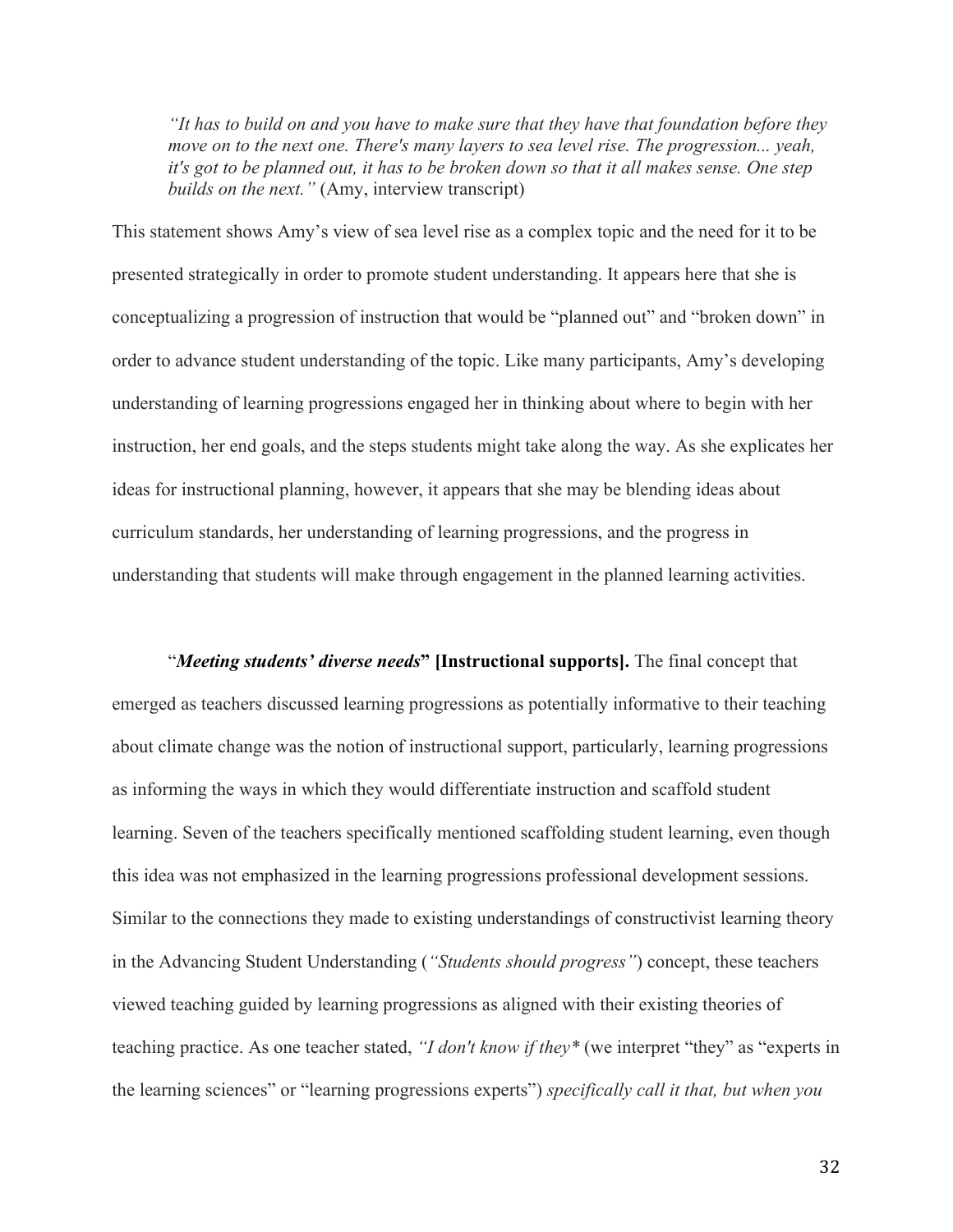*"It has to build on and you have to make sure that they have that foundation before they move on to the next one. There's many layers to sea level rise. The progression... yeah, it's got to be planned out, it has to be broken down so that it all makes sense. One step builds on the next."* (Amy, interview transcript)

This statement shows Amy's view of sea level rise as a complex topic and the need for it to be presented strategically in order to promote student understanding. It appears here that she is conceptualizing a progression of instruction that would be "planned out" and "broken down" in order to advance student understanding of the topic. Like many participants, Amy's developing understanding of learning progressions engaged her in thinking about where to begin with her instruction, her end goals, and the steps students might take along the way. As she explicates her ideas for instructional planning, however, it appears that she may be blending ideas about curriculum standards, her understanding of learning progressions, and the progress in understanding that students will make through engagement in the planned learning activities.

"*Meeting students' diverse needs***" [Instructional supports].** The final concept that emerged as teachers discussed learning progressions as potentially informative to their teaching about climate change was the notion of instructional support, particularly, learning progressions as informing the ways in which they would differentiate instruction and scaffold student learning. Seven of the teachers specifically mentioned scaffolding student learning, even though this idea was not emphasized in the learning progressions professional development sessions. Similar to the connections they made to existing understandings of constructivist learning theory in the Advancing Student Understanding (*"Students should progress"*) concept, these teachers viewed teaching guided by learning progressions as aligned with their existing theories of teaching practice. As one teacher stated, *"I don't know if they\** (we interpret "they" as "experts in the learning sciences" or "learning progressions experts") *specifically call it that, but when you*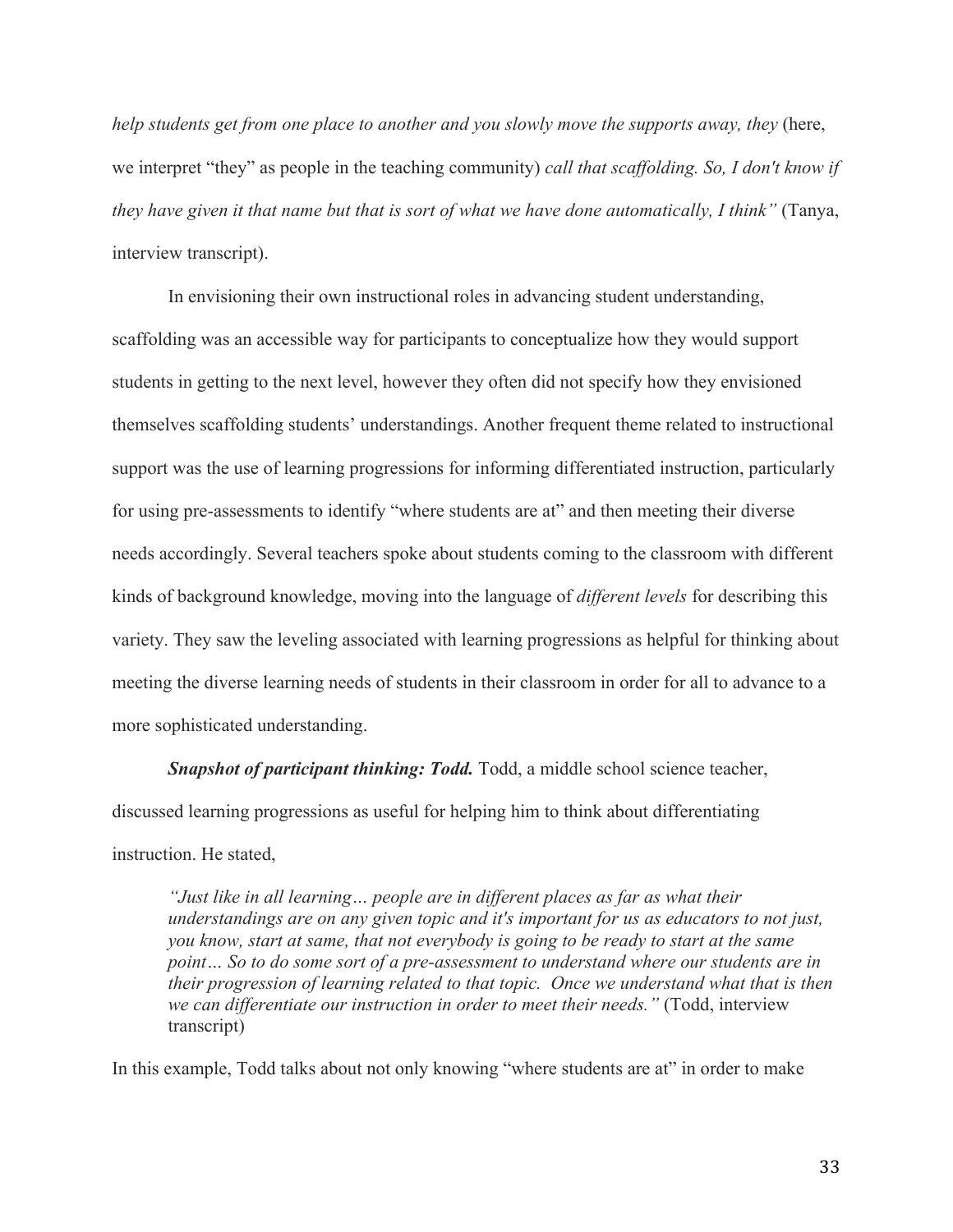*help students get from one place to another and you slowly move the supports away, they* (here, we interpret "they" as people in the teaching community) *call that scaffolding. So, I don't know if they have given it that name but that is sort of what we have done automatically, I think"* (Tanya, interview transcript).

In envisioning their own instructional roles in advancing student understanding, scaffolding was an accessible way for participants to conceptualize how they would support students in getting to the next level, however they often did not specify how they envisioned themselves scaffolding students' understandings. Another frequent theme related to instructional support was the use of learning progressions for informing differentiated instruction, particularly for using pre-assessments to identify "where students are at" and then meeting their diverse needs accordingly. Several teachers spoke about students coming to the classroom with different kinds of background knowledge, moving into the language of *different levels* for describing this variety. They saw the leveling associated with learning progressions as helpful for thinking about meeting the diverse learning needs of students in their classroom in order for all to advance to a more sophisticated understanding.

*Snapshot of participant thinking: Todd.* Todd, a middle school science teacher, discussed learning progressions as useful for helping him to think about differentiating instruction. He stated,

*"Just like in all learning… people are in different places as far as what their understandings are on any given topic and it's important for us as educators to not just, you know, start at same, that not everybody is going to be ready to start at the same point… So to do some sort of a pre-assessment to understand where our students are in their progression of learning related to that topic. Once we understand what that is then we can differentiate our instruction in order to meet their needs."* (Todd, interview transcript)

In this example, Todd talks about not only knowing "where students are at" in order to make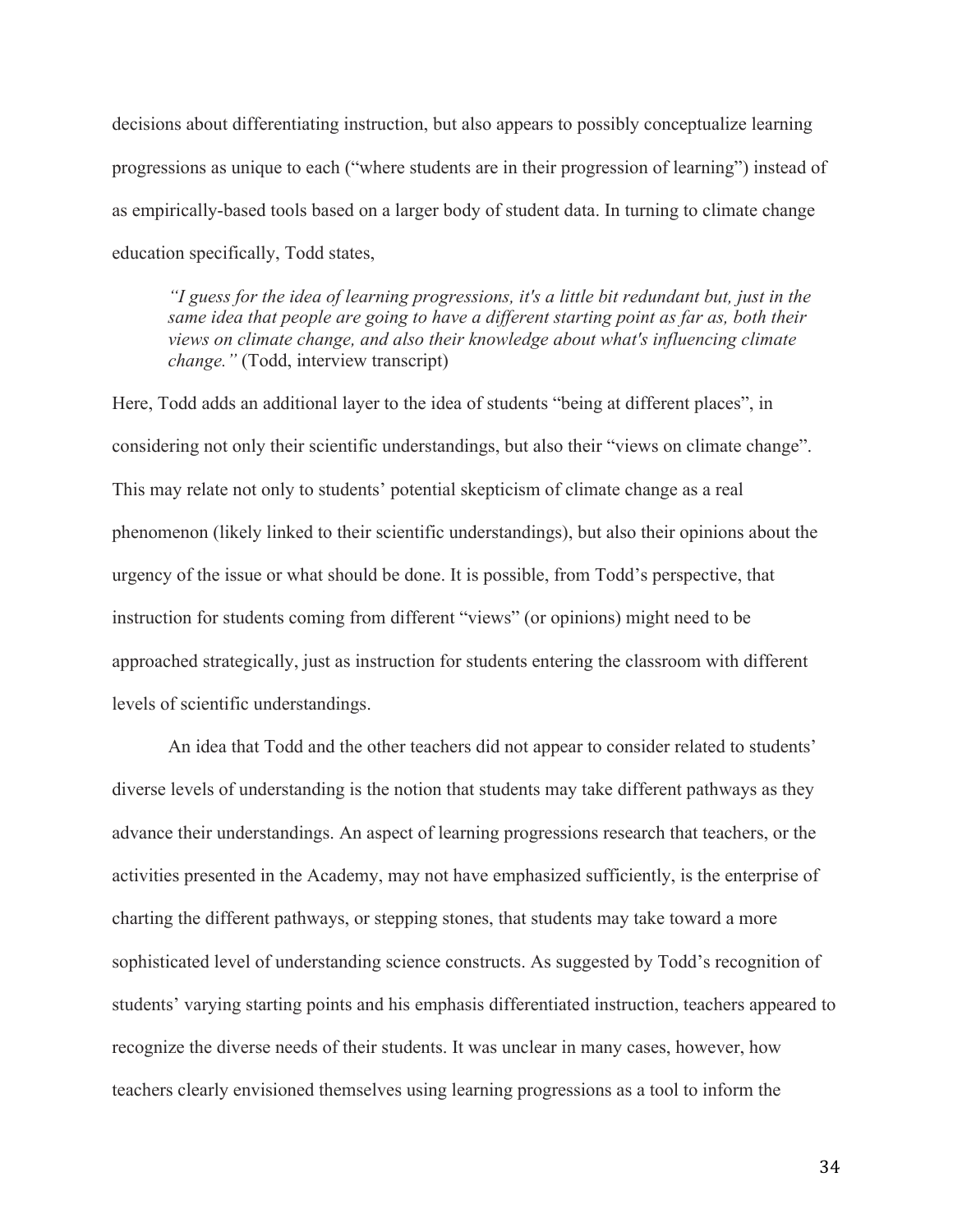decisions about differentiating instruction, but also appears to possibly conceptualize learning progressions as unique to each ("where students are in their progression of learning") instead of as empirically-based tools based on a larger body of student data. In turning to climate change education specifically, Todd states,

*"I guess for the idea of learning progressions, it's a little bit redundant but, just in the same idea that people are going to have a different starting point as far as, both their views on climate change, and also their knowledge about what's influencing climate change."* (Todd, interview transcript)

Here, Todd adds an additional layer to the idea of students "being at different places", in considering not only their scientific understandings, but also their "views on climate change". This may relate not only to students' potential skepticism of climate change as a real phenomenon (likely linked to their scientific understandings), but also their opinions about the urgency of the issue or what should be done. It is possible, from Todd's perspective, that instruction for students coming from different "views" (or opinions) might need to be approached strategically, just as instruction for students entering the classroom with different levels of scientific understandings.

An idea that Todd and the other teachers did not appear to consider related to students' diverse levels of understanding is the notion that students may take different pathways as they advance their understandings. An aspect of learning progressions research that teachers, or the activities presented in the Academy, may not have emphasized sufficiently, is the enterprise of charting the different pathways, or stepping stones, that students may take toward a more sophisticated level of understanding science constructs. As suggested by Todd's recognition of students' varying starting points and his emphasis differentiated instruction, teachers appeared to recognize the diverse needs of their students. It was unclear in many cases, however, how teachers clearly envisioned themselves using learning progressions as a tool to inform the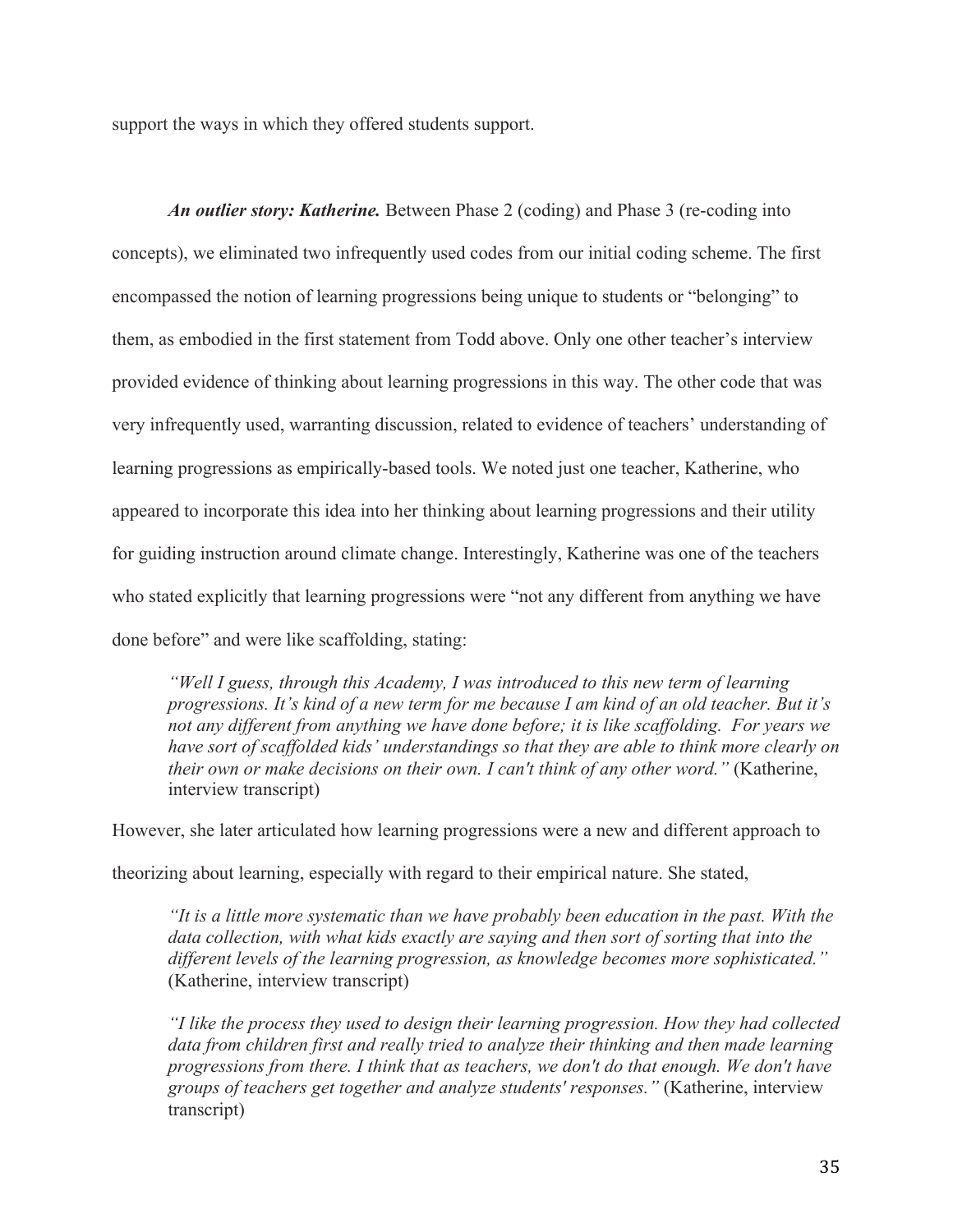support the ways in which they offered students support.

*An outlier story: Katherine.* Between Phase 2 (coding) and Phase 3 (re-coding into concepts), we eliminated two infrequently used codes from our initial coding scheme. The first encompassed the notion of learning progressions being unique to students or "belonging" to them, as embodied in the first statement from Todd above. Only one other teacher's interview provided evidence of thinking about learning progressions in this way. The other code that was very infrequently used, warranting discussion, related to evidence of teachers' understanding of learning progressions as empirically-based tools. We noted just one teacher, Katherine, who appeared to incorporate this idea into her thinking about learning progressions and their utility for guiding instruction around climate change. Interestingly, Katherine was one of the teachers who stated explicitly that learning progressions were "not any different from anything we have done before" and were like scaffolding, stating:

*"Well I guess, through this Academy, I was introduced to this new term of learning progressions. It's kind of a new term for me because I am kind of an old teacher. But it's not any different from anything we have done before; it is like scaffolding. For years we have sort of scaffolded kids' understandings so that they are able to think more clearly on their own or make decisions on their own. I can't think of any other word."* (Katherine, interview transcript)

However, she later articulated how learning progressions were a new and different approach to theorizing about learning, especially with regard to their empirical nature. She stated,

*"It is a little more systematic than we have probably been education in the past. With the data collection, with what kids exactly are saying and then sort of sorting that into the different levels of the learning progression, as knowledge becomes more sophisticated."*  (Katherine, interview transcript)

*"I like the process they used to design their learning progression. How they had collected*  data from children first and really tried to analyze their thinking and then made learning *progressions from there. I think that as teachers, we don't do that enough. We don't have groups of teachers get together and analyze students' responses."* (Katherine, interview transcript)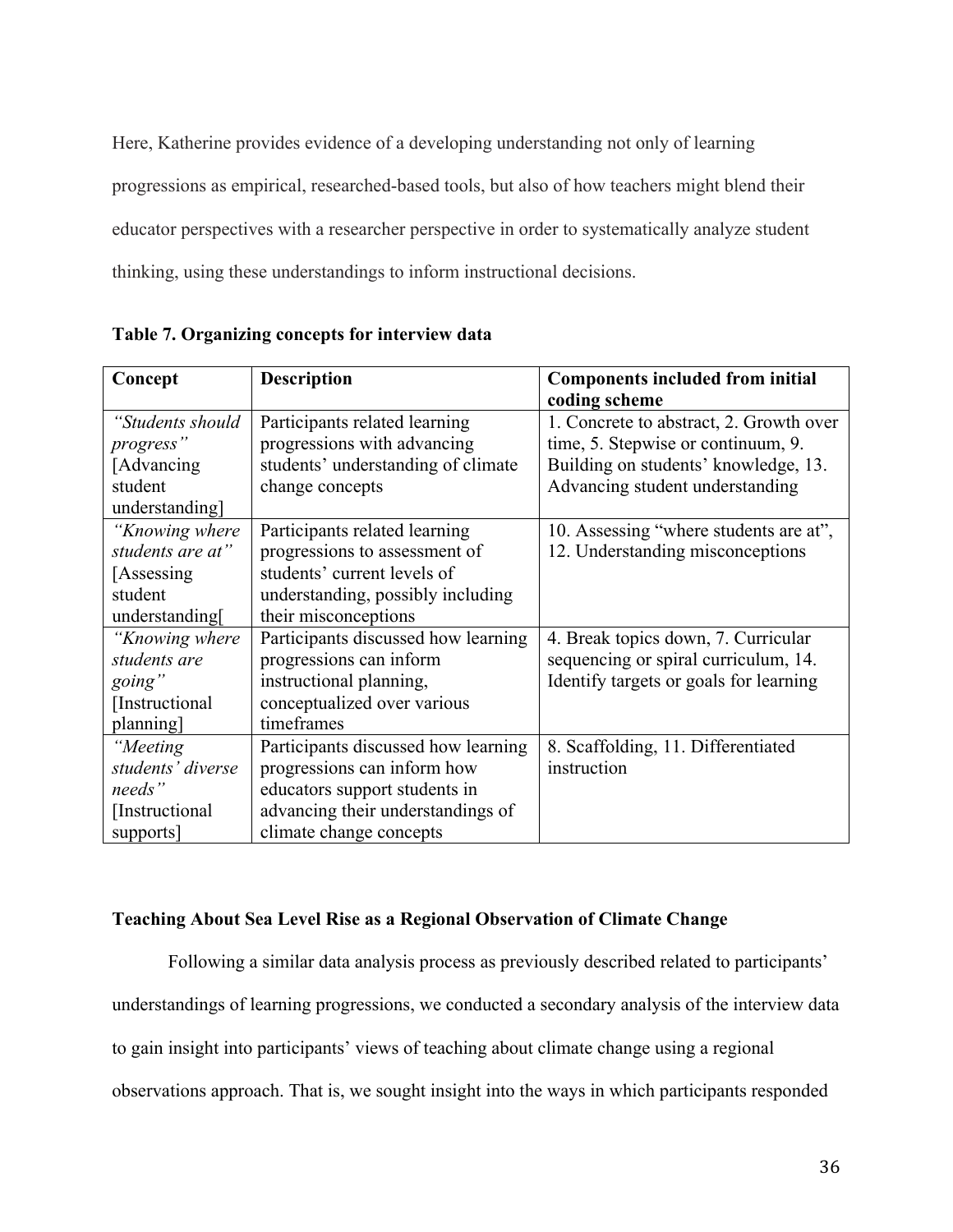Here, Katherine provides evidence of a developing understanding not only of learning progressions as empirical, researched-based tools, but also of how teachers might blend their educator perspectives with a researcher perspective in order to systematically analyze student thinking, using these understandings to inform instructional decisions.

| Concept           | <b>Description</b>                  | <b>Components included from initial</b> |  |  |
|-------------------|-------------------------------------|-----------------------------------------|--|--|
|                   |                                     | coding scheme                           |  |  |
| "Students should  | Participants related learning       | 1. Concrete to abstract, 2. Growth over |  |  |
| progress"         | progressions with advancing         | time, 5. Stepwise or continuum, 9.      |  |  |
| [Advancing]       | students' understanding of climate  | Building on students' knowledge, 13.    |  |  |
| student           | change concepts                     | Advancing student understanding         |  |  |
| understanding]    |                                     |                                         |  |  |
| "Knowing where    | Participants related learning       | 10. Assessing "where students are at",  |  |  |
| students are at"  | progressions to assessment of       | 12. Understanding misconceptions        |  |  |
| [Assessing]       | students' current levels of         |                                         |  |  |
| student           | understanding, possibly including   |                                         |  |  |
| understanding     | their misconceptions                |                                         |  |  |
| "Knowing where    | Participants discussed how learning | 4. Break topics down, 7. Curricular     |  |  |
| students are      | progressions can inform             | sequencing or spiral curriculum, 14.    |  |  |
| going"            | instructional planning,             | Identify targets or goals for learning  |  |  |
| [Instructional]   | conceptualized over various         |                                         |  |  |
| planning]         | timeframes                          |                                         |  |  |
| "Meeting          | Participants discussed how learning | 8. Scaffolding, 11. Differentiated      |  |  |
| students' diverse | progressions can inform how         | instruction                             |  |  |
| needs"            | educators support students in       |                                         |  |  |
| [Instructional]   | advancing their understandings of   |                                         |  |  |
| supports]         | climate change concepts             |                                         |  |  |

**Table 7. Organizing concepts for interview data**

# **Teaching About Sea Level Rise as a Regional Observation of Climate Change**

Following a similar data analysis process as previously described related to participants' understandings of learning progressions, we conducted a secondary analysis of the interview data to gain insight into participants' views of teaching about climate change using a regional observations approach. That is, we sought insight into the ways in which participants responded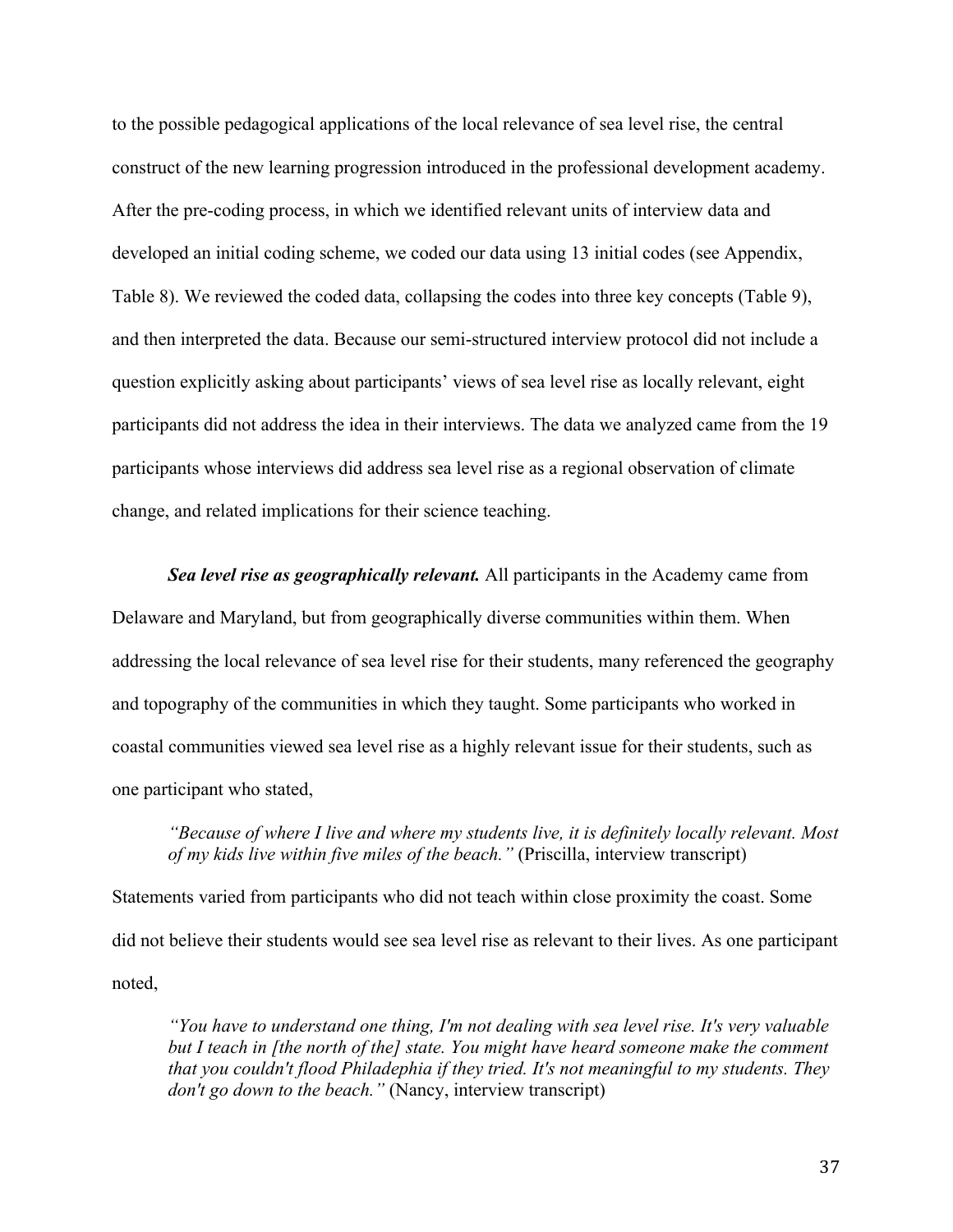to the possible pedagogical applications of the local relevance of sea level rise, the central construct of the new learning progression introduced in the professional development academy. After the pre-coding process, in which we identified relevant units of interview data and developed an initial coding scheme, we coded our data using 13 initial codes (see Appendix, Table 8). We reviewed the coded data, collapsing the codes into three key concepts (Table 9), and then interpreted the data. Because our semi-structured interview protocol did not include a question explicitly asking about participants' views of sea level rise as locally relevant, eight participants did not address the idea in their interviews. The data we analyzed came from the 19 participants whose interviews did address sea level rise as a regional observation of climate change, and related implications for their science teaching.

*Sea level rise as geographically relevant.* All participants in the Academy came from Delaware and Maryland, but from geographically diverse communities within them. When addressing the local relevance of sea level rise for their students, many referenced the geography and topography of the communities in which they taught. Some participants who worked in coastal communities viewed sea level rise as a highly relevant issue for their students, such as one participant who stated,

*"Because of where I live and where my students live, it is definitely locally relevant. Most of my kids live within five miles of the beach."* (Priscilla, interview transcript)

Statements varied from participants who did not teach within close proximity the coast. Some did not believe their students would see sea level rise as relevant to their lives. As one participant noted,

*"You have to understand one thing, I'm not dealing with sea level rise. It's very valuable but I teach in [the north of the] state. You might have heard someone make the comment that you couldn't flood Philadephia if they tried. It's not meaningful to my students. They don't go down to the beach."* (Nancy, interview transcript)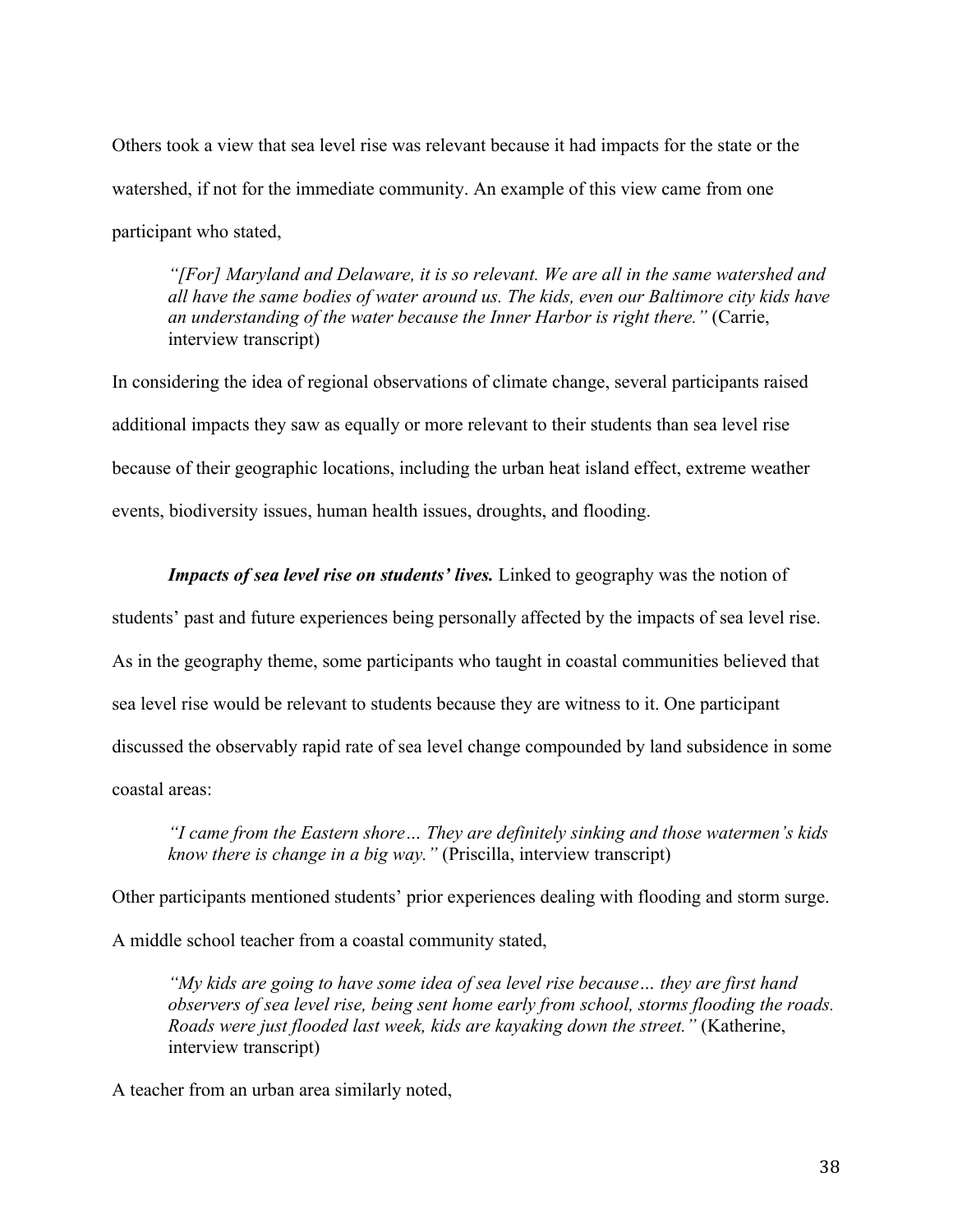Others took a view that sea level rise was relevant because it had impacts for the state or the watershed, if not for the immediate community. An example of this view came from one participant who stated,

*"[For] Maryland and Delaware, it is so relevant. We are all in the same watershed and all have the same bodies of water around us. The kids, even our Baltimore city kids have an understanding of the water because the Inner Harbor is right there."* (Carrie, interview transcript)

In considering the idea of regional observations of climate change, several participants raised additional impacts they saw as equally or more relevant to their students than sea level rise because of their geographic locations, including the urban heat island effect, extreme weather events, biodiversity issues, human health issues, droughts, and flooding.

*Impacts of sea level rise on students' lives.* Linked to geography was the notion of

students' past and future experiences being personally affected by the impacts of sea level rise.

As in the geography theme, some participants who taught in coastal communities believed that

sea level rise would be relevant to students because they are witness to it. One participant

discussed the observably rapid rate of sea level change compounded by land subsidence in some

coastal areas:

*"I came from the Eastern shore… They are definitely sinking and those watermen's kids know there is change in a big way."* (Priscilla, interview transcript)

Other participants mentioned students' prior experiences dealing with flooding and storm surge.

A middle school teacher from a coastal community stated,

*"My kids are going to have some idea of sea level rise because… they are first hand observers of sea level rise, being sent home early from school, storms flooding the roads. Roads were just flooded last week, kids are kayaking down the street."* (Katherine, interview transcript)

A teacher from an urban area similarly noted,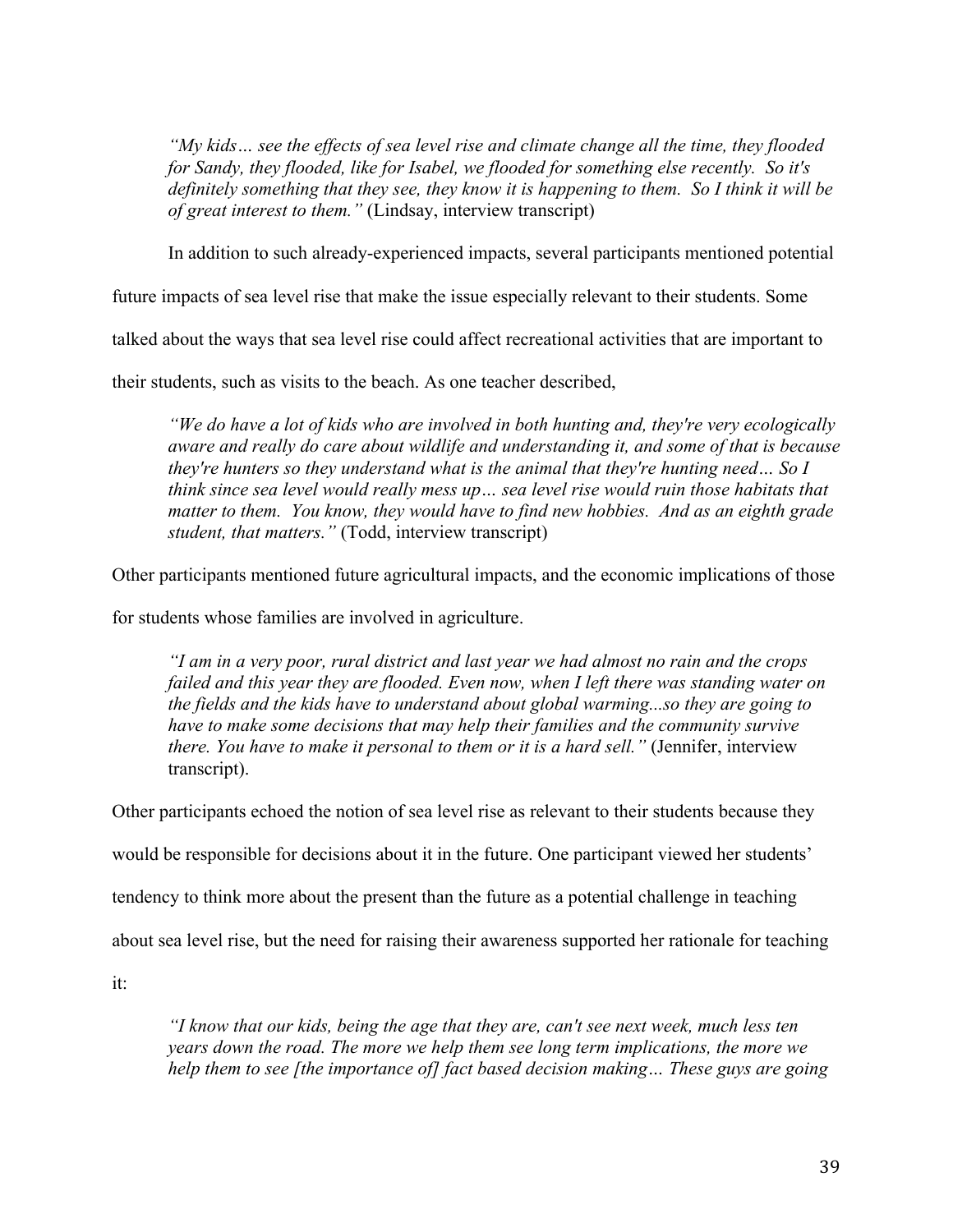*"My kids… see the effects of sea level rise and climate change all the time, they flooded for Sandy, they flooded, like for Isabel, we flooded for something else recently. So it's definitely something that they see, they know it is happening to them. So I think it will be of great interest to them."* (Lindsay, interview transcript)

In addition to such already-experienced impacts, several participants mentioned potential

future impacts of sea level rise that make the issue especially relevant to their students. Some

talked about the ways that sea level rise could affect recreational activities that are important to

their students, such as visits to the beach. As one teacher described,

*"We do have a lot of kids who are involved in both hunting and, they're very ecologically aware and really do care about wildlife and understanding it, and some of that is because they're hunters so they understand what is the animal that they're hunting need… So I think since sea level would really mess up… sea level rise would ruin those habitats that matter to them. You know, they would have to find new hobbies. And as an eighth grade student, that matters."* (Todd, interview transcript)

Other participants mentioned future agricultural impacts, and the economic implications of those

for students whose families are involved in agriculture.

*"I am in a very poor, rural district and last year we had almost no rain and the crops failed and this year they are flooded. Even now, when I left there was standing water on the fields and the kids have to understand about global warming...so they are going to have to make some decisions that may help their families and the community survive there. You have to make it personal to them or it is a hard sell."* (Jennifer, interview transcript).

Other participants echoed the notion of sea level rise as relevant to their students because they

would be responsible for decisions about it in the future. One participant viewed her students'

tendency to think more about the present than the future as a potential challenge in teaching

about sea level rise, but the need for raising their awareness supported her rationale for teaching

it:

*"I know that our kids, being the age that they are, can't see next week, much less ten years down the road. The more we help them see long term implications, the more we help them to see [the importance of] fact based decision making… These guys are going*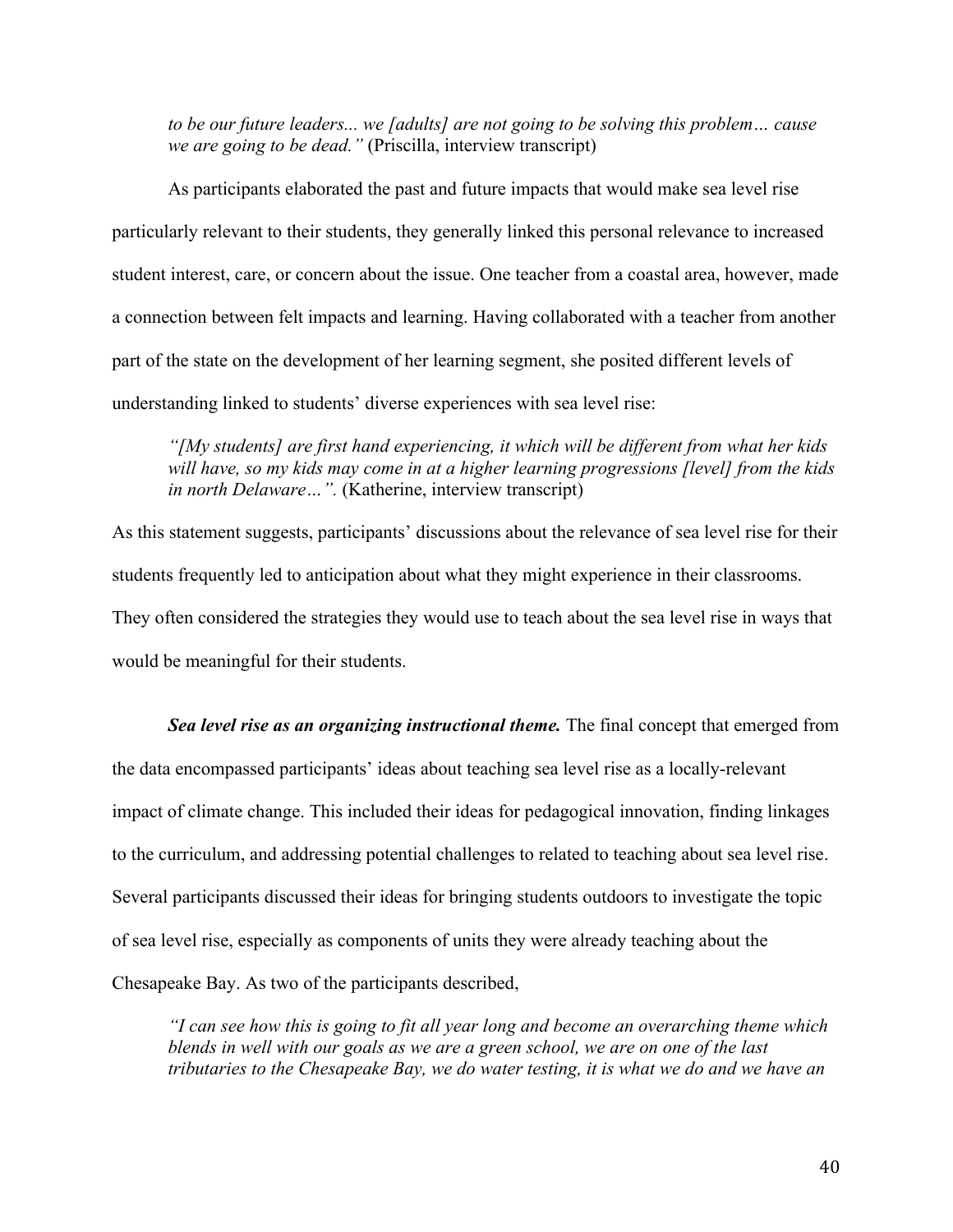*to be our future leaders... we [adults] are not going to be solving this problem… cause we are going to be dead."* (Priscilla, interview transcript)

As participants elaborated the past and future impacts that would make sea level rise particularly relevant to their students, they generally linked this personal relevance to increased student interest, care, or concern about the issue. One teacher from a coastal area, however, made a connection between felt impacts and learning. Having collaborated with a teacher from another part of the state on the development of her learning segment, she posited different levels of understanding linked to students' diverse experiences with sea level rise:

*"[My students] are first hand experiencing, it which will be different from what her kids will have, so my kids may come in at a higher learning progressions [level] from the kids in north Delaware…".* (Katherine, interview transcript)

As this statement suggests, participants' discussions about the relevance of sea level rise for their students frequently led to anticipation about what they might experience in their classrooms. They often considered the strategies they would use to teach about the sea level rise in ways that would be meaningful for their students.

*Sea level rise as an organizing instructional theme.* The final concept that emerged from the data encompassed participants' ideas about teaching sea level rise as a locally-relevant impact of climate change. This included their ideas for pedagogical innovation, finding linkages to the curriculum, and addressing potential challenges to related to teaching about sea level rise. Several participants discussed their ideas for bringing students outdoors to investigate the topic of sea level rise, especially as components of units they were already teaching about the Chesapeake Bay. As two of the participants described,

*"I can see how this is going to fit all year long and become an overarching theme which blends in well with our goals as we are a green school, we are on one of the last tributaries to the Chesapeake Bay, we do water testing, it is what we do and we have an*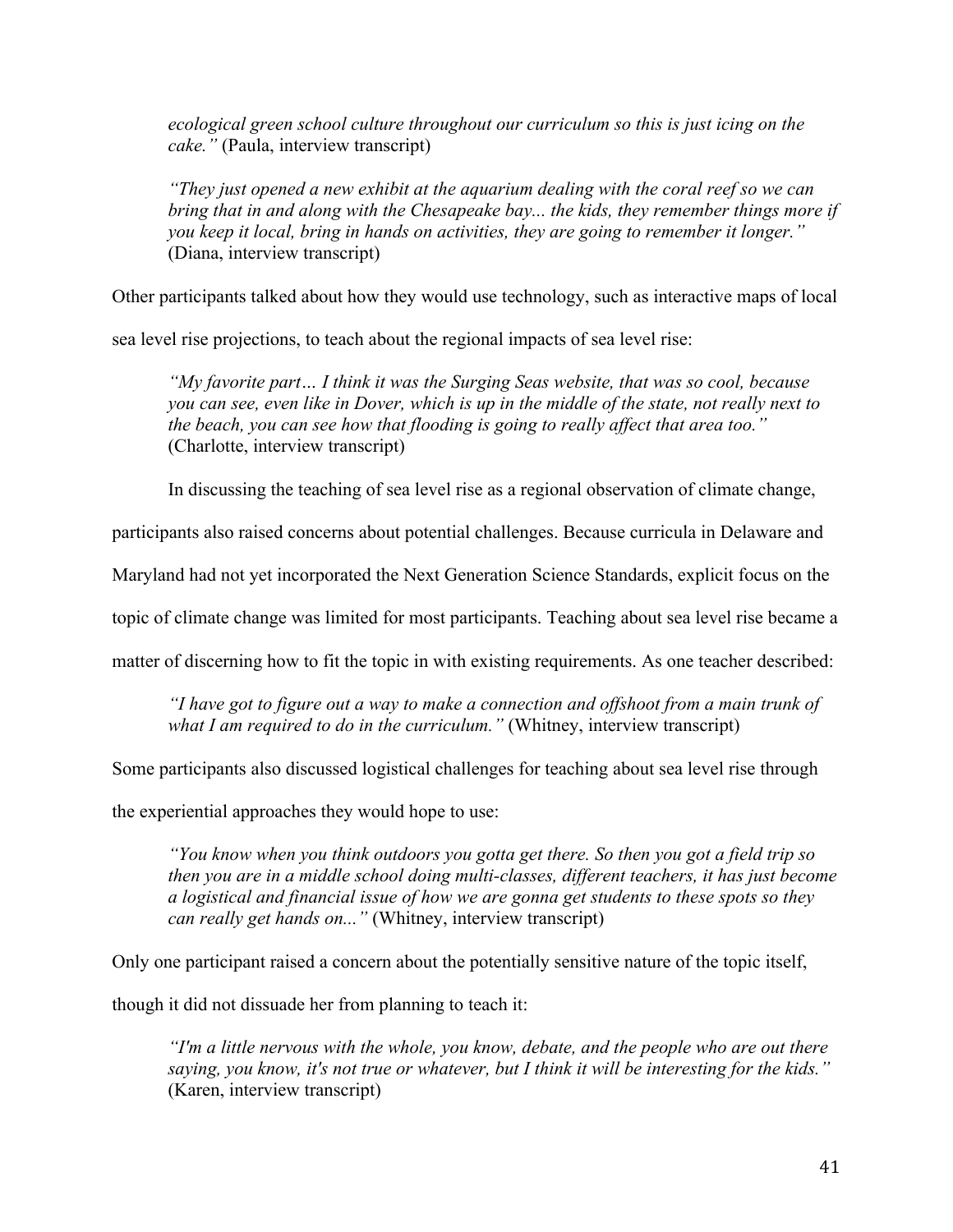*ecological green school culture throughout our curriculum so this is just icing on the cake."* (Paula, interview transcript)

*"They just opened a new exhibit at the aquarium dealing with the coral reef so we can bring that in and along with the Chesapeake bay... the kids, they remember things more if you keep it local, bring in hands on activities, they are going to remember it longer."* (Diana, interview transcript)

Other participants talked about how they would use technology, such as interactive maps of local

sea level rise projections, to teach about the regional impacts of sea level rise:

*"My favorite part… I think it was the Surging Seas website, that was so cool, because you can see, even like in Dover, which is up in the middle of the state, not really next to the beach, you can see how that flooding is going to really affect that area too."* (Charlotte, interview transcript)

In discussing the teaching of sea level rise as a regional observation of climate change,

participants also raised concerns about potential challenges. Because curricula in Delaware and

Maryland had not yet incorporated the Next Generation Science Standards, explicit focus on the

topic of climate change was limited for most participants. Teaching about sea level rise became a

matter of discerning how to fit the topic in with existing requirements. As one teacher described:

*"I have got to figure out a way to make a connection and offshoot from a main trunk of what I am required to do in the curriculum."* (Whitney, interview transcript)

Some participants also discussed logistical challenges for teaching about sea level rise through

the experiential approaches they would hope to use:

*"You know when you think outdoors you gotta get there. So then you got a field trip so then you are in a middle school doing multi-classes, different teachers, it has just become a logistical and financial issue of how we are gonna get students to these spots so they can really get hands on..."* (Whitney, interview transcript)

Only one participant raised a concern about the potentially sensitive nature of the topic itself,

though it did not dissuade her from planning to teach it:

*"I'm a little nervous with the whole, you know, debate, and the people who are out there saying, you know, it's not true or whatever, but I think it will be interesting for the kids."* (Karen, interview transcript)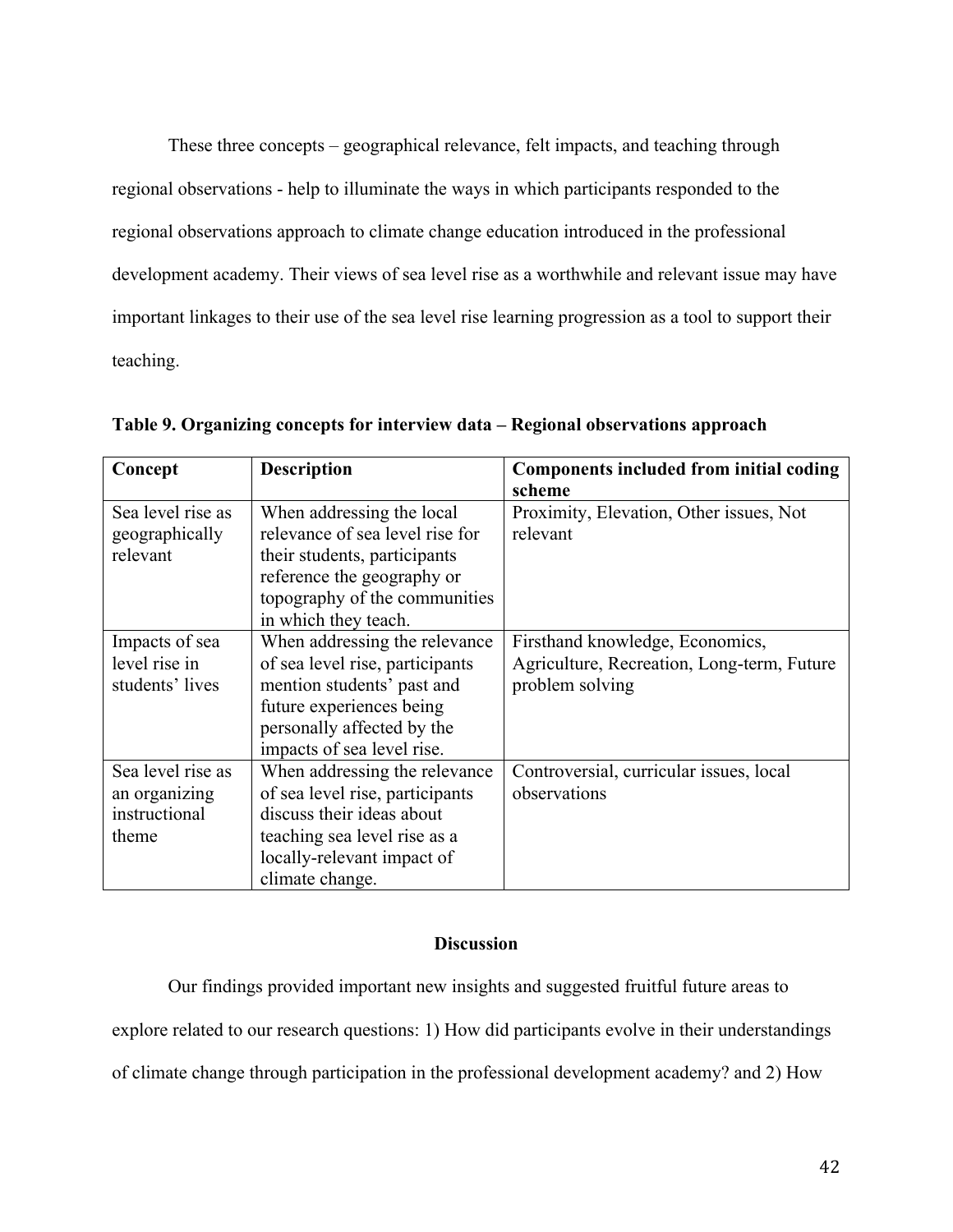These three concepts – geographical relevance, felt impacts, and teaching through regional observations - help to illuminate the ways in which participants responded to the regional observations approach to climate change education introduced in the professional development academy. Their views of sea level rise as a worthwhile and relevant issue may have important linkages to their use of the sea level rise learning progression as a tool to support their teaching.

| Concept           | <b>Description</b>              | <b>Components included from initial coding</b> |  |  |
|-------------------|---------------------------------|------------------------------------------------|--|--|
|                   |                                 | scheme                                         |  |  |
| Sea level rise as | When addressing the local       | Proximity, Elevation, Other issues, Not        |  |  |
| geographically    | relevance of sea level rise for | relevant                                       |  |  |
| relevant          | their students, participants    |                                                |  |  |
|                   | reference the geography or      |                                                |  |  |
|                   | topography of the communities   |                                                |  |  |
|                   | in which they teach.            |                                                |  |  |
| Impacts of sea    | When addressing the relevance   | Firsthand knowledge, Economics,                |  |  |
| level rise in     | of sea level rise, participants | Agriculture, Recreation, Long-term, Future     |  |  |
| students' lives   | mention students' past and      | problem solving                                |  |  |
|                   | future experiences being        |                                                |  |  |
|                   | personally affected by the      |                                                |  |  |
|                   | impacts of sea level rise.      |                                                |  |  |
| Sea level rise as | When addressing the relevance   | Controversial, curricular issues, local        |  |  |
| an organizing     | of sea level rise, participants | observations                                   |  |  |
| instructional     | discuss their ideas about       |                                                |  |  |
| theme             | teaching sea level rise as a    |                                                |  |  |
|                   | locally-relevant impact of      |                                                |  |  |
|                   | climate change.                 |                                                |  |  |

**Table 9. Organizing concepts for interview data – Regional observations approach**

# **Discussion**

Our findings provided important new insights and suggested fruitful future areas to explore related to our research questions: 1) How did participants evolve in their understandings of climate change through participation in the professional development academy? and 2) How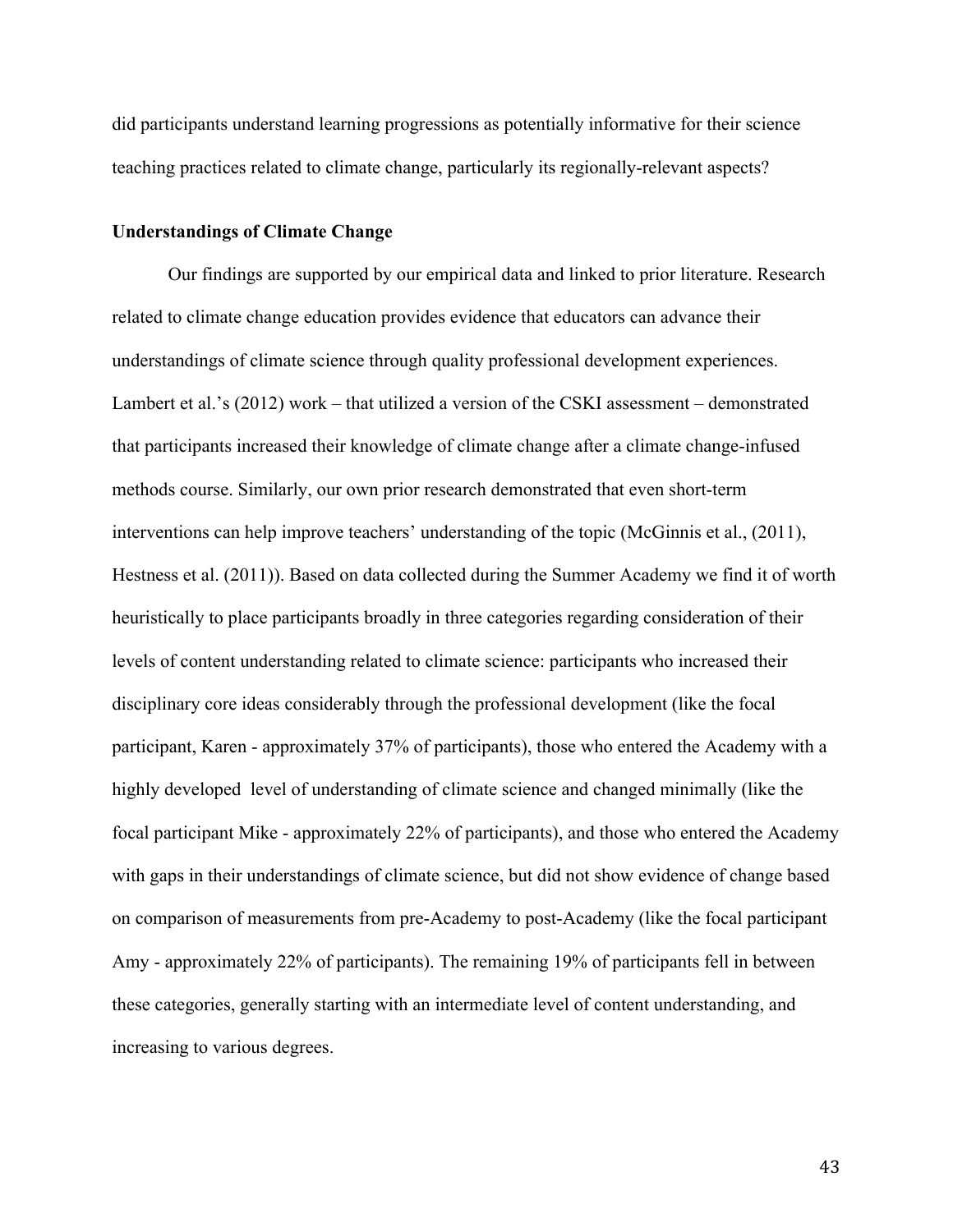did participants understand learning progressions as potentially informative for their science teaching practices related to climate change, particularly its regionally-relevant aspects?

## **Understandings of Climate Change**

Our findings are supported by our empirical data and linked to prior literature. Research related to climate change education provides evidence that educators can advance their understandings of climate science through quality professional development experiences. Lambert et al.'s (2012) work – that utilized a version of the CSKI assessment – demonstrated that participants increased their knowledge of climate change after a climate change-infused methods course. Similarly, our own prior research demonstrated that even short-term interventions can help improve teachers' understanding of the topic (McGinnis et al., (2011), Hestness et al. (2011)). Based on data collected during the Summer Academy we find it of worth heuristically to place participants broadly in three categories regarding consideration of their levels of content understanding related to climate science: participants who increased their disciplinary core ideas considerably through the professional development (like the focal participant, Karen - approximately 37% of participants), those who entered the Academy with a highly developed level of understanding of climate science and changed minimally (like the focal participant Mike - approximately 22% of participants), and those who entered the Academy with gaps in their understandings of climate science, but did not show evidence of change based on comparison of measurements from pre-Academy to post-Academy (like the focal participant Amy - approximately 22% of participants). The remaining 19% of participants fell in between these categories, generally starting with an intermediate level of content understanding, and increasing to various degrees.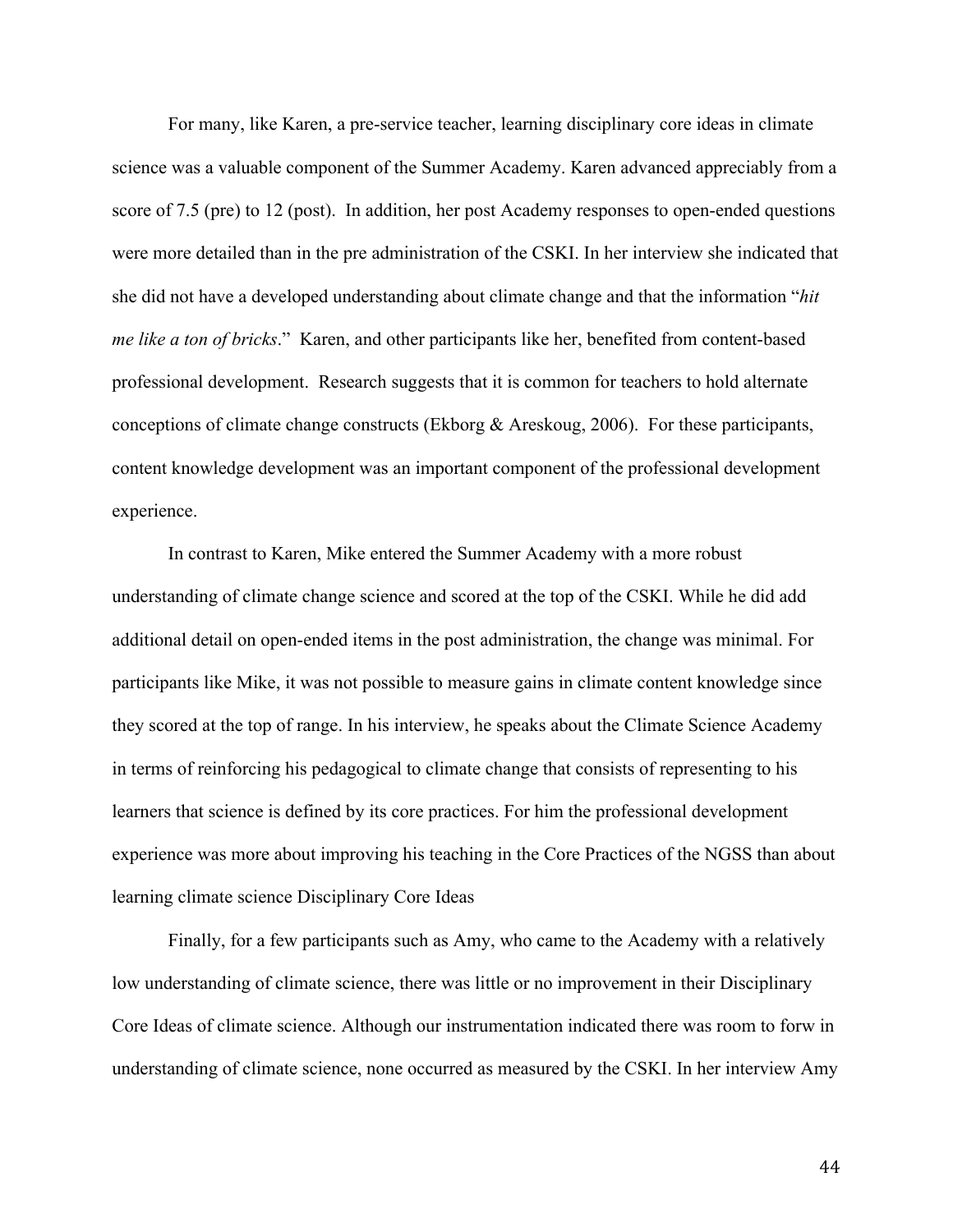For many, like Karen, a pre-service teacher, learning disciplinary core ideas in climate science was a valuable component of the Summer Academy. Karen advanced appreciably from a score of 7.5 (pre) to 12 (post). In addition, her post Academy responses to open-ended questions were more detailed than in the pre administration of the CSKI. In her interview she indicated that she did not have a developed understanding about climate change and that the information "*hit me like a ton of bricks*." Karen, and other participants like her, benefited from content-based professional development. Research suggests that it is common for teachers to hold alternate conceptions of climate change constructs (Ekborg & Areskoug, 2006). For these participants, content knowledge development was an important component of the professional development experience.

In contrast to Karen, Mike entered the Summer Academy with a more robust understanding of climate change science and scored at the top of the CSKI. While he did add additional detail on open-ended items in the post administration, the change was minimal. For participants like Mike, it was not possible to measure gains in climate content knowledge since they scored at the top of range. In his interview, he speaks about the Climate Science Academy in terms of reinforcing his pedagogical to climate change that consists of representing to his learners that science is defined by its core practices. For him the professional development experience was more about improving his teaching in the Core Practices of the NGSS than about learning climate science Disciplinary Core Ideas

Finally, for a few participants such as Amy, who came to the Academy with a relatively low understanding of climate science, there was little or no improvement in their Disciplinary Core Ideas of climate science. Although our instrumentation indicated there was room to forw in understanding of climate science, none occurred as measured by the CSKI. In her interview Amy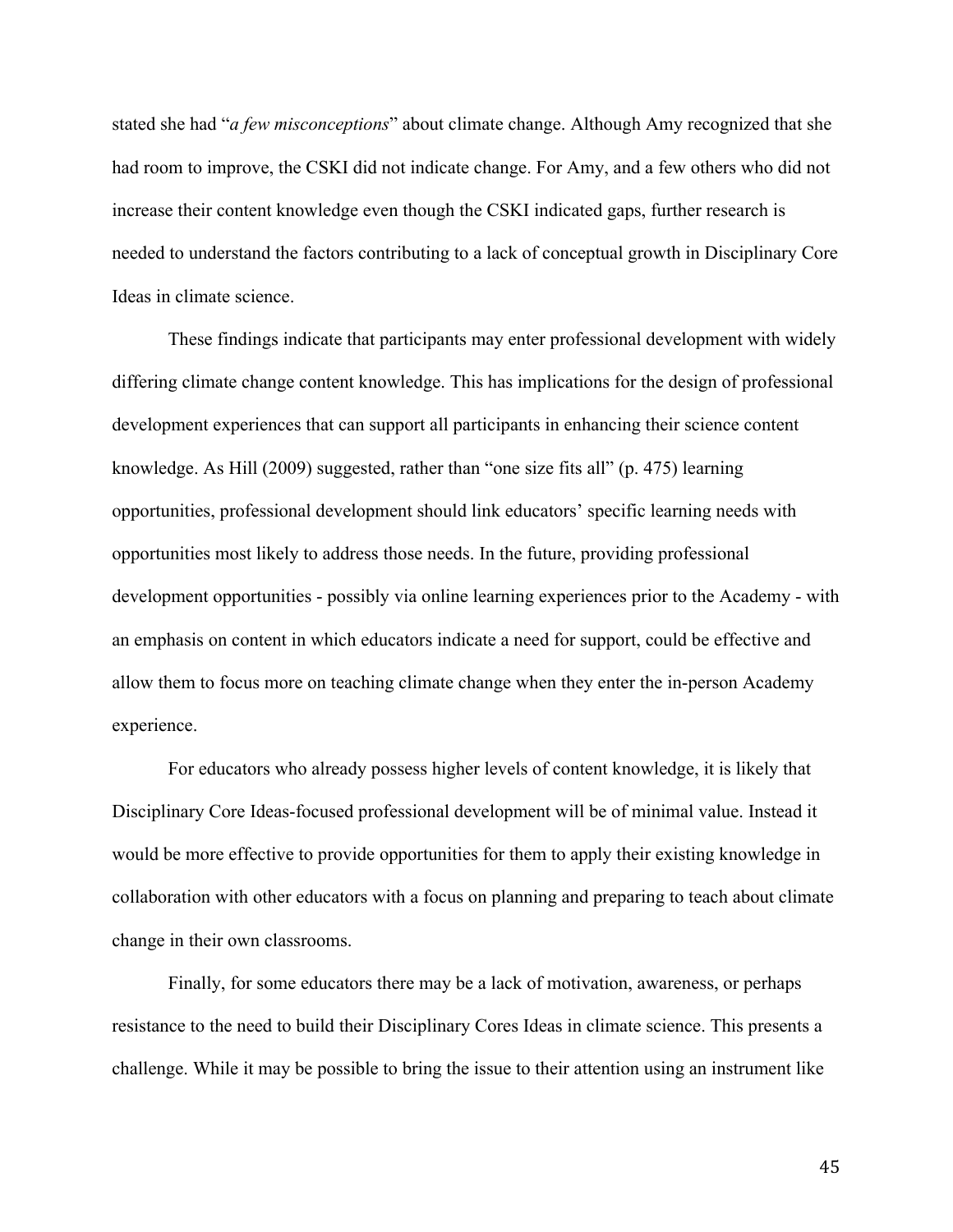stated she had "*a few misconceptions*" about climate change. Although Amy recognized that she had room to improve, the CSKI did not indicate change. For Amy, and a few others who did not increase their content knowledge even though the CSKI indicated gaps, further research is needed to understand the factors contributing to a lack of conceptual growth in Disciplinary Core Ideas in climate science.

These findings indicate that participants may enter professional development with widely differing climate change content knowledge. This has implications for the design of professional development experiences that can support all participants in enhancing their science content knowledge. As Hill (2009) suggested, rather than "one size fits all" (p. 475) learning opportunities, professional development should link educators' specific learning needs with opportunities most likely to address those needs. In the future, providing professional development opportunities - possibly via online learning experiences prior to the Academy - with an emphasis on content in which educators indicate a need for support, could be effective and allow them to focus more on teaching climate change when they enter the in-person Academy experience.

For educators who already possess higher levels of content knowledge, it is likely that Disciplinary Core Ideas-focused professional development will be of minimal value. Instead it would be more effective to provide opportunities for them to apply their existing knowledge in collaboration with other educators with a focus on planning and preparing to teach about climate change in their own classrooms.

Finally, for some educators there may be a lack of motivation, awareness, or perhaps resistance to the need to build their Disciplinary Cores Ideas in climate science. This presents a challenge. While it may be possible to bring the issue to their attention using an instrument like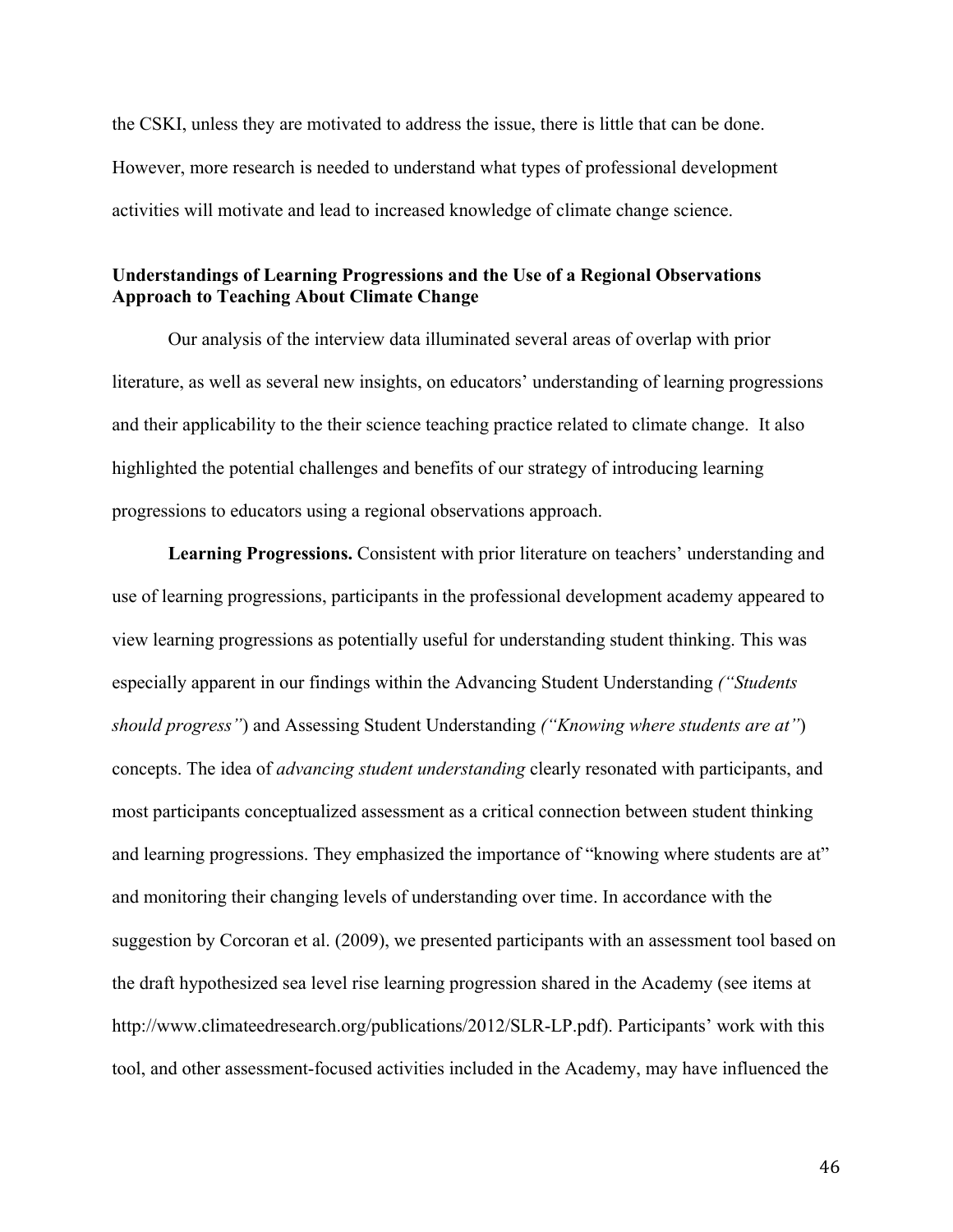the CSKI, unless they are motivated to address the issue, there is little that can be done. However, more research is needed to understand what types of professional development activities will motivate and lead to increased knowledge of climate change science.

# **Understandings of Learning Progressions and the Use of a Regional Observations Approach to Teaching About Climate Change**

Our analysis of the interview data illuminated several areas of overlap with prior literature, as well as several new insights, on educators' understanding of learning progressions and their applicability to the their science teaching practice related to climate change. It also highlighted the potential challenges and benefits of our strategy of introducing learning progressions to educators using a regional observations approach.

**Learning Progressions.** Consistent with prior literature on teachers' understanding and use of learning progressions, participants in the professional development academy appeared to view learning progressions as potentially useful for understanding student thinking. This was especially apparent in our findings within the Advancing Student Understanding *("Students should progress"*) and Assessing Student Understanding *("Knowing where students are at"*) concepts. The idea of *advancing student understanding* clearly resonated with participants, and most participants conceptualized assessment as a critical connection between student thinking and learning progressions. They emphasized the importance of "knowing where students are at" and monitoring their changing levels of understanding over time. In accordance with the suggestion by Corcoran et al. (2009), we presented participants with an assessment tool based on the draft hypothesized sea level rise learning progression shared in the Academy (see items at http://www.climateedresearch.org/publications/2012/SLR-LP.pdf). Participants' work with this tool, and other assessment-focused activities included in the Academy, may have influenced the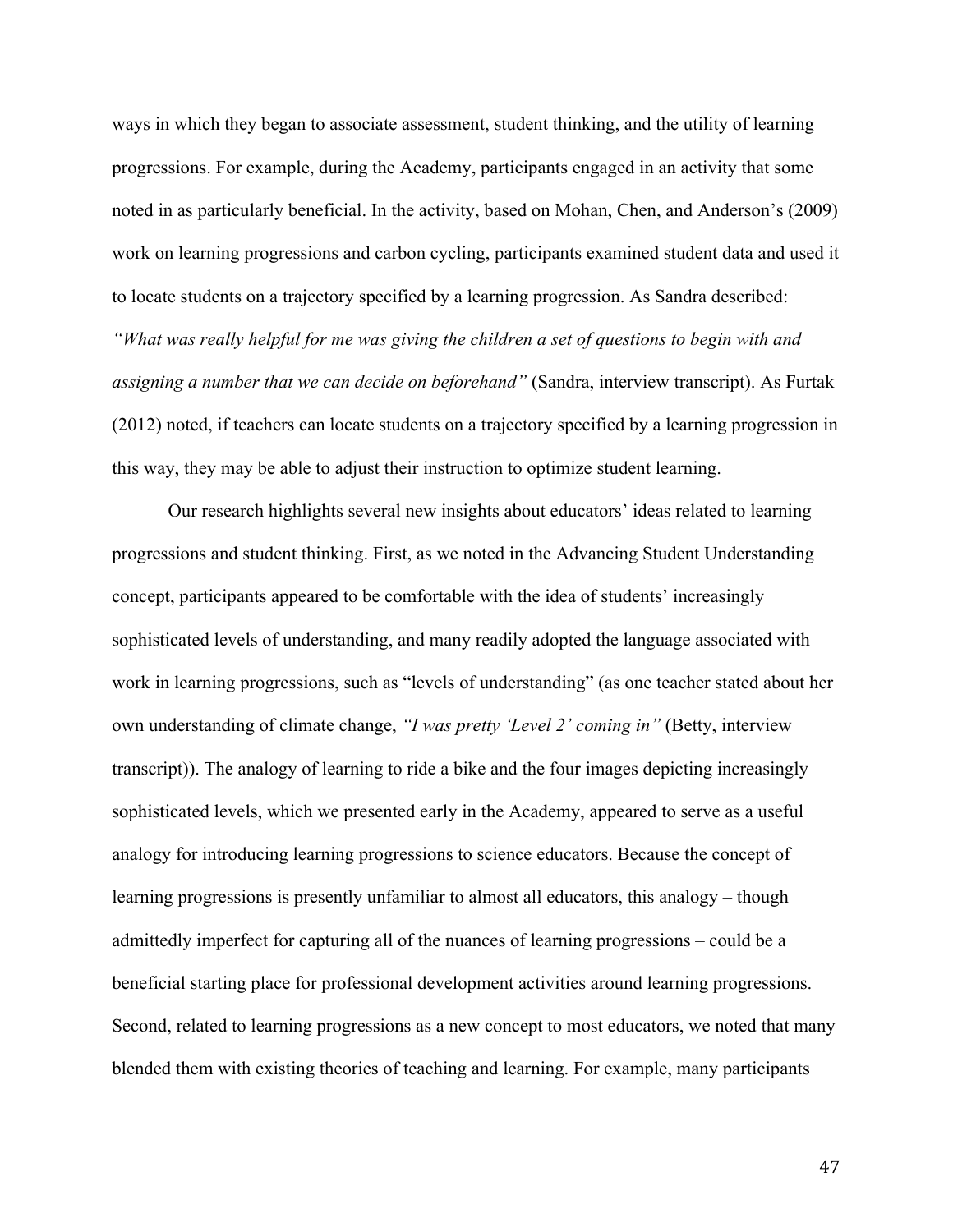ways in which they began to associate assessment, student thinking, and the utility of learning progressions. For example, during the Academy, participants engaged in an activity that some noted in as particularly beneficial. In the activity, based on Mohan, Chen, and Anderson's (2009) work on learning progressions and carbon cycling, participants examined student data and used it to locate students on a trajectory specified by a learning progression. As Sandra described: *"What was really helpful for me was giving the children a set of questions to begin with and assigning a number that we can decide on beforehand"* (Sandra, interview transcript). As Furtak (2012) noted, if teachers can locate students on a trajectory specified by a learning progression in this way, they may be able to adjust their instruction to optimize student learning.

Our research highlights several new insights about educators' ideas related to learning progressions and student thinking. First, as we noted in the Advancing Student Understanding concept, participants appeared to be comfortable with the idea of students' increasingly sophisticated levels of understanding, and many readily adopted the language associated with work in learning progressions, such as "levels of understanding" (as one teacher stated about her own understanding of climate change, *"I was pretty 'Level 2' coming in"* (Betty, interview transcript)). The analogy of learning to ride a bike and the four images depicting increasingly sophisticated levels, which we presented early in the Academy, appeared to serve as a useful analogy for introducing learning progressions to science educators. Because the concept of learning progressions is presently unfamiliar to almost all educators, this analogy – though admittedly imperfect for capturing all of the nuances of learning progressions – could be a beneficial starting place for professional development activities around learning progressions. Second, related to learning progressions as a new concept to most educators, we noted that many blended them with existing theories of teaching and learning. For example, many participants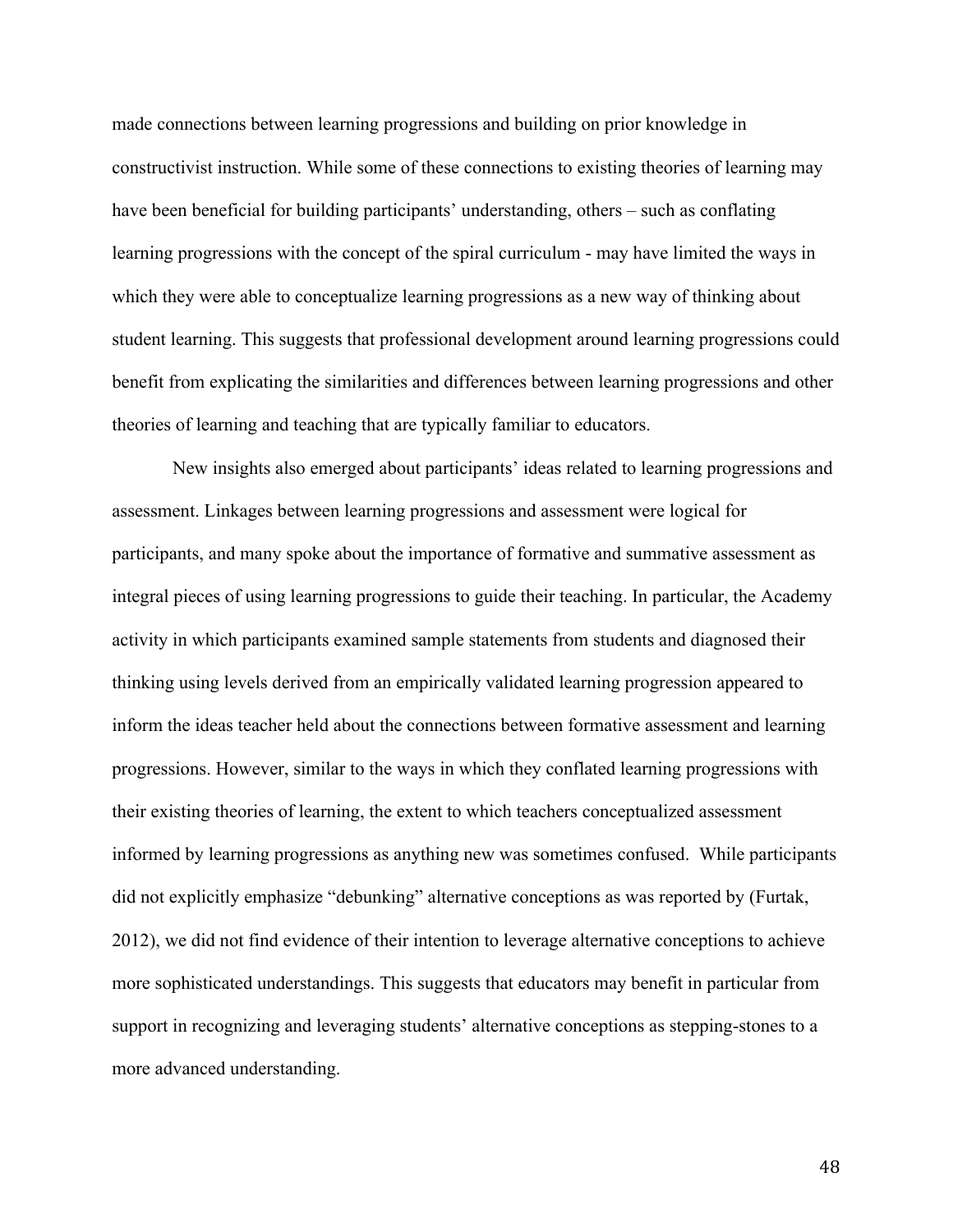made connections between learning progressions and building on prior knowledge in constructivist instruction. While some of these connections to existing theories of learning may have been beneficial for building participants' understanding, others – such as conflating learning progressions with the concept of the spiral curriculum - may have limited the ways in which they were able to conceptualize learning progressions as a new way of thinking about student learning. This suggests that professional development around learning progressions could benefit from explicating the similarities and differences between learning progressions and other theories of learning and teaching that are typically familiar to educators.

New insights also emerged about participants' ideas related to learning progressions and assessment. Linkages between learning progressions and assessment were logical for participants, and many spoke about the importance of formative and summative assessment as integral pieces of using learning progressions to guide their teaching. In particular, the Academy activity in which participants examined sample statements from students and diagnosed their thinking using levels derived from an empirically validated learning progression appeared to inform the ideas teacher held about the connections between formative assessment and learning progressions. However, similar to the ways in which they conflated learning progressions with their existing theories of learning, the extent to which teachers conceptualized assessment informed by learning progressions as anything new was sometimes confused. While participants did not explicitly emphasize "debunking" alternative conceptions as was reported by (Furtak, 2012), we did not find evidence of their intention to leverage alternative conceptions to achieve more sophisticated understandings. This suggests that educators may benefit in particular from support in recognizing and leveraging students' alternative conceptions as stepping-stones to a more advanced understanding.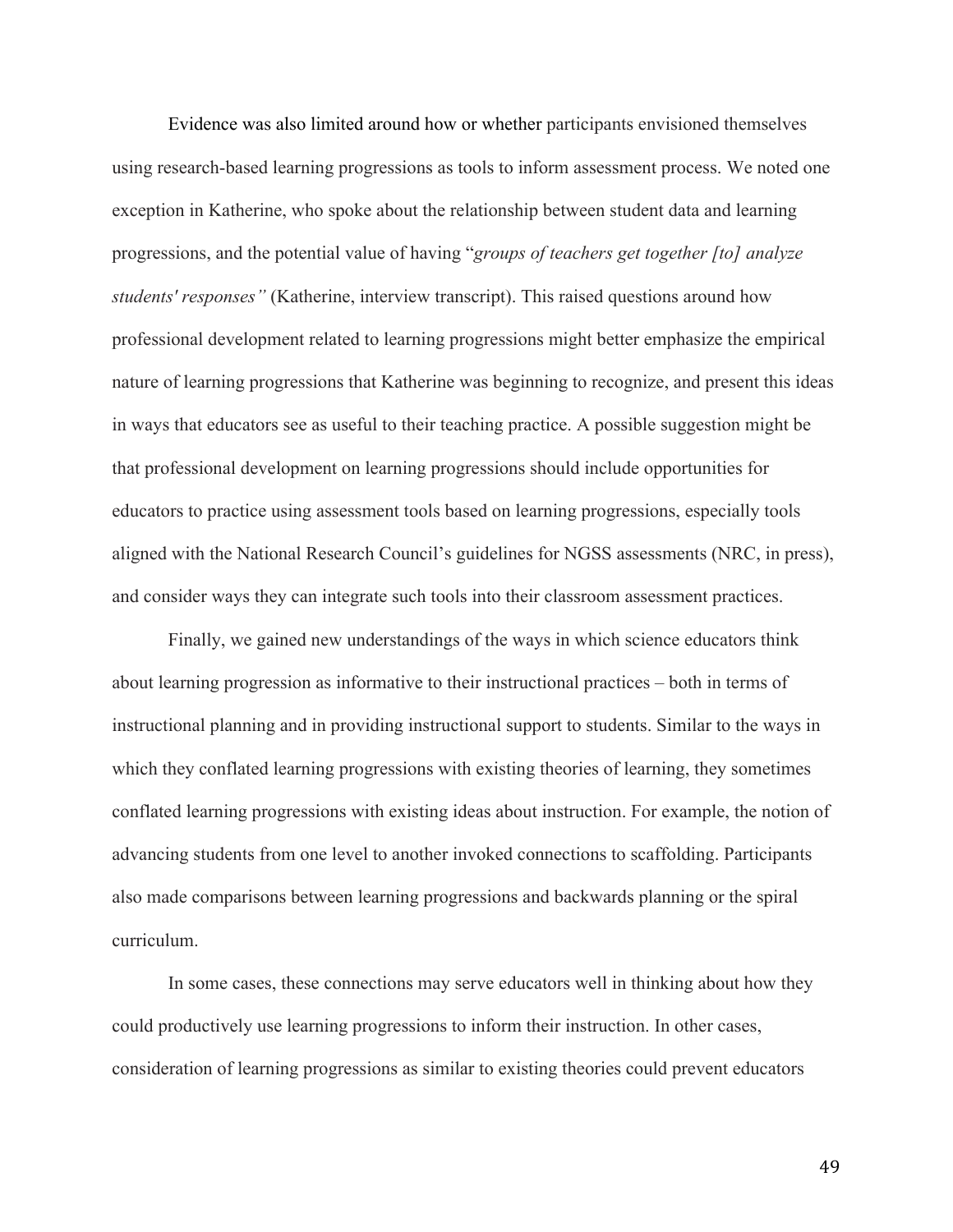Evidence was also limited around how or whether participants envisioned themselves using research-based learning progressions as tools to inform assessment process. We noted one exception in Katherine, who spoke about the relationship between student data and learning progressions, and the potential value of having "*groups of teachers get together [to] analyze students' responses"* (Katherine, interview transcript). This raised questions around how professional development related to learning progressions might better emphasize the empirical nature of learning progressions that Katherine was beginning to recognize, and present this ideas in ways that educators see as useful to their teaching practice. A possible suggestion might be that professional development on learning progressions should include opportunities for educators to practice using assessment tools based on learning progressions, especially tools aligned with the National Research Council's guidelines for NGSS assessments (NRC, in press), and consider ways they can integrate such tools into their classroom assessment practices.

Finally, we gained new understandings of the ways in which science educators think about learning progression as informative to their instructional practices – both in terms of instructional planning and in providing instructional support to students. Similar to the ways in which they conflated learning progressions with existing theories of learning, they sometimes conflated learning progressions with existing ideas about instruction. For example, the notion of advancing students from one level to another invoked connections to scaffolding. Participants also made comparisons between learning progressions and backwards planning or the spiral curriculum.

In some cases, these connections may serve educators well in thinking about how they could productively use learning progressions to inform their instruction. In other cases, consideration of learning progressions as similar to existing theories could prevent educators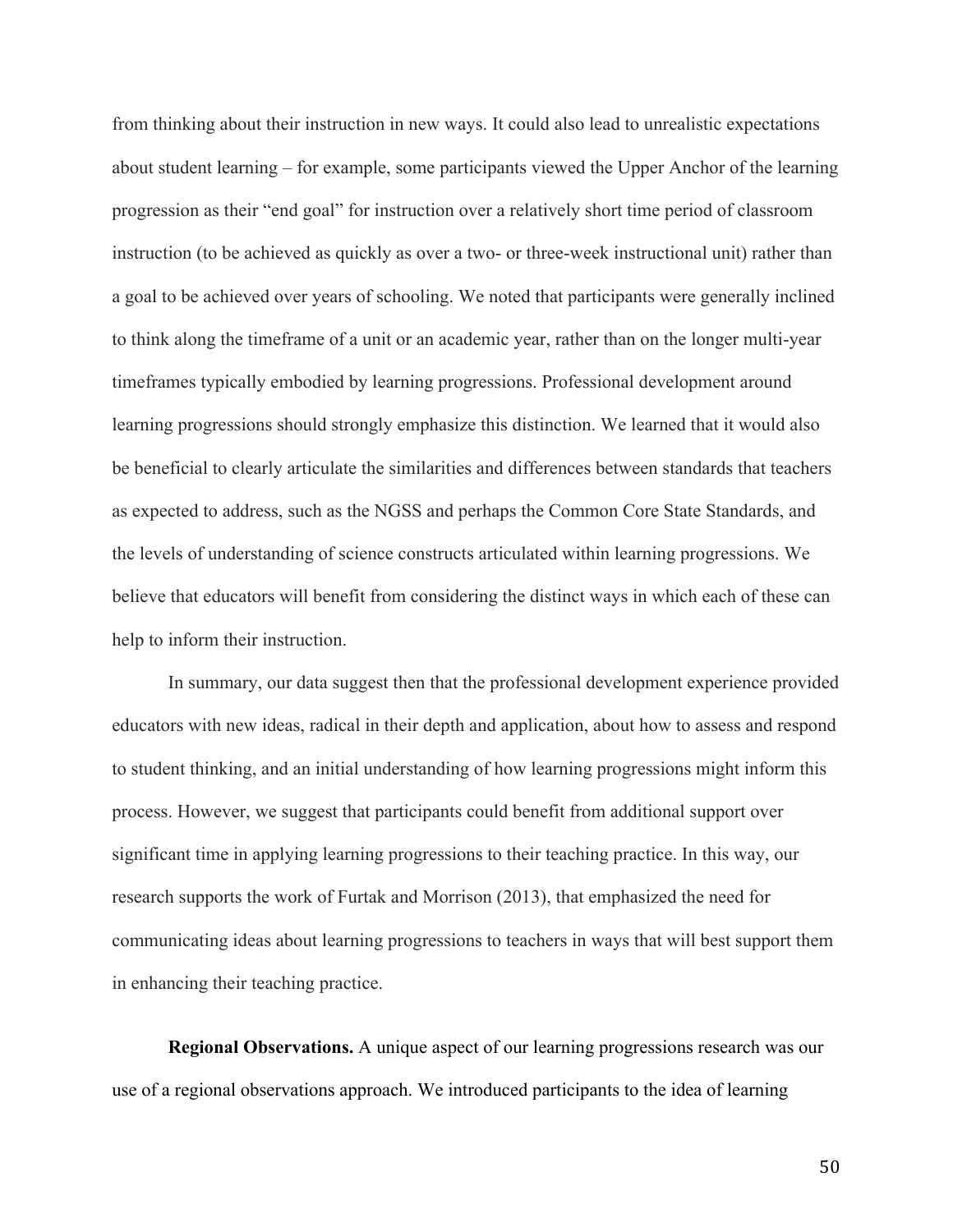from thinking about their instruction in new ways. It could also lead to unrealistic expectations about student learning – for example, some participants viewed the Upper Anchor of the learning progression as their "end goal" for instruction over a relatively short time period of classroom instruction (to be achieved as quickly as over a two- or three-week instructional unit) rather than a goal to be achieved over years of schooling. We noted that participants were generally inclined to think along the timeframe of a unit or an academic year, rather than on the longer multi-year timeframes typically embodied by learning progressions. Professional development around learning progressions should strongly emphasize this distinction. We learned that it would also be beneficial to clearly articulate the similarities and differences between standards that teachers as expected to address, such as the NGSS and perhaps the Common Core State Standards, and the levels of understanding of science constructs articulated within learning progressions. We believe that educators will benefit from considering the distinct ways in which each of these can help to inform their instruction.

In summary, our data suggest then that the professional development experience provided educators with new ideas, radical in their depth and application, about how to assess and respond to student thinking, and an initial understanding of how learning progressions might inform this process. However, we suggest that participants could benefit from additional support over significant time in applying learning progressions to their teaching practice. In this way, our research supports the work of Furtak and Morrison (2013), that emphasized the need for communicating ideas about learning progressions to teachers in ways that will best support them in enhancing their teaching practice.

**Regional Observations.** A unique aspect of our learning progressions research was our use of a regional observations approach. We introduced participants to the idea of learning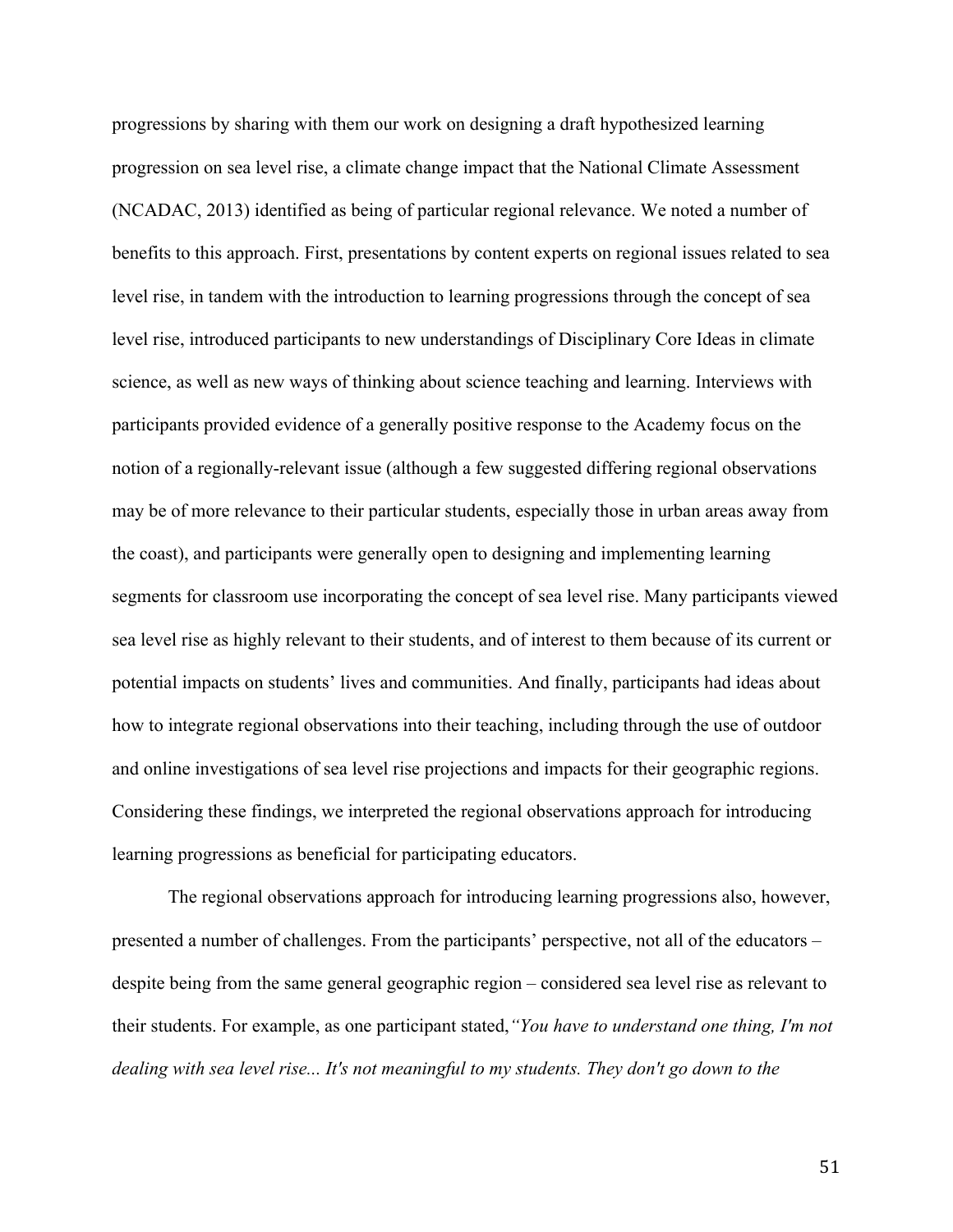progressions by sharing with them our work on designing a draft hypothesized learning progression on sea level rise, a climate change impact that the National Climate Assessment (NCADAC, 2013) identified as being of particular regional relevance. We noted a number of benefits to this approach. First, presentations by content experts on regional issues related to sea level rise, in tandem with the introduction to learning progressions through the concept of sea level rise, introduced participants to new understandings of Disciplinary Core Ideas in climate science, as well as new ways of thinking about science teaching and learning. Interviews with participants provided evidence of a generally positive response to the Academy focus on the notion of a regionally-relevant issue (although a few suggested differing regional observations may be of more relevance to their particular students, especially those in urban areas away from the coast), and participants were generally open to designing and implementing learning segments for classroom use incorporating the concept of sea level rise. Many participants viewed sea level rise as highly relevant to their students, and of interest to them because of its current or potential impacts on students' lives and communities. And finally, participants had ideas about how to integrate regional observations into their teaching, including through the use of outdoor and online investigations of sea level rise projections and impacts for their geographic regions. Considering these findings, we interpreted the regional observations approach for introducing learning progressions as beneficial for participating educators.

The regional observations approach for introducing learning progressions also, however, presented a number of challenges. From the participants' perspective, not all of the educators – despite being from the same general geographic region – considered sea level rise as relevant to their students. For example, as one participant stated,*"You have to understand one thing, I'm not dealing with sea level rise... It's not meaningful to my students. They don't go down to the*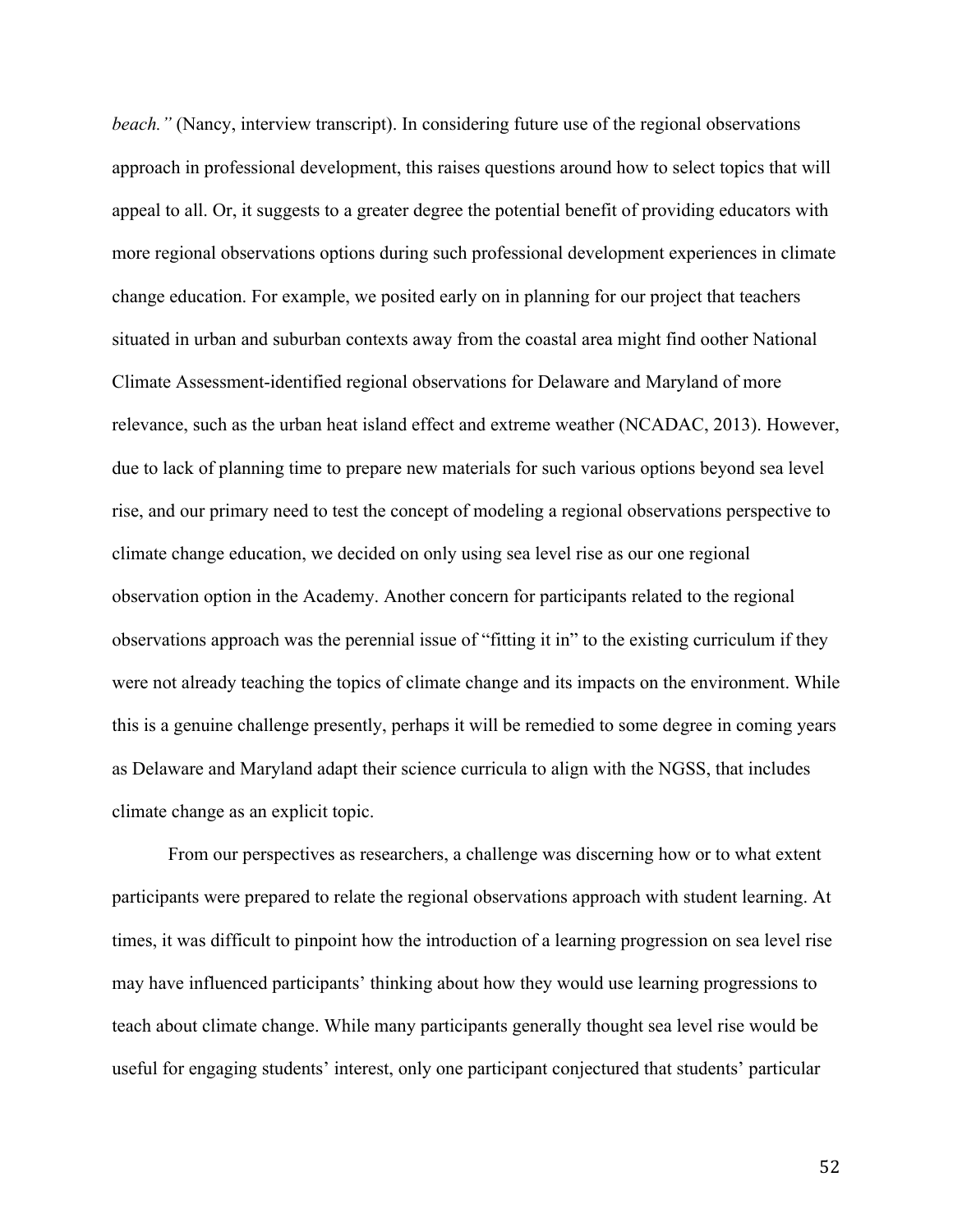*beach.*" (Nancy, interview transcript). In considering future use of the regional observations approach in professional development, this raises questions around how to select topics that will appeal to all. Or, it suggests to a greater degree the potential benefit of providing educators with more regional observations options during such professional development experiences in climate change education. For example, we posited early on in planning for our project that teachers situated in urban and suburban contexts away from the coastal area might find oother National Climate Assessment-identified regional observations for Delaware and Maryland of more relevance, such as the urban heat island effect and extreme weather (NCADAC, 2013). However, due to lack of planning time to prepare new materials for such various options beyond sea level rise, and our primary need to test the concept of modeling a regional observations perspective to climate change education, we decided on only using sea level rise as our one regional observation option in the Academy. Another concern for participants related to the regional observations approach was the perennial issue of "fitting it in" to the existing curriculum if they were not already teaching the topics of climate change and its impacts on the environment. While this is a genuine challenge presently, perhaps it will be remedied to some degree in coming years as Delaware and Maryland adapt their science curricula to align with the NGSS, that includes climate change as an explicit topic.

From our perspectives as researchers, a challenge was discerning how or to what extent participants were prepared to relate the regional observations approach with student learning. At times, it was difficult to pinpoint how the introduction of a learning progression on sea level rise may have influenced participants' thinking about how they would use learning progressions to teach about climate change. While many participants generally thought sea level rise would be useful for engaging students' interest, only one participant conjectured that students' particular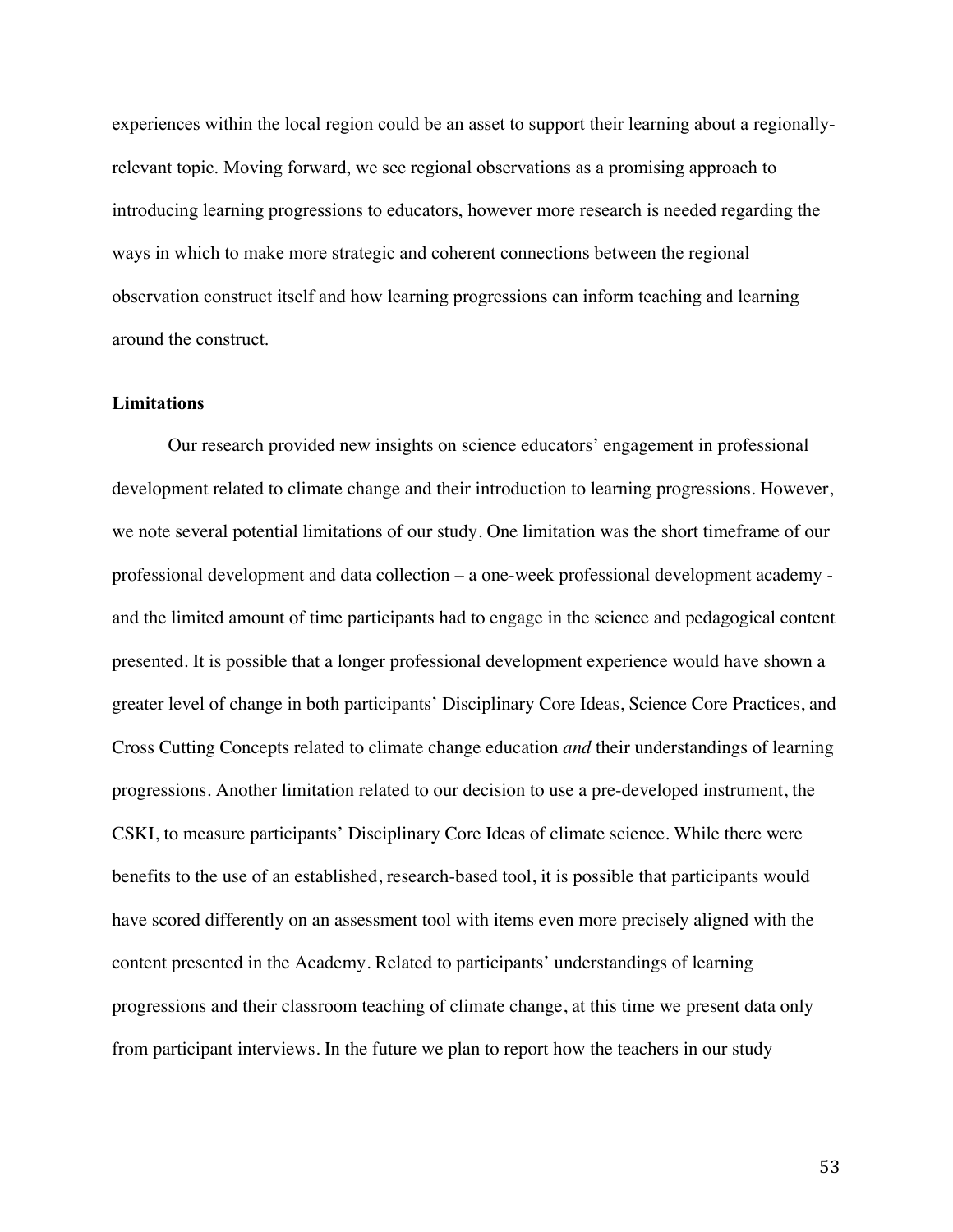experiences within the local region could be an asset to support their learning about a regionallyrelevant topic. Moving forward, we see regional observations as a promising approach to introducing learning progressions to educators, however more research is needed regarding the ways in which to make more strategic and coherent connections between the regional observation construct itself and how learning progressions can inform teaching and learning around the construct.

### **Limitations**

Our research provided new insights on science educators' engagement in professional development related to climate change and their introduction to learning progressions. However, we note several potential limitations of our study. One limitation was the short timeframe of our professional development and data collection – a one-week professional development academy and the limited amount of time participants had to engage in the science and pedagogical content presented. It is possible that a longer professional development experience would have shown a greater level of change in both participants' Disciplinary Core Ideas, Science Core Practices, and Cross Cutting Concepts related to climate change education *and* their understandings of learning progressions. Another limitation related to our decision to use a pre-developed instrument, the CSKI, to measure participants' Disciplinary Core Ideas of climate science. While there were benefits to the use of an established, research-based tool, it is possible that participants would have scored differently on an assessment tool with items even more precisely aligned with the content presented in the Academy. Related to participants' understandings of learning progressions and their classroom teaching of climate change, at this time we present data only from participant interviews. In the future we plan to report how the teachers in our study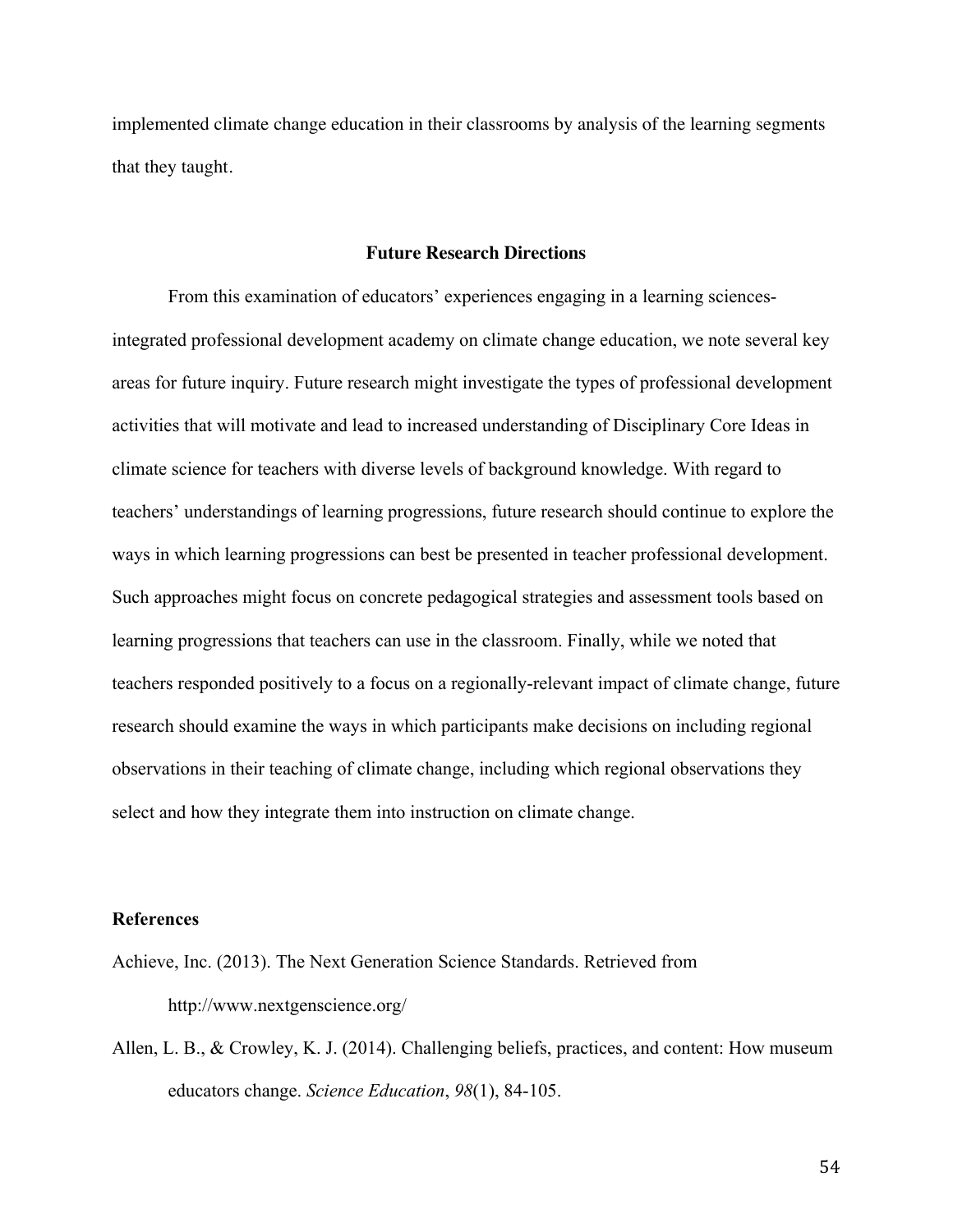implemented climate change education in their classrooms by analysis of the learning segments that they taught.

#### **Future Research Directions**

From this examination of educators' experiences engaging in a learning sciencesintegrated professional development academy on climate change education, we note several key areas for future inquiry. Future research might investigate the types of professional development activities that will motivate and lead to increased understanding of Disciplinary Core Ideas in climate science for teachers with diverse levels of background knowledge. With regard to teachers' understandings of learning progressions, future research should continue to explore the ways in which learning progressions can best be presented in teacher professional development. Such approaches might focus on concrete pedagogical strategies and assessment tools based on learning progressions that teachers can use in the classroom. Finally, while we noted that teachers responded positively to a focus on a regionally-relevant impact of climate change, future research should examine the ways in which participants make decisions on including regional observations in their teaching of climate change, including which regional observations they select and how they integrate them into instruction on climate change.

#### **References**

- Achieve, Inc. (2013). The Next Generation Science Standards. Retrieved from http://www.nextgenscience.org/
- Allen, L. B., & Crowley, K. J. (2014). Challenging beliefs, practices, and content: How museum educators change. *Science Education*, *98*(1), 84-105.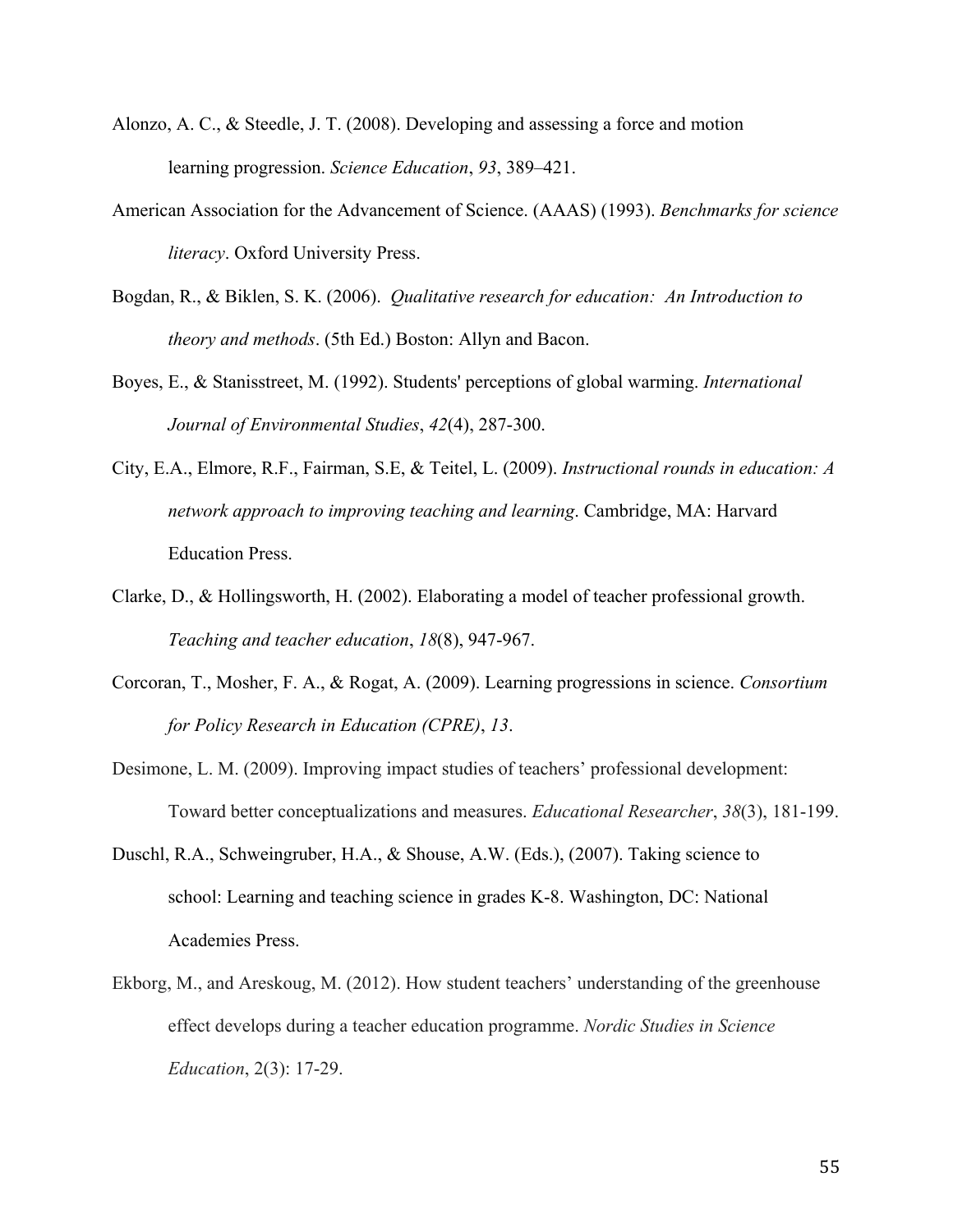- Alonzo, A. C., & Steedle, J. T. (2008). Developing and assessing a force and motion learning progression. *Science Education*, *93*, 389–421.
- American Association for the Advancement of Science. (AAAS) (1993). *Benchmarks for science literacy*. Oxford University Press.
- Bogdan, R., & Biklen, S. K. (2006). *Qualitative research for education: An Introduction to theory and methods*. (5th Ed.) Boston: Allyn and Bacon.
- Boyes, E., & Stanisstreet, M. (1992). Students' perceptions of global warming. *International Journal of Environmental Studies*, *42*(4), 287-300.
- City, E.A., Elmore, R.F., Fairman, S.E, & Teitel, L. (2009). *Instructional rounds in education: A network approach to improving teaching and learning*. Cambridge, MA: Harvard Education Press.
- Clarke, D., & Hollingsworth, H. (2002). Elaborating a model of teacher professional growth. *Teaching and teacher education*, *18*(8), 947-967.
- Corcoran, T., Mosher, F. A., & Rogat, A. (2009). Learning progressions in science. *Consortium for Policy Research in Education (CPRE)*, *13*.
- Desimone, L. M. (2009). Improving impact studies of teachers' professional development: Toward better conceptualizations and measures. *Educational Researcher*, *38*(3), 181-199.
- Duschl, R.A., Schweingruber, H.A., & Shouse, A.W. (Eds.), (2007). Taking science to school: Learning and teaching science in grades K-8. Washington, DC: National Academies Press.
- Ekborg, M., and Areskoug, M. (2012). How student teachers' understanding of the greenhouse effect develops during a teacher education programme. *Nordic Studies in Science Education*, 2(3): 17-29.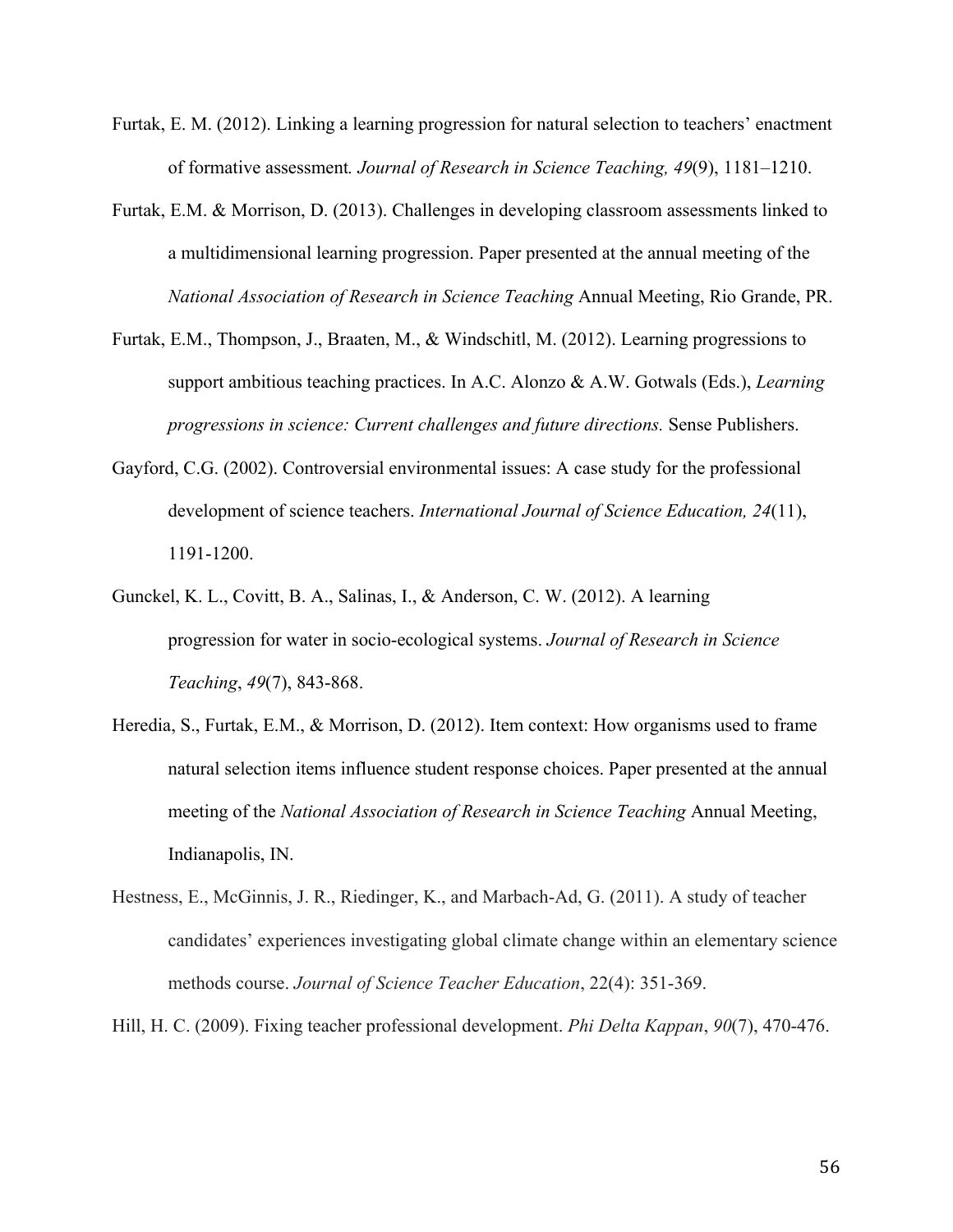- Furtak, E. M. (2012). Linking a learning progression for natural selection to teachers' enactment of formative assessment*. Journal of Research in Science Teaching, 49*(9), 1181–1210.
- Furtak, E.M. & Morrison, D. (2013). Challenges in developing classroom assessments linked to a multidimensional learning progression. Paper presented at the annual meeting of the *National Association of Research in Science Teaching* Annual Meeting, Rio Grande, PR.
- Furtak, E.M., Thompson, J., Braaten, M., & Windschitl, M. (2012). Learning progressions to support ambitious teaching practices. In A.C. Alonzo & A.W. Gotwals (Eds.), *Learning progressions in science: Current challenges and future directions.* Sense Publishers.
- Gayford, C.G. (2002). Controversial environmental issues: A case study for the professional development of science teachers. *International Journal of Science Education, 24*(11), 1191-1200.
- Gunckel, K. L., Covitt, B. A., Salinas, I., & Anderson, C. W. (2012). A learning progression for water in socio-ecological systems. *Journal of Research in Science Teaching*, *49*(7), 843-868.
- Heredia, S., Furtak, E.M., & Morrison, D. (2012). Item context: How organisms used to frame natural selection items influence student response choices. Paper presented at the annual meeting of the *National Association of Research in Science Teaching* Annual Meeting, Indianapolis, IN.
- Hestness, E., McGinnis, J. R., Riedinger, K., and Marbach-Ad, G. (2011). A study of teacher candidates' experiences investigating global climate change within an elementary science methods course. *Journal of Science Teacher Education*, 22(4): 351-369.

Hill, H. C. (2009). Fixing teacher professional development. *Phi Delta Kappan*, *90*(7), 470-476.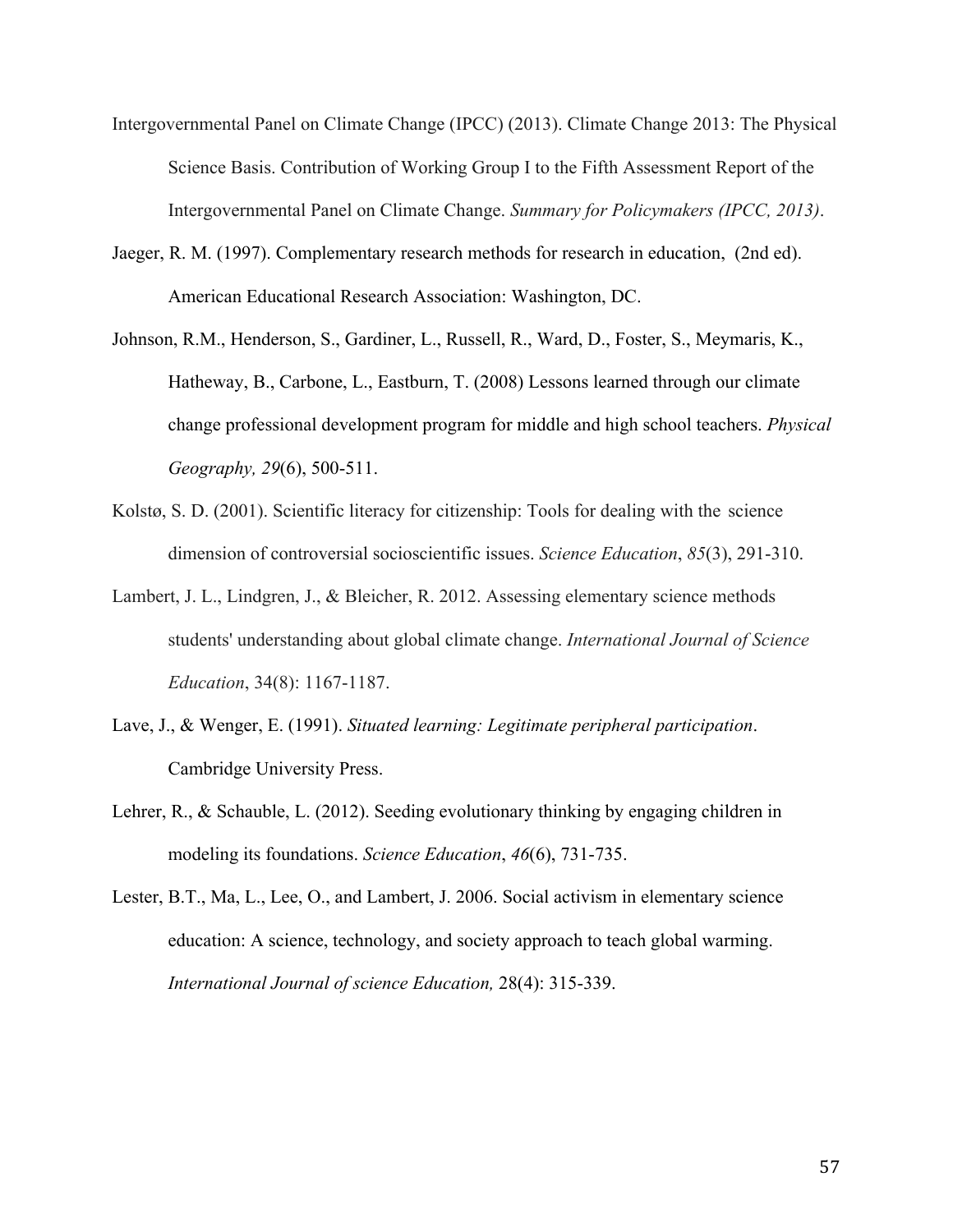- Intergovernmental Panel on Climate Change (IPCC) (2013). Climate Change 2013: The Physical Science Basis. Contribution of Working Group I to the Fifth Assessment Report of the Intergovernmental Panel on Climate Change. *Summary for Policymakers (IPCC, 2013)*.
- Jaeger, R. M. (1997). Complementary research methods for research in education, (2nd ed). American Educational Research Association: Washington, DC.
- Johnson, R.M., Henderson, S., Gardiner, L., Russell, R., Ward, D., Foster, S., Meymaris, K., Hatheway, B., Carbone, L., Eastburn, T. (2008) Lessons learned through our climate change professional development program for middle and high school teachers. *Physical Geography, 29*(6), 500-511.
- Kolstø, S. D. (2001). Scientific literacy for citizenship: Tools for dealing with the science dimension of controversial socioscientific issues. *Science Education*, *85*(3), 291-310.
- Lambert, J. L., Lindgren, J., & Bleicher, R. 2012. Assessing elementary science methods students' understanding about global climate change. *International Journal of Science Education*, 34(8): 1167-1187.
- Lave, J., & Wenger, E. (1991). *Situated learning: Legitimate peripheral participation*. Cambridge University Press.
- Lehrer, R., & Schauble, L. (2012). Seeding evolutionary thinking by engaging children in modeling its foundations. *Science Education*, *46*(6), 731-735.
- Lester, B.T., Ma, L., Lee, O., and Lambert, J. 2006. Social activism in elementary science education: A science, technology, and society approach to teach global warming. *International Journal of science Education,* 28(4): 315-339.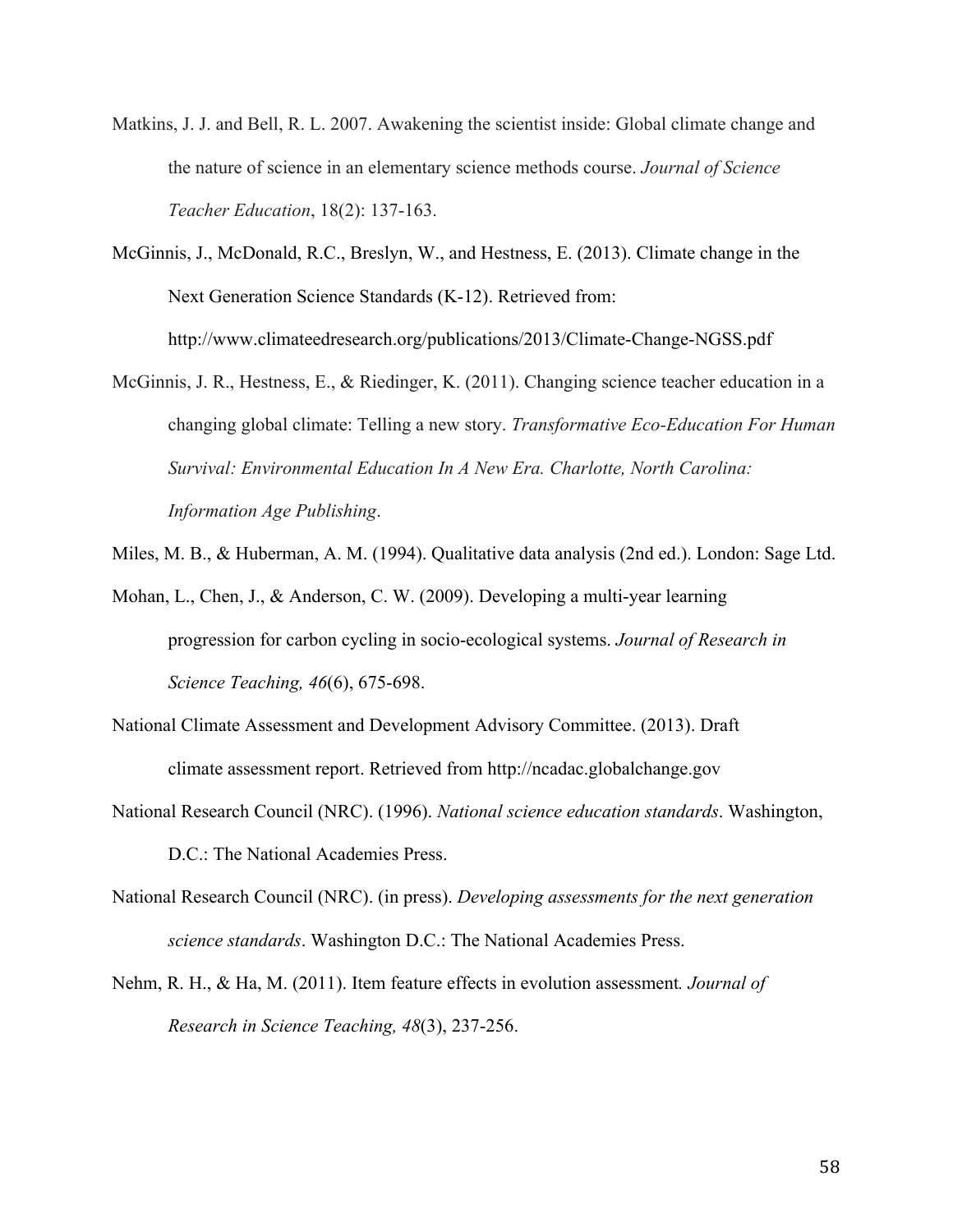- Matkins, J. J. and Bell, R. L. 2007. Awakening the scientist inside: Global climate change and the nature of science in an elementary science methods course. *Journal of Science Teacher Education*, 18(2): 137-163.
- McGinnis, J., McDonald, R.C., Breslyn, W., and Hestness, E. (2013). Climate change in the Next Generation Science Standards (K-12). Retrieved from: http://www.climateedresearch.org/publications/2013/Climate-Change-NGSS.pdf
- McGinnis, J. R., Hestness, E., & Riedinger, K. (2011). Changing science teacher education in a changing global climate: Telling a new story. *Transformative Eco-Education For Human Survival: Environmental Education In A New Era. Charlotte, North Carolina: Information Age Publishing*.
- Miles, M. B., & Huberman, A. M. (1994). Qualitative data analysis (2nd ed.). London: Sage Ltd.
- Mohan, L., Chen, J., & Anderson, C. W. (2009). Developing a multi-year learning progression for carbon cycling in socio-ecological systems. *Journal of Research in Science Teaching, 46*(6), 675-698.
- National Climate Assessment and Development Advisory Committee. (2013). Draft climate assessment report. Retrieved from http://ncadac.globalchange.gov
- National Research Council (NRC). (1996). *National science education standards*. Washington, D.C.: The National Academies Press.
- National Research Council (NRC). (in press). *Developing assessments for the next generation science standards*. Washington D.C.: The National Academies Press.
- Nehm, R. H., & Ha, M. (2011). Item feature effects in evolution assessment*. Journal of Research in Science Teaching, 48*(3), 237-256.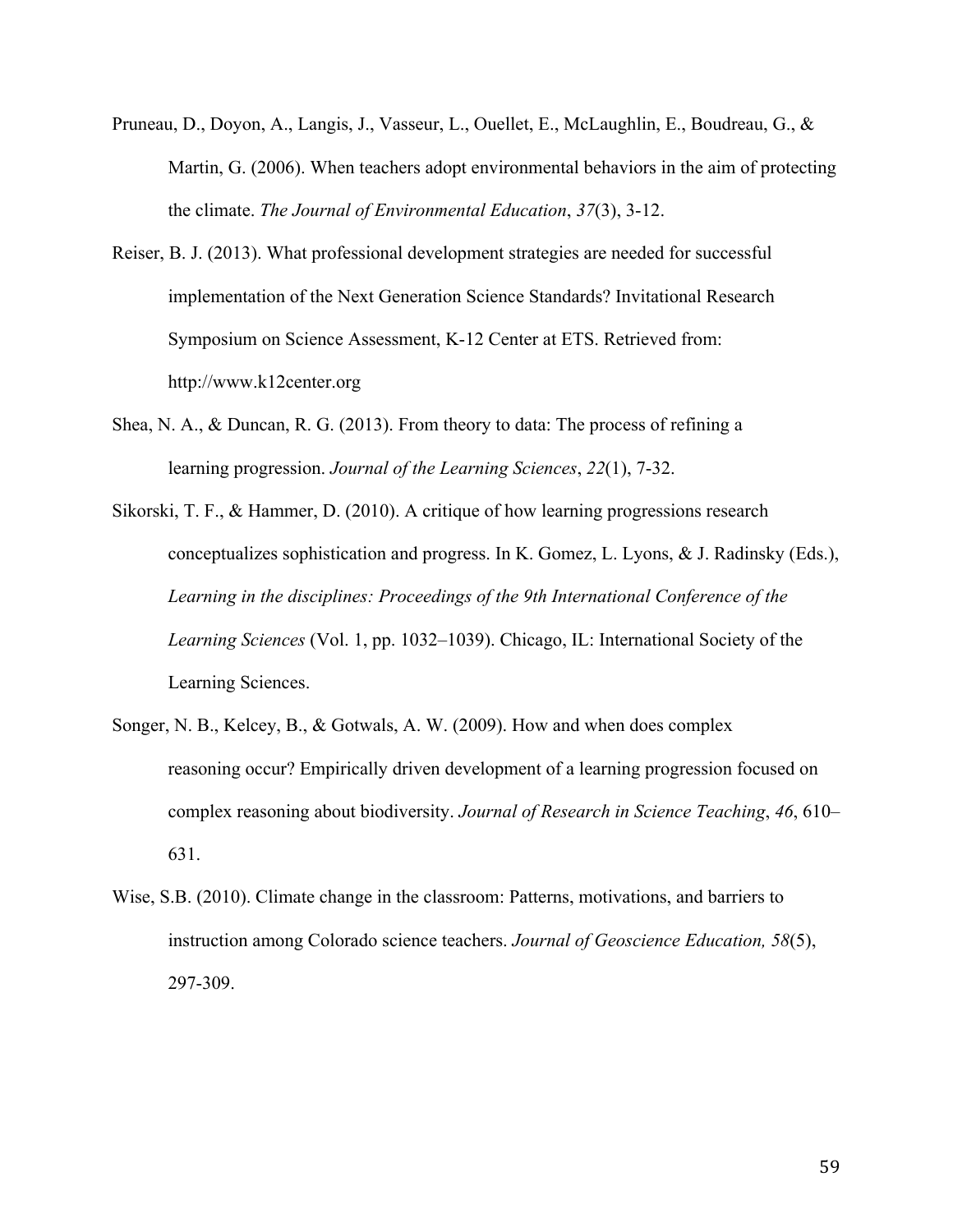- Pruneau, D., Doyon, A., Langis, J., Vasseur, L., Ouellet, E., McLaughlin, E., Boudreau, G., & Martin, G. (2006). When teachers adopt environmental behaviors in the aim of protecting the climate. *The Journal of Environmental Education*, *37*(3), 3-12.
- Reiser, B. J. (2013). What professional development strategies are needed for successful implementation of the Next Generation Science Standards? Invitational Research Symposium on Science Assessment, K-12 Center at ETS. Retrieved from: http://www.k12center.org
- Shea, N. A., & Duncan, R. G. (2013). From theory to data: The process of refining a learning progression. *Journal of the Learning Sciences*, *22*(1), 7-32.
- Sikorski, T. F., & Hammer, D. (2010). A critique of how learning progressions research conceptualizes sophistication and progress. In K. Gomez, L. Lyons, & J. Radinsky (Eds.), *Learning in the disciplines: Proceedings of the 9th International Conference of the Learning Sciences* (Vol. 1, pp. 1032–1039). Chicago, IL: International Society of the Learning Sciences.
- Songer, N. B., Kelcey, B., & Gotwals, A. W. (2009). How and when does complex reasoning occur? Empirically driven development of a learning progression focused on complex reasoning about biodiversity. *Journal of Research in Science Teaching*, *46*, 610– 631.
- Wise, S.B. (2010). Climate change in the classroom: Patterns, motivations, and barriers to instruction among Colorado science teachers. *Journal of Geoscience Education, 58*(5), 297-309.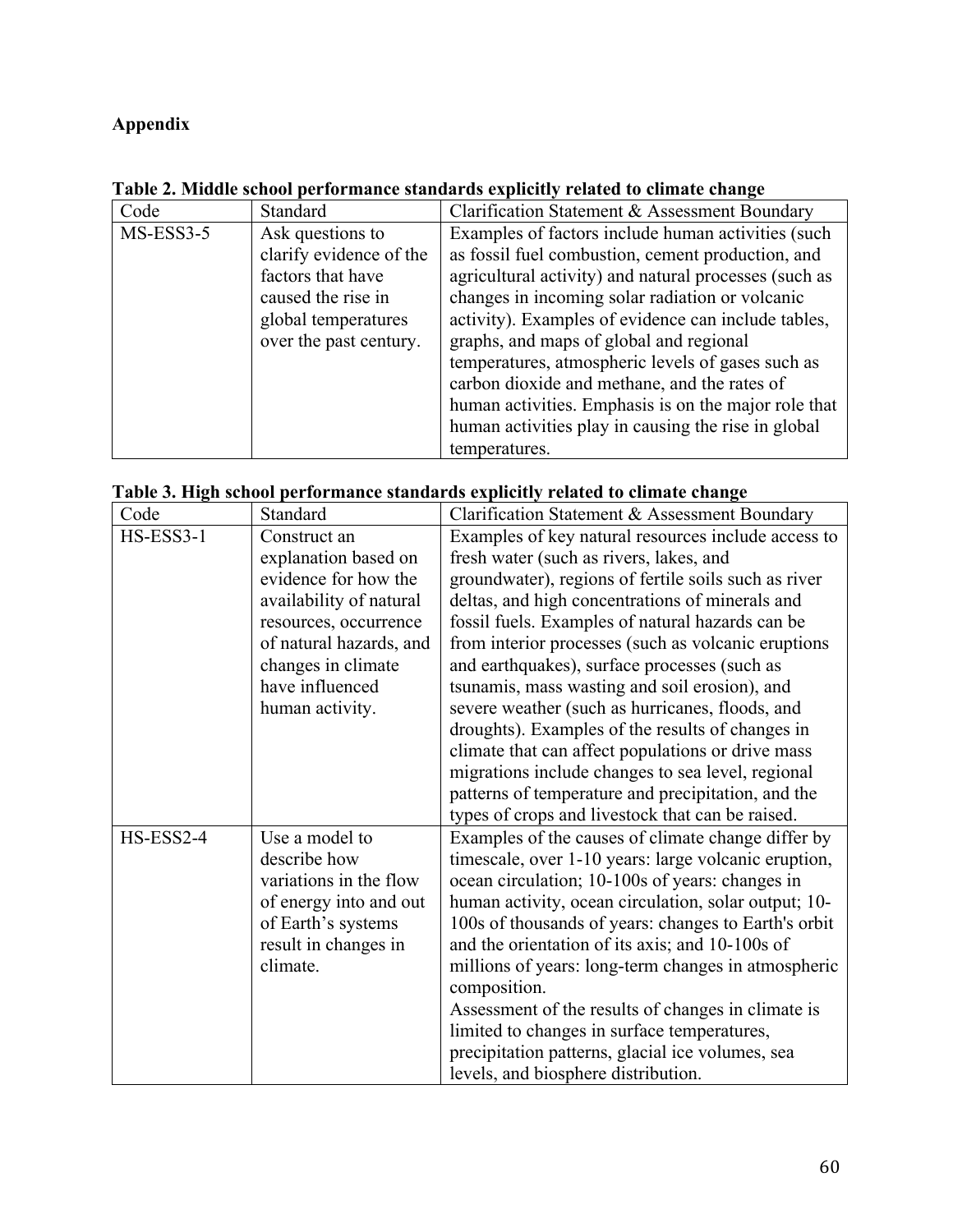# **Appendix**

| Code        | Standard                | Clarification Statement & Assessment Boundary         |
|-------------|-------------------------|-------------------------------------------------------|
| $MS-ESS3-5$ | Ask questions to        | Examples of factors include human activities (such    |
|             | clarify evidence of the | as fossil fuel combustion, cement production, and     |
|             | factors that have       | agricultural activity) and natural processes (such as |
|             | caused the rise in      | changes in incoming solar radiation or volcanic       |
|             | global temperatures     | activity). Examples of evidence can include tables,   |
|             | over the past century.  | graphs, and maps of global and regional               |
|             |                         | temperatures, atmospheric levels of gases such as     |
|             |                         | carbon dioxide and methane, and the rates of          |
|             |                         | human activities. Emphasis is on the major role that  |
|             |                         | human activities play in causing the rise in global   |
|             |                         | temperatures.                                         |

**Table 2. Middle school performance standards explicitly related to climate change**

|           |                         | тале э. тиgh school регил шансе standards explicitly related to chinate change |
|-----------|-------------------------|--------------------------------------------------------------------------------|
| Code      | Standard                | Clarification Statement & Assessment Boundary                                  |
| HS-ESS3-1 | Construct an            | Examples of key natural resources include access to                            |
|           | explanation based on    | fresh water (such as rivers, lakes, and                                        |
|           | evidence for how the    | groundwater), regions of fertile soils such as river                           |
|           | availability of natural | deltas, and high concentrations of minerals and                                |
|           | resources, occurrence   | fossil fuels. Examples of natural hazards can be                               |
|           | of natural hazards, and | from interior processes (such as volcanic eruptions)                           |
|           | changes in climate      | and earthquakes), surface processes (such as                                   |
|           | have influenced         | tsunamis, mass wasting and soil erosion), and                                  |
|           | human activity.         | severe weather (such as hurricanes, floods, and                                |
|           |                         | droughts). Examples of the results of changes in                               |
|           |                         | climate that can affect populations or drive mass                              |
|           |                         | migrations include changes to sea level, regional                              |
|           |                         | patterns of temperature and precipitation, and the                             |
|           |                         | types of crops and livestock that can be raised.                               |
| HS-ESS2-4 | Use a model to          | Examples of the causes of climate change differ by                             |
|           | describe how            | timescale, over 1-10 years: large volcanic eruption,                           |
|           | variations in the flow  | ocean circulation; 10-100s of years: changes in                                |
|           | of energy into and out  | human activity, ocean circulation, solar output; 10-                           |
|           | of Earth's systems      | 100s of thousands of years: changes to Earth's orbit                           |
|           | result in changes in    | and the orientation of its axis; and 10-100s of                                |
|           | climate.                | millions of years: long-term changes in atmospheric                            |
|           |                         | composition.                                                                   |
|           |                         | Assessment of the results of changes in climate is                             |
|           |                         | limited to changes in surface temperatures,                                    |
|           |                         | precipitation patterns, glacial ice volumes, sea                               |
|           |                         | levels, and biosphere distribution.                                            |

|  |  | Table 3. High school performance standards explicitly related to climate change |  |
|--|--|---------------------------------------------------------------------------------|--|
|  |  |                                                                                 |  |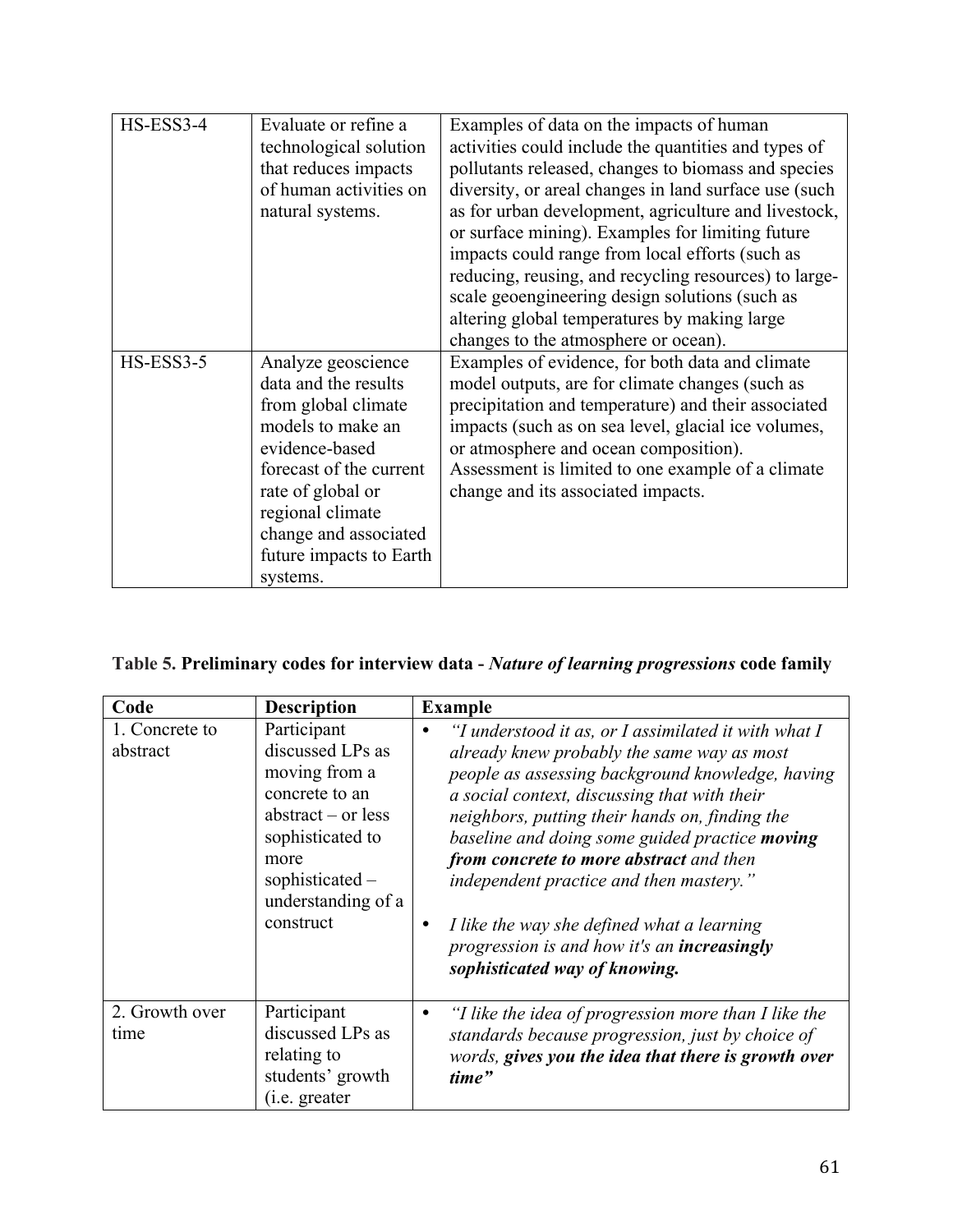| HS-ESS3-4 | Evaluate or refine a<br>technological solution<br>that reduces impacts<br>of human activities on<br>natural systems.                                                                                                                         | Examples of data on the impacts of human<br>activities could include the quantities and types of<br>pollutants released, changes to biomass and species<br>diversity, or areal changes in land surface use (such<br>as for urban development, agriculture and livestock,<br>or surface mining). Examples for limiting future<br>impacts could range from local efforts (such as<br>reducing, reusing, and recycling resources) to large-<br>scale geoengineering design solutions (such as<br>altering global temperatures by making large<br>changes to the atmosphere or ocean). |
|-----------|----------------------------------------------------------------------------------------------------------------------------------------------------------------------------------------------------------------------------------------------|------------------------------------------------------------------------------------------------------------------------------------------------------------------------------------------------------------------------------------------------------------------------------------------------------------------------------------------------------------------------------------------------------------------------------------------------------------------------------------------------------------------------------------------------------------------------------------|
| HS-ESS3-5 | Analyze geoscience<br>data and the results<br>from global climate<br>models to make an<br>evidence-based<br>forecast of the current<br>rate of global or<br>regional climate<br>change and associated<br>future impacts to Earth<br>systems. | Examples of evidence, for both data and climate<br>model outputs, are for climate changes (such as<br>precipitation and temperature) and their associated<br>impacts (such as on sea level, glacial ice volumes,<br>or atmosphere and ocean composition).<br>Assessment is limited to one example of a climate<br>change and its associated impacts.                                                                                                                                                                                                                               |

| Table 5. Preliminary codes for interview data - Nature of learning progressions code family |  |  |  |  |  |
|---------------------------------------------------------------------------------------------|--|--|--|--|--|
|                                                                                             |  |  |  |  |  |

| Code                       | <b>Description</b>                                                                                                                                                           | <b>Example</b>                                                                                                                                                                                                                                                                                                                                                                                                                                                                                                                      |
|----------------------------|------------------------------------------------------------------------------------------------------------------------------------------------------------------------------|-------------------------------------------------------------------------------------------------------------------------------------------------------------------------------------------------------------------------------------------------------------------------------------------------------------------------------------------------------------------------------------------------------------------------------------------------------------------------------------------------------------------------------------|
| 1. Concrete to<br>abstract | Participant<br>discussed LPs as<br>moving from a<br>concrete to an<br>abstract $-$ or less<br>sophisticated to<br>more<br>sophisticated -<br>understanding of a<br>construct | "I understood it as, or I assimilated it with what I<br>already knew probably the same way as most<br>people as assessing background knowledge, having<br>a social context, discussing that with their<br>neighbors, putting their hands on, finding the<br>baseline and doing some guided practice moving<br>from concrete to more abstract and then<br>independent practice and then mastery."<br>I like the way she defined what a learning<br>٠<br>progression is and how it's an increasingly<br>sophisticated way of knowing. |
| 2. Growth over<br>time     | Participant<br>discussed LPs as<br>relating to<br>students' growth<br>(i.e. greater)                                                                                         | "I like the idea of progression more than I like the<br>٠<br>standards because progression, just by choice of<br>words, gives you the idea that there is growth over<br>time"                                                                                                                                                                                                                                                                                                                                                       |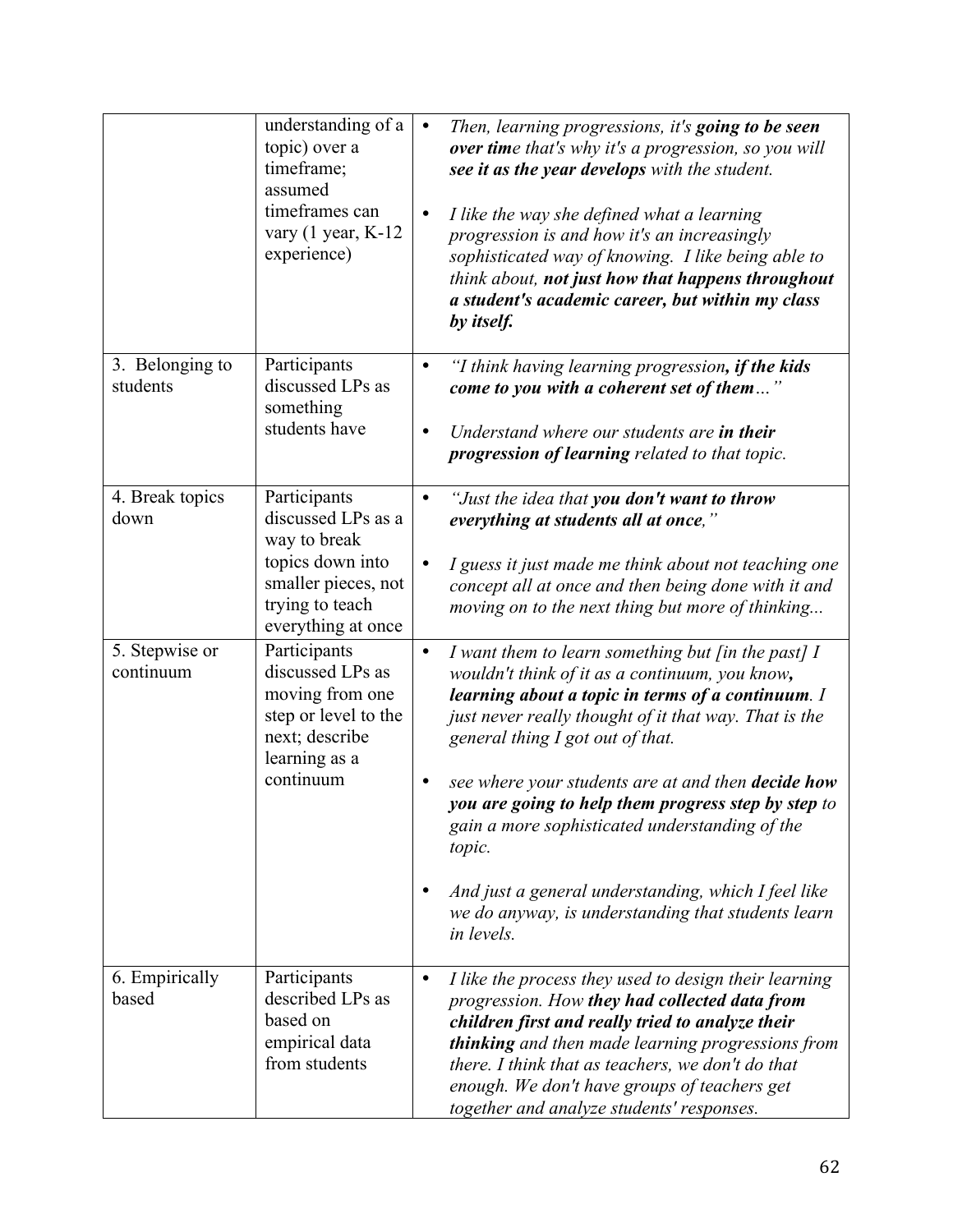|                             | understanding of a<br>topic) over a<br>timeframe;<br>assumed<br>timeframes can<br>vary $(1$ year, K-12<br>experience)                  | $\bullet$<br>$\bullet$ | Then, learning progressions, it's going to be seen<br>over time that's why it's a progression, so you will<br>see it as the year develops with the student.<br>I like the way she defined what a learning<br>progression is and how it's an increasingly<br>sophisticated way of knowing. I like being able to<br>think about, not just how that happens throughout<br>a student's academic career, but within my class<br>by itself.                                                                                                                               |
|-----------------------------|----------------------------------------------------------------------------------------------------------------------------------------|------------------------|---------------------------------------------------------------------------------------------------------------------------------------------------------------------------------------------------------------------------------------------------------------------------------------------------------------------------------------------------------------------------------------------------------------------------------------------------------------------------------------------------------------------------------------------------------------------|
| 3. Belonging to<br>students | Participants<br>discussed LPs as<br>something<br>students have                                                                         | $\bullet$<br>$\bullet$ | "I think having learning progression, if the kids<br>come to you with a coherent set of them"<br>Understand where our students are in their<br>progression of learning related to that topic.                                                                                                                                                                                                                                                                                                                                                                       |
| 4. Break topics<br>down     | Participants<br>discussed LPs as a<br>way to break<br>topics down into<br>smaller pieces, not<br>trying to teach<br>everything at once | $\bullet$<br>$\bullet$ | "Just the idea that you don't want to throw<br>everything at students all at once,"<br>I guess it just made me think about not teaching one<br>concept all at once and then being done with it and<br>moving on to the next thing but more of thinking                                                                                                                                                                                                                                                                                                              |
| 5. Stepwise or<br>continuum | Participants<br>discussed LPs as<br>moving from one<br>step or level to the<br>next; describe<br>learning as a<br>continuum            | $\bullet$              | I want them to learn something but [in the past] $I$<br>wouldn't think of it as a continuum, you know,<br>learning about a topic in terms of a continuum. I<br>just never really thought of it that way. That is the<br>general thing I got out of that.<br>see where your students are at and then <b>decide how</b><br>you are going to help them progress step by step to<br>gain a more sophisticated understanding of the<br>topic.<br>And just a general understanding, which I feel like<br>we do anyway, is understanding that students learn<br>in levels. |
| 6. Empirically<br>based     | Participants<br>described LPs as<br>based on<br>empirical data<br>from students                                                        | $\bullet$              | I like the process they used to design their learning<br>progression. How they had collected data from<br>children first and really tried to analyze their<br>thinking and then made learning progressions from<br>there. I think that as teachers, we don't do that<br>enough. We don't have groups of teachers get<br>together and analyze students' responses.                                                                                                                                                                                                   |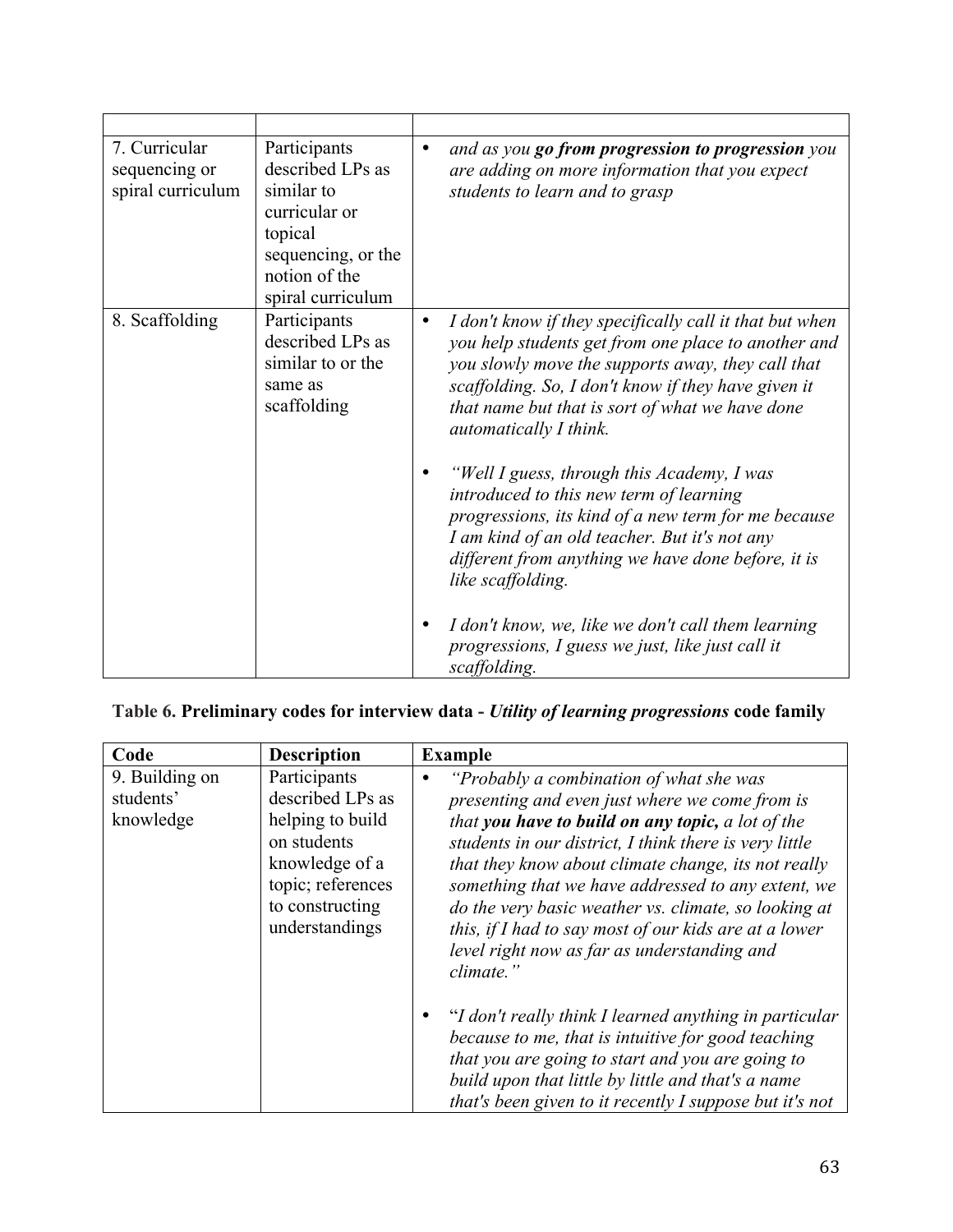| 7. Curricular<br>sequencing or<br>spiral curriculum | Participants<br>described LPs as<br>similar to<br>curricular or<br>topical<br>sequencing, or the<br>notion of the<br>spiral curriculum | $\bullet$ | and as you go from progression to progression you<br>are adding on more information that you expect<br>students to learn and to grasp                                                                                                                                                                                                                                                                                                                                                                                                                                                                                                                                                                         |
|-----------------------------------------------------|----------------------------------------------------------------------------------------------------------------------------------------|-----------|---------------------------------------------------------------------------------------------------------------------------------------------------------------------------------------------------------------------------------------------------------------------------------------------------------------------------------------------------------------------------------------------------------------------------------------------------------------------------------------------------------------------------------------------------------------------------------------------------------------------------------------------------------------------------------------------------------------|
| 8. Scaffolding                                      | Participants<br>described LPs as<br>similar to or the<br>same as<br>scaffolding                                                        | $\bullet$ | I don't know if they specifically call it that but when<br>you help students get from one place to another and<br>you slowly move the supports away, they call that<br>scaffolding. So, I don't know if they have given it<br>that name but that is sort of what we have done<br>automatically I think.<br>"Well I guess, through this Academy, I was<br>introduced to this new term of learning<br>progressions, its kind of a new term for me because<br>I am kind of an old teacher. But it's not any<br>different from anything we have done before, it is<br>like scaffolding.<br>I don't know, we, like we don't call them learning<br>progressions, I guess we just, like just call it<br>scaffolding. |

# **Table 6. Preliminary codes for interview data -** *Utility of learning progressions* **code family**

| Code                                     | <b>Description</b>                                                                                                                              | <b>Example</b>                                                                                                                                                                                                                                                                                                                                                                                                                                                                                     |
|------------------------------------------|-------------------------------------------------------------------------------------------------------------------------------------------------|----------------------------------------------------------------------------------------------------------------------------------------------------------------------------------------------------------------------------------------------------------------------------------------------------------------------------------------------------------------------------------------------------------------------------------------------------------------------------------------------------|
| 9. Building on<br>students'<br>knowledge | Participants<br>described LPs as<br>helping to build<br>on students<br>knowledge of a<br>topic; references<br>to constructing<br>understandings | "Probably a combination of what she was<br>presenting and even just where we come from is<br>that you have to build on any topic, a lot of the<br>students in our district, I think there is very little<br>that they know about climate change, its not really<br>something that we have addressed to any extent, we<br>do the very basic weather vs. climate, so looking at<br>this, if I had to say most of our kids are at a lower<br>level right now as far as understanding and<br>climate." |
|                                          |                                                                                                                                                 | "I don't really think I learned anything in particular<br>because to me, that is intuitive for good teaching<br>that you are going to start and you are going to<br>build upon that little by little and that's a name<br>that's been given to it recently I suppose but it's not                                                                                                                                                                                                                  |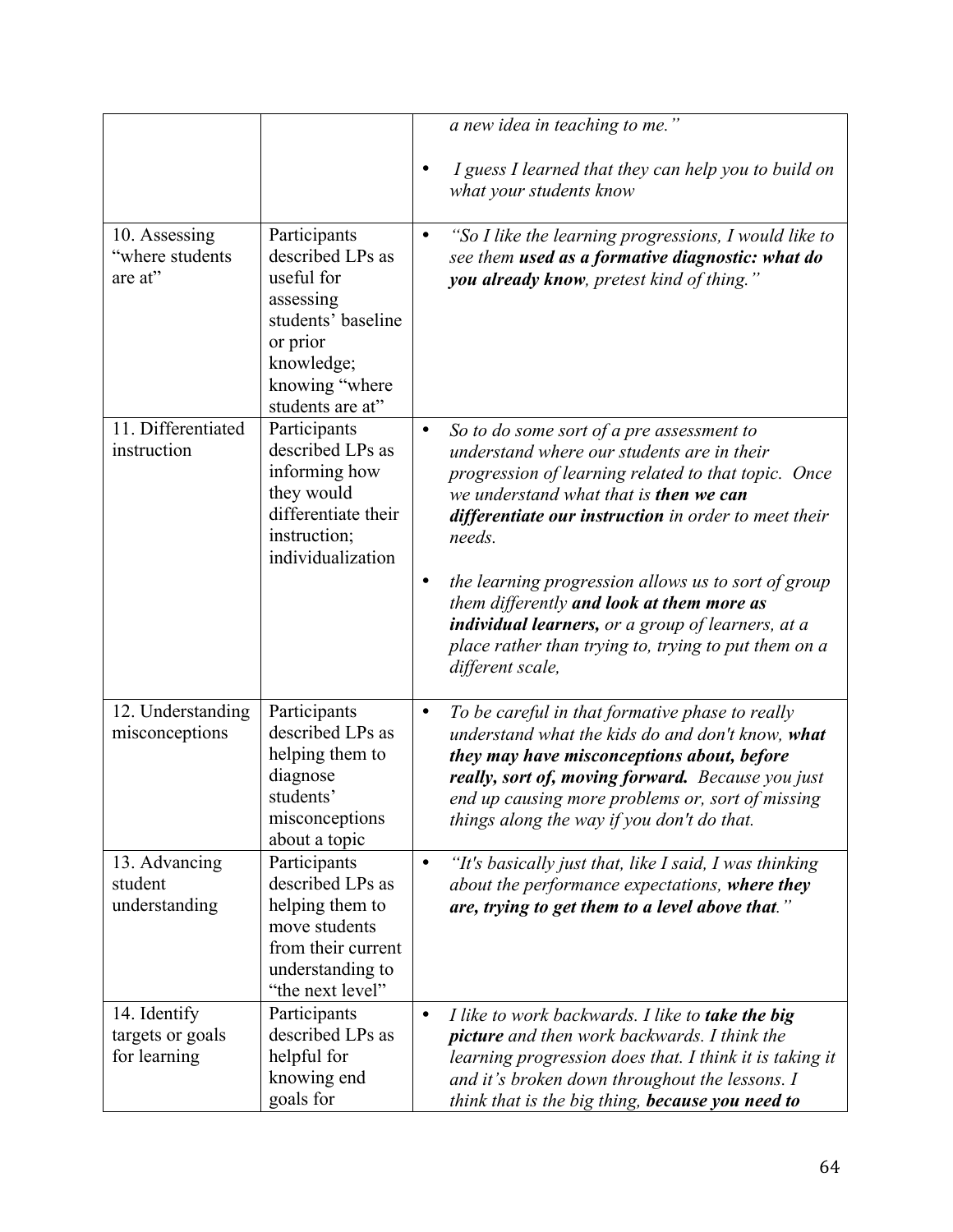|                                                  |                                                                                                                                                   |                        | a new idea in teaching to me."                                                                                                                                                                                                                                                                                                                                                                                                                                                                         |
|--------------------------------------------------|---------------------------------------------------------------------------------------------------------------------------------------------------|------------------------|--------------------------------------------------------------------------------------------------------------------------------------------------------------------------------------------------------------------------------------------------------------------------------------------------------------------------------------------------------------------------------------------------------------------------------------------------------------------------------------------------------|
|                                                  |                                                                                                                                                   | $\bullet$              | I guess I learned that they can help you to build on<br>what your students know                                                                                                                                                                                                                                                                                                                                                                                                                        |
| 10. Assessing<br>"where students<br>are at"      | Participants<br>described LPs as<br>useful for<br>assessing<br>students' baseline<br>or prior<br>knowledge;<br>knowing "where<br>students are at" | $\bullet$              | "So I like the learning progressions, I would like to<br>see them used as a formative diagnostic: what do<br>you already know, pretest kind of thing."                                                                                                                                                                                                                                                                                                                                                 |
| 11. Differentiated<br>instruction                | Participants<br>described LPs as<br>informing how<br>they would<br>differentiate their<br>instruction;<br>individualization                       | $\bullet$<br>$\bullet$ | So to do some sort of a pre assessment to<br>understand where our students are in their<br>progression of learning related to that topic. Once<br>we understand what that is <b>then we can</b><br>differentiate our instruction in order to meet their<br>needs.<br>the learning progression allows us to sort of group<br>them differently and look at them more as<br>individual learners, or a group of learners, at a<br>place rather than trying to, trying to put them on a<br>different scale, |
| 12. Understanding<br>misconceptions              | Participants<br>described LPs as<br>helping them to<br>diagnose<br>students'<br>misconceptions<br>about a topic                                   | $\bullet$              | To be careful in that formative phase to really<br>understand what the kids do and don't know, what<br>they may have misconceptions about, before<br>really, sort of, moving forward. Because you just<br>end up causing more problems or, sort of missing<br>things along the way if you don't do that.                                                                                                                                                                                               |
| 13. Advancing<br>student<br>understanding        | Participants<br>described LPs as<br>helping them to<br>move students<br>from their current<br>understanding to<br>"the next level"                | $\bullet$              | "It's basically just that, like I said, I was thinking<br>about the performance expectations, where they<br>are, trying to get them to a level above that."                                                                                                                                                                                                                                                                                                                                            |
| 14. Identify<br>targets or goals<br>for learning | Participants<br>described LPs as<br>helpful for<br>knowing end<br>goals for                                                                       | $\bullet$              | I like to work backwards. I like to take the big<br><b>picture</b> and then work backwards. I think the<br>learning progression does that. I think it is taking it<br>and it's broken down throughout the lessons. I<br>think that is the big thing, because you need to                                                                                                                                                                                                                               |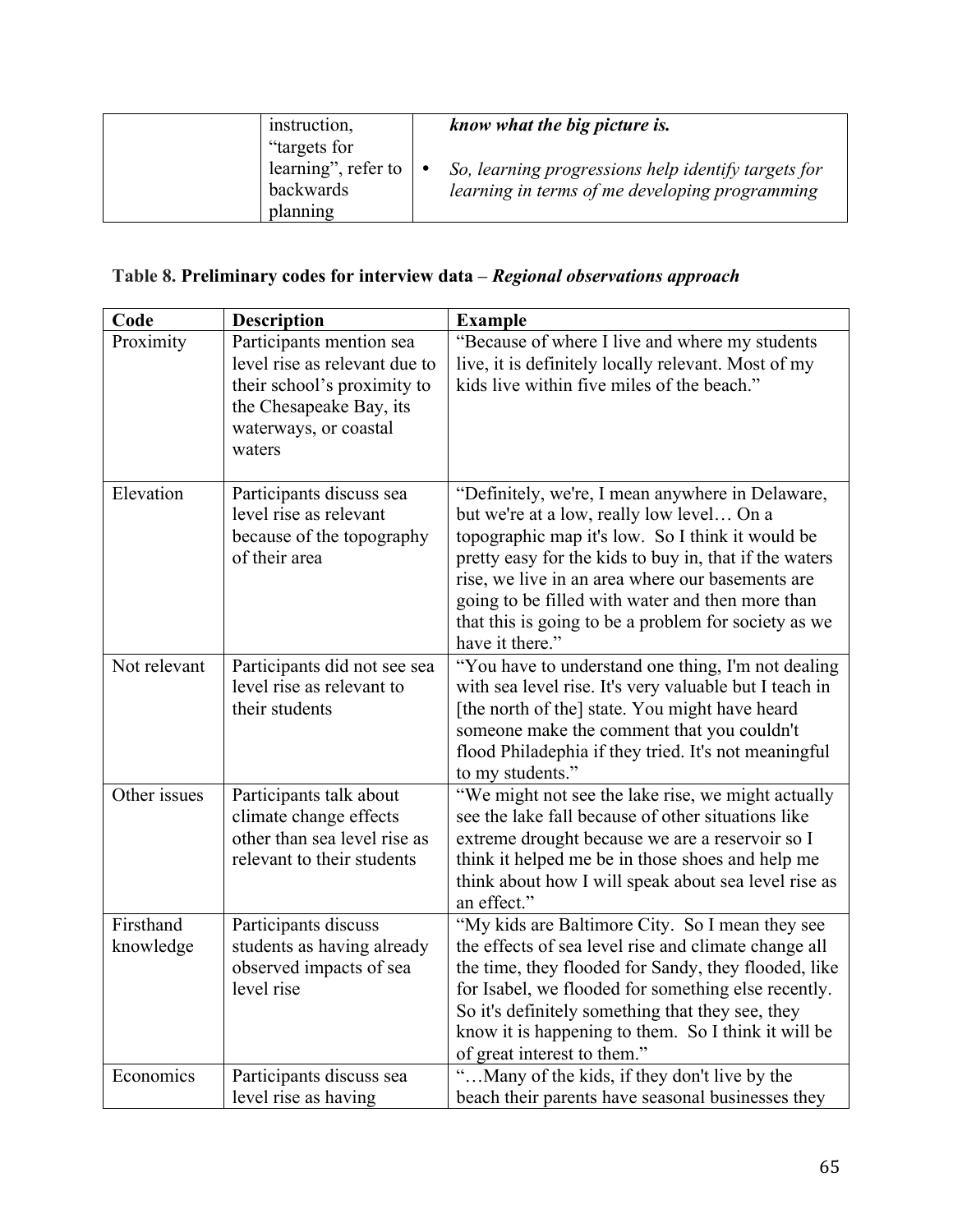| instruction,<br>"targets for<br>learning", refer to<br>backwards<br>planning | know what the big picture is.<br>So, learning progressions help identify targets for<br>learning in terms of me developing programming |
|------------------------------------------------------------------------------|----------------------------------------------------------------------------------------------------------------------------------------|
|------------------------------------------------------------------------------|----------------------------------------------------------------------------------------------------------------------------------------|

# **Table 8. Preliminary codes for interview data –** *Regional observations approach*

| Code                   | <b>Description</b>                                                                                                                                     | <b>Example</b>                                                                                                                                                                                                                                                                                                                                                                                 |
|------------------------|--------------------------------------------------------------------------------------------------------------------------------------------------------|------------------------------------------------------------------------------------------------------------------------------------------------------------------------------------------------------------------------------------------------------------------------------------------------------------------------------------------------------------------------------------------------|
| Proximity              | Participants mention sea<br>level rise as relevant due to<br>their school's proximity to<br>the Chesapeake Bay, its<br>waterways, or coastal<br>waters | "Because of where I live and where my students<br>live, it is definitely locally relevant. Most of my<br>kids live within five miles of the beach."                                                                                                                                                                                                                                            |
| Elevation              | Participants discuss sea<br>level rise as relevant<br>because of the topography<br>of their area                                                       | "Definitely, we're, I mean anywhere in Delaware,<br>but we're at a low, really low level On a<br>topographic map it's low. So I think it would be<br>pretty easy for the kids to buy in, that if the waters<br>rise, we live in an area where our basements are<br>going to be filled with water and then more than<br>that this is going to be a problem for society as we<br>have it there." |
| Not relevant           | Participants did not see sea<br>level rise as relevant to<br>their students                                                                            | "You have to understand one thing, I'm not dealing<br>with sea level rise. It's very valuable but I teach in<br>[the north of the] state. You might have heard<br>someone make the comment that you couldn't<br>flood Philadephia if they tried. It's not meaningful<br>to my students."                                                                                                       |
| Other issues           | Participants talk about<br>climate change effects<br>other than sea level rise as<br>relevant to their students                                        | "We might not see the lake rise, we might actually<br>see the lake fall because of other situations like<br>extreme drought because we are a reservoir so I<br>think it helped me be in those shoes and help me<br>think about how I will speak about sea level rise as<br>an effect."                                                                                                         |
| Firsthand<br>knowledge | Participants discuss<br>students as having already<br>observed impacts of sea<br>level rise                                                            | "My kids are Baltimore City. So I mean they see<br>the effects of sea level rise and climate change all<br>the time, they flooded for Sandy, they flooded, like<br>for Isabel, we flooded for something else recently.<br>So it's definitely something that they see, they<br>know it is happening to them. So I think it will be<br>of great interest to them."                               |
| Economics              | Participants discuss sea<br>level rise as having                                                                                                       | " Many of the kids, if they don't live by the<br>beach their parents have seasonal businesses they                                                                                                                                                                                                                                                                                             |